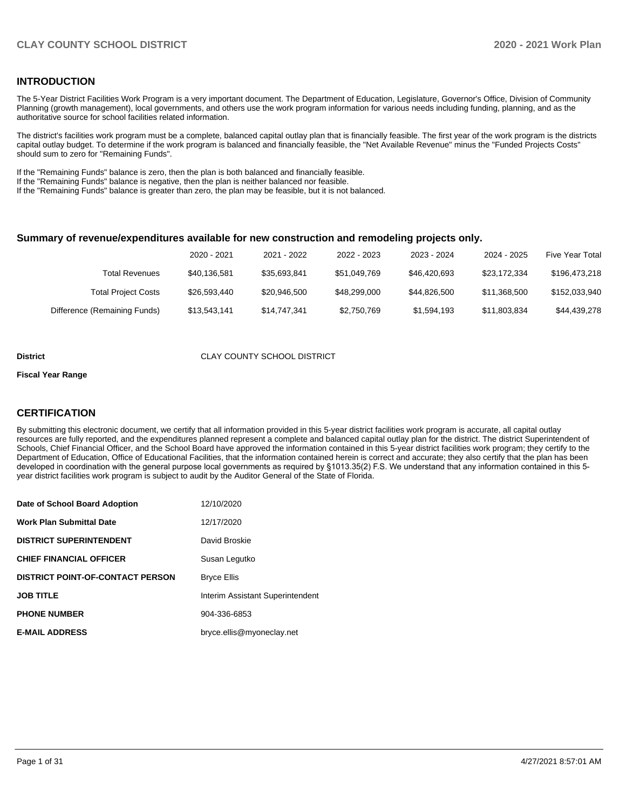### **INTRODUCTION**

The 5-Year District Facilities Work Program is a very important document. The Department of Education, Legislature, Governor's Office, Division of Community Planning (growth management), local governments, and others use the work program information for various needs including funding, planning, and as the authoritative source for school facilities related information.

The district's facilities work program must be a complete, balanced capital outlay plan that is financially feasible. The first year of the work program is the districts capital outlay budget. To determine if the work program is balanced and financially feasible, the "Net Available Revenue" minus the "Funded Projects Costs" should sum to zero for "Remaining Funds".

If the "Remaining Funds" balance is zero, then the plan is both balanced and financially feasible.

If the "Remaining Funds" balance is negative, then the plan is neither balanced nor feasible.

If the "Remaining Funds" balance is greater than zero, the plan may be feasible, but it is not balanced.

#### **Summary of revenue/expenditures available for new construction and remodeling projects only.**

|                              | 2020 - 2021  | 2021 - 2022  | 2022 - 2023  | 2023 - 2024  | 2024 - 2025  | <b>Five Year Total</b> |
|------------------------------|--------------|--------------|--------------|--------------|--------------|------------------------|
| Total Revenues               | \$40,136,581 | \$35.693.841 | \$51.049.769 | \$46,420,693 | \$23.172.334 | \$196,473,218          |
| <b>Total Project Costs</b>   | \$26,593,440 | \$20,946,500 | \$48,299,000 | \$44.826,500 | \$11.368.500 | \$152,033,940          |
| Difference (Remaining Funds) | \$13,543,141 | \$14,747,341 | \$2,750,769  | \$1,594,193  | \$11,803,834 | \$44,439,278           |

#### **District** CLAY COUNTY SCHOOL DISTRICT

#### **Fiscal Year Range**

### **CERTIFICATION**

By submitting this electronic document, we certify that all information provided in this 5-year district facilities work program is accurate, all capital outlay resources are fully reported, and the expenditures planned represent a complete and balanced capital outlay plan for the district. The district Superintendent of Schools, Chief Financial Officer, and the School Board have approved the information contained in this 5-year district facilities work program; they certify to the Department of Education, Office of Educational Facilities, that the information contained herein is correct and accurate; they also certify that the plan has been developed in coordination with the general purpose local governments as required by §1013.35(2) F.S. We understand that any information contained in this 5 year district facilities work program is subject to audit by the Auditor General of the State of Florida.

| Date of School Board Adoption           | 12/10/2020                       |
|-----------------------------------------|----------------------------------|
| <b>Work Plan Submittal Date</b>         | 12/17/2020                       |
| <b>DISTRICT SUPERINTENDENT</b>          | David Broskie                    |
| <b>CHIEF FINANCIAL OFFICER</b>          | Susan Legutko                    |
| <b>DISTRICT POINT-OF-CONTACT PERSON</b> | <b>Bryce Ellis</b>               |
| <b>JOB TITLE</b>                        | Interim Assistant Superintendent |
| <b>PHONE NUMBER</b>                     | 904-336-6853                     |
| <b>E-MAIL ADDRESS</b>                   | bryce.ellis@myoneclay.net        |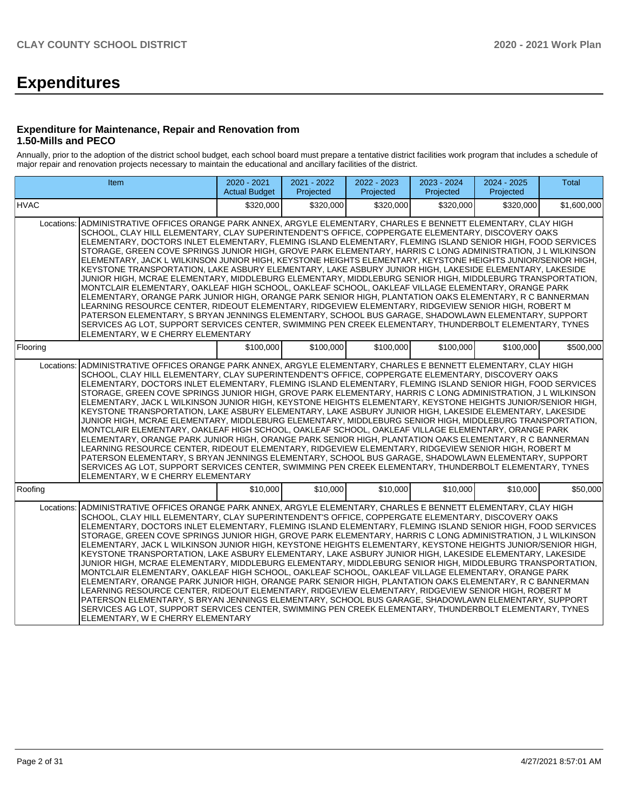# **Expenditures**

#### **Expenditure for Maintenance, Repair and Renovation from 1.50-Mills and PECO**

Annually, prior to the adoption of the district school budget, each school board must prepare a tentative district facilities work program that includes a schedule of major repair and renovation projects necessary to maintain the educational and ancillary facilities of the district.

| Item                                                                                                                                                                                                                                                                                                                                                                                                                                                                                                                                                                                                                                                                                                                                                                                                                                                                                                                                                                                                                                                                                                                                                                                                                                                                                                                                                                                                                                                   | 2020 - 2021<br><b>Actual Budget</b> | 2021 - 2022<br>Projected | 2022 - 2023<br>Projected | 2023 - 2024<br>Projected | 2024 - 2025<br>Projected | <b>Total</b> |  |  |
|--------------------------------------------------------------------------------------------------------------------------------------------------------------------------------------------------------------------------------------------------------------------------------------------------------------------------------------------------------------------------------------------------------------------------------------------------------------------------------------------------------------------------------------------------------------------------------------------------------------------------------------------------------------------------------------------------------------------------------------------------------------------------------------------------------------------------------------------------------------------------------------------------------------------------------------------------------------------------------------------------------------------------------------------------------------------------------------------------------------------------------------------------------------------------------------------------------------------------------------------------------------------------------------------------------------------------------------------------------------------------------------------------------------------------------------------------------|-------------------------------------|--------------------------|--------------------------|--------------------------|--------------------------|--------------|--|--|
| <b>HVAC</b>                                                                                                                                                                                                                                                                                                                                                                                                                                                                                                                                                                                                                                                                                                                                                                                                                                                                                                                                                                                                                                                                                                                                                                                                                                                                                                                                                                                                                                            | \$320,000                           | \$320,000                | \$320,000                | \$320,000                | \$320,000                | \$1,600,000  |  |  |
| ADMINISTRATIVE OFFICES ORANGE PARK ANNEX. ARGYLE ELEMENTARY. CHARLES E BENNETT ELEMENTARY. CLAY HIGH<br>Locations:<br>SCHOOL, CLAY HILL ELEMENTARY, CLAY SUPERINTENDENT'S OFFICE, COPPERGATE ELEMENTARY, DISCOVERY OAKS<br>ELEMENTARY, DOCTORS INLET ELEMENTARY, FLEMING ISLAND ELEMENTARY, FLEMING ISLAND SENIOR HIGH, FOOD SERVICES<br>STORAGE, GREEN COVE SPRINGS JUNIOR HIGH, GROVE PARK ELEMENTARY, HARRIS C LONG ADMINISTRATION, J L WILKINSON<br>ELEMENTARY, JACK L WILKINSON JUNIOR HIGH, KEYSTONE HEIGHTS ELEMENTARY, KEYSTONE HEIGHTS JUNIOR/SENIOR HIGH,<br>KEYSTONE TRANSPORTATION, LAKE ASBURY ELEMENTARY, LAKE ASBURY JUNIOR HIGH, LAKESIDE ELEMENTARY, LAKESIDE<br>JUNIOR HIGH, MCRAE ELEMENTARY, MIDDLEBURG ELEMENTARY, MIDDLEBURG SENIOR HIGH, MIDDLEBURG TRANSPORTATION,<br>MONTCLAIR ELEMENTARY, OAKLEAF HIGH SCHOOL, OAKLEAF SCHOOL, OAKLEAF VILLAGE ELEMENTARY, ORANGE PARK<br>ELEMENTARY, ORANGE PARK JUNIOR HIGH, ORANGE PARK SENIOR HIGH, PLANTATION OAKS ELEMENTARY, R C BANNERMAN<br>LEARNING RESOURCE CENTER, RIDEOUT ELEMENTARY, RIDGEVIEW ELEMENTARY, RIDGEVIEW SENIOR HIGH, ROBERT M<br>PATERSON ELEMENTARY, S BRYAN JENNINGS ELEMENTARY, SCHOOL BUS GARAGE, SHADOWLAWN ELEMENTARY, SUPPORT<br>SERVICES AG LOT, SUPPORT SERVICES CENTER, SWIMMING PEN CREEK ELEMENTARY, THUNDERBOLT ELEMENTARY, TYNES<br>ELEMENTARY, W E CHERRY ELEMENTARY<br>\$100,000<br>\$100,000<br>\$100,000<br>\$100,000<br>\$100,000<br>\$500,000 |                                     |                          |                          |                          |                          |              |  |  |
| Flooring                                                                                                                                                                                                                                                                                                                                                                                                                                                                                                                                                                                                                                                                                                                                                                                                                                                                                                                                                                                                                                                                                                                                                                                                                                                                                                                                                                                                                                               |                                     |                          |                          |                          |                          |              |  |  |
| ADMINISTRATIVE OFFICES ORANGE PARK ANNEX, ARGYLE ELEMENTARY, CHARLES E BENNETT ELEMENTARY, CLAY HIGH<br>Locations:<br>SCHOOL, CLAY HILL ELEMENTARY, CLAY SUPERINTENDENT'S OFFICE, COPPERGATE ELEMENTARY, DISCOVERY OAKS<br>ELEMENTARY, DOCTORS INLET ELEMENTARY, FLEMING ISLAND ELEMENTARY, FLEMING ISLAND SENIOR HIGH, FOOD SERVICES<br>STORAGE, GREEN COVE SPRINGS JUNIOR HIGH, GROVE PARK ELEMENTARY, HARRIS C LONG ADMINISTRATION, J L WILKINSON<br>ELEMENTARY, JACK L WILKINSON JUNIOR HIGH, KEYSTONE HEIGHTS ELEMENTARY, KEYSTONE HEIGHTS JUNIOR/SENIOR HIGH,<br>KEYSTONE TRANSPORTATION, LAKE ASBURY ELEMENTARY, LAKE ASBURY JUNIOR HIGH, LAKESIDE ELEMENTARY, LAKESIDE<br>JUNIOR HIGH, MCRAE ELEMENTARY, MIDDLEBURG ELEMENTARY, MIDDLEBURG SENIOR HIGH, MIDDLEBURG TRANSPORTATION,<br>MONTCLAIR ELEMENTARY, OAKLEAF HIGH SCHOOL, OAKLEAF SCHOOL, OAKLEAF VILLAGE ELEMENTARY, ORANGE PARK<br>ELEMENTARY, ORANGE PARK JUNIOR HIGH, ORANGE PARK SENIOR HIGH, PLANTATION OAKS ELEMENTARY, R C BANNERMAN<br>LEARNING RESOURCE CENTER, RIDEOUT ELEMENTARY, RIDGEVIEW ELEMENTARY, RIDGEVIEW SENIOR HIGH, ROBERT M<br>PATERSON ELEMENTARY, S BRYAN JENNINGS ELEMENTARY, SCHOOL BUS GARAGE, SHADOWLAWN ELEMENTARY, SUPPORT<br>SERVICES AG LOT, SUPPORT SERVICES CENTER, SWIMMING PEN CREEK ELEMENTARY, THUNDERBOLT ELEMENTARY, TYNES<br>ELEMENTARY, W E CHERRY ELEMENTARY                                                                               |                                     |                          |                          |                          |                          |              |  |  |
| Roofing                                                                                                                                                                                                                                                                                                                                                                                                                                                                                                                                                                                                                                                                                                                                                                                                                                                                                                                                                                                                                                                                                                                                                                                                                                                                                                                                                                                                                                                | \$10,000                            | \$10,000                 | \$10,000                 | \$10,000                 | \$10,000                 | \$50,000     |  |  |
| ADMINISTRATIVE OFFICES ORANGE PARK ANNEX, ARGYLE ELEMENTARY, CHARLES E BENNETT ELEMENTARY, CLAY HIGH<br>Locations:<br>SCHOOL, CLAY HILL ELEMENTARY, CLAY SUPERINTENDENT'S OFFICE, COPPERGATE ELEMENTARY, DISCOVERY OAKS<br>ELEMENTARY, DOCTORS INLET ELEMENTARY, FLEMING ISLAND ELEMENTARY, FLEMING ISLAND SENIOR HIGH, FOOD SERVICES<br>STORAGE, GREEN COVE SPRINGS JUNIOR HIGH, GROVE PARK ELEMENTARY, HARRIS C LONG ADMINISTRATION, J L WILKINSON<br>ELEMENTARY, JACK L WILKINSON JUNIOR HIGH, KEYSTONE HEIGHTS ELEMENTARY, KEYSTONE HEIGHTS JUNIOR/SENIOR HIGH,<br>KEYSTONE TRANSPORTATION, LAKE ASBURY ELEMENTARY, LAKE ASBURY JUNIOR HIGH, LAKESIDE ELEMENTARY, LAKESIDE<br>JUNIOR HIGH, MCRAE ELEMENTARY, MIDDLEBURG ELEMENTARY, MIDDLEBURG SENIOR HIGH, MIDDLEBURG TRANSPORTATION,<br>MONTCLAIR ELEMENTARY, OAKLEAF HIGH SCHOOL, OAKLEAF SCHOOL, OAKLEAF VILLAGE ELEMENTARY, ORANGE PARK<br>ELEMENTARY, ORANGE PARK JUNIOR HIGH, ORANGE PARK SENIOR HIGH, PLANTATION OAKS ELEMENTARY, R C BANNERMAN<br>LEARNING RESOURCE CENTER, RIDEOUT ELEMENTARY, RIDGEVIEW ELEMENTARY, RIDGEVIEW SENIOR HIGH, ROBERT M<br>PATERSON ELEMENTARY, S BRYAN JENNINGS ELEMENTARY, SCHOOL BUS GARAGE, SHADOWLAWN ELEMENTARY, SUPPORT<br>SERVICES AG LOT, SUPPORT SERVICES CENTER, SWIMMING PEN CREEK ELEMENTARY, THUNDERBOLT ELEMENTARY, TYNES<br>ELEMENTARY, W E CHERRY ELEMENTARY                                                                               |                                     |                          |                          |                          |                          |              |  |  |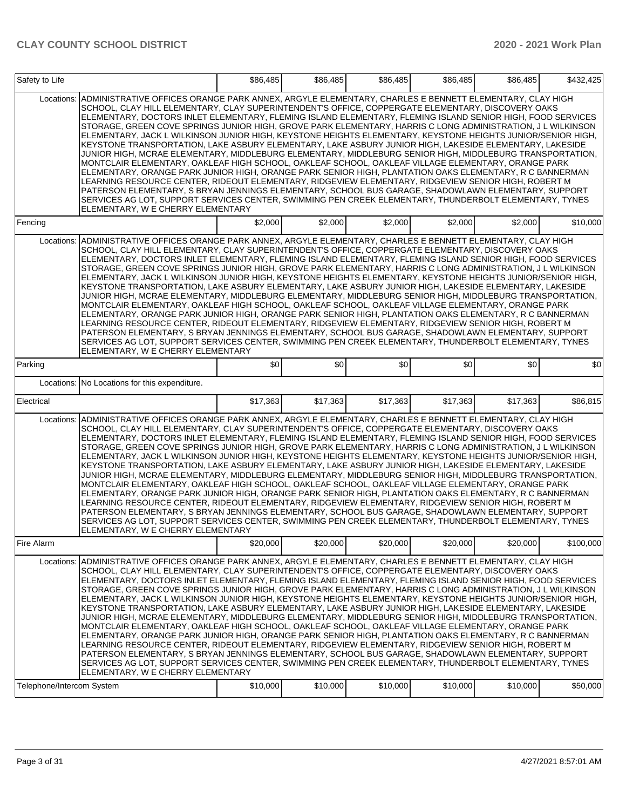| Safety to Life            |                                                                                                                                                                                                                                                                                                                                                                                                                                                                                                                                                                                                                                                                                                                                                                                                                                                                                                                                                                                                                                                                                                                                                                                                                                                                                                                                                            | \$86,485 | \$86,485 | \$86,485 | \$86,485 | \$86,485 | \$432,425 |
|---------------------------|------------------------------------------------------------------------------------------------------------------------------------------------------------------------------------------------------------------------------------------------------------------------------------------------------------------------------------------------------------------------------------------------------------------------------------------------------------------------------------------------------------------------------------------------------------------------------------------------------------------------------------------------------------------------------------------------------------------------------------------------------------------------------------------------------------------------------------------------------------------------------------------------------------------------------------------------------------------------------------------------------------------------------------------------------------------------------------------------------------------------------------------------------------------------------------------------------------------------------------------------------------------------------------------------------------------------------------------------------------|----------|----------|----------|----------|----------|-----------|
| Locations:                | ADMINISTRATIVE OFFICES ORANGE PARK ANNEX, ARGYLE ELEMENTARY, CHARLES E BENNETT ELEMENTARY, CLAY HIGH<br>SCHOOL, CLAY HILL ELEMENTARY, CLAY SUPERINTENDENT'S OFFICE, COPPERGATE ELEMENTARY, DISCOVERY OAKS<br>ELEMENTARY, DOCTORS INLET ELEMENTARY, FLEMING ISLAND ELEMENTARY, FLEMING ISLAND SENIOR HIGH, FOOD SERVICES<br>STORAGE, GREEN COVE SPRINGS JUNIOR HIGH, GROVE PARK ELEMENTARY, HARRIS C LONG ADMINISTRATION, J L WILKINSON<br>ELEMENTARY, JACK L WILKINSON JUNIOR HIGH, KEYSTONE HEIGHTS ELEMENTARY, KEYSTONE HEIGHTS JUNIOR/SENIOR HIGH,<br>KEYSTONE TRANSPORTATION, LAKE ASBURY ELEMENTARY, LAKE ASBURY JUNIOR HIGH, LAKESIDE ELEMENTARY, LAKESIDE<br>JUNIOR HIGH, MCRAE ELEMENTARY, MIDDLEBURG ELEMENTARY, MIDDLEBURG SENIOR HIGH, MIDDLEBURG TRANSPORTATION,<br>MONTCLAIR ELEMENTARY, OAKLEAF HIGH SCHOOL, OAKLEAF SCHOOL, OAKLEAF VILLAGE ELEMENTARY, ORANGE PARK<br>ELEMENTARY, ORANGE PARK JUNIOR HIGH, ORANGE PARK SENIOR HIGH, PLANTATION OAKS ELEMENTARY, R C BANNERMAN<br>LEARNING RESOURCE CENTER, RIDEOUT ELEMENTARY, RIDGEVIEW ELEMENTARY, RIDGEVIEW SENIOR HIGH, ROBERT M<br>PATERSON ELEMENTARY, S BRYAN JENNINGS ELEMENTARY, SCHOOL BUS GARAGE, SHADOWLAWN ELEMENTARY, SUPPORT<br>SERVICES AG LOT, SUPPORT SERVICES CENTER, SWIMMING PEN CREEK ELEMENTARY, THUNDERBOLT ELEMENTARY, TYNES<br>ELEMENTARY, W E CHERRY ELEMENTARY |          |          |          |          |          |           |
| Fencing                   |                                                                                                                                                                                                                                                                                                                                                                                                                                                                                                                                                                                                                                                                                                                                                                                                                                                                                                                                                                                                                                                                                                                                                                                                                                                                                                                                                            | \$2,000  | \$2,000  | \$2,000  | \$2,000  | \$2,000  | \$10,000  |
| Locations:                | ADMINISTRATIVE OFFICES ORANGE PARK ANNEX, ARGYLE ELEMENTARY, CHARLES E BENNETT ELEMENTARY, CLAY HIGH<br>SCHOOL, CLAY HILL ELEMENTARY, CLAY SUPERINTENDENT'S OFFICE, COPPERGATE ELEMENTARY, DISCOVERY OAKS<br>ELEMENTARY, DOCTORS INLET ELEMENTARY, FLEMING ISLAND ELEMENTARY, FLEMING ISLAND SENIOR HIGH, FOOD SERVICES<br>STORAGE, GREEN COVE SPRINGS JUNIOR HIGH, GROVE PARK ELEMENTARY, HARRIS C LONG ADMINISTRATION, J L WILKINSON<br>ELEMENTARY, JACK L WILKINSON JUNIOR HIGH, KEYSTONE HEIGHTS ELEMENTARY, KEYSTONE HEIGHTS JUNIOR/SENIOR HIGH,<br>KEYSTONE TRANSPORTATION, LAKE ASBURY ELEMENTARY, LAKE ASBURY JUNIOR HIGH, LAKESIDE ELEMENTARY, LAKESIDE<br>JUNIOR HIGH. MCRAE ELEMENTARY. MIDDLEBURG ELEMENTARY. MIDDLEBURG SENIOR HIGH. MIDDLEBURG TRANSPORTATION.<br>MONTCLAIR ELEMENTARY, OAKLEAF HIGH SCHOOL, OAKLEAF SCHOOL, OAKLEAF VILLAGE ELEMENTARY, ORANGE PARK<br>ELEMENTARY, ORANGE PARK JUNIOR HIGH, ORANGE PARK SENIOR HIGH, PLANTATION OAKS ELEMENTARY, R C BANNERMAN<br>LEARNING RESOURCE CENTER, RIDEOUT ELEMENTARY, RIDGEVIEW ELEMENTARY, RIDGEVIEW SENIOR HIGH, ROBERT M<br>PATERSON ELEMENTARY, S BRYAN JENNINGS ELEMENTARY, SCHOOL BUS GARAGE, SHADOWLAWN ELEMENTARY, SUPPORT<br>SERVICES AG LOT, SUPPORT SERVICES CENTER, SWIMMING PEN CREEK ELEMENTARY, THUNDERBOLT ELEMENTARY, TYNES<br>ELEMENTARY, W E CHERRY ELEMENTARY |          |          |          |          |          |           |
| Parking                   |                                                                                                                                                                                                                                                                                                                                                                                                                                                                                                                                                                                                                                                                                                                                                                                                                                                                                                                                                                                                                                                                                                                                                                                                                                                                                                                                                            | \$0      | \$0      | \$0      | \$0      | \$0      | \$0       |
|                           | Locations: No Locations for this expenditure.                                                                                                                                                                                                                                                                                                                                                                                                                                                                                                                                                                                                                                                                                                                                                                                                                                                                                                                                                                                                                                                                                                                                                                                                                                                                                                              |          |          |          |          |          |           |
| Electrical                |                                                                                                                                                                                                                                                                                                                                                                                                                                                                                                                                                                                                                                                                                                                                                                                                                                                                                                                                                                                                                                                                                                                                                                                                                                                                                                                                                            | \$17,363 | \$17,363 | \$17,363 | \$17,363 | \$17,363 | \$86,815  |
| Locations:                | ADMINISTRATIVE OFFICES ORANGE PARK ANNEX, ARGYLE ELEMENTARY, CHARLES E BENNETT ELEMENTARY, CLAY HIGH<br>SCHOOL, CLAY HILL ELEMENTARY, CLAY SUPERINTENDENT'S OFFICE, COPPERGATE ELEMENTARY, DISCOVERY OAKS<br>ELEMENTARY, DOCTORS INLET ELEMENTARY, FLEMING ISLAND ELEMENTARY, FLEMING ISLAND SENIOR HIGH, FOOD SERVICES<br>STORAGE, GREEN COVE SPRINGS JUNIOR HIGH, GROVE PARK ELEMENTARY, HARRIS C LONG ADMINISTRATION, J L WILKINSON<br>ELEMENTARY, JACK L WILKINSON JUNIOR HIGH, KEYSTONE HEIGHTS ELEMENTARY, KEYSTONE HEIGHTS JUNIOR/SENIOR HIGH,<br>KEYSTONE TRANSPORTATION, LAKE ASBURY ELEMENTARY, LAKE ASBURY JUNIOR HIGH, LAKESIDE ELEMENTARY, LAKESIDE<br>JUNIOR HIGH, MCRAE ELEMENTARY, MIDDLEBURG ELEMENTARY, MIDDLEBURG SENIOR HIGH, MIDDLEBURG TRANSPORTATION.<br>MONTCLAIR ELEMENTARY, OAKLEAF HIGH SCHOOL, OAKLEAF SCHOOL, OAKLEAF VILLAGE ELEMENTARY, ORANGE PARK<br>ELEMENTARY, ORANGE PARK JUNIOR HIGH, ORANGE PARK SENIOR HIGH, PLANTATION OAKS ELEMENTARY, R C BANNERMAN<br>LEARNING RESOURCE CENTER, RIDEOUT ELEMENTARY, RIDGEVIEW ELEMENTARY, RIDGEVIEW SENIOR HIGH, ROBERT M<br>PATERSON ELEMENTARY, S BRYAN JENNINGS ELEMENTARY, SCHOOL BUS GARAGE, SHADOWLAWN ELEMENTARY, SUPPORT<br>SERVICES AG LOT, SUPPORT SERVICES CENTER, SWIMMING PEN CREEK ELEMENTARY, THUNDERBOLT ELEMENTARY, TYNES<br>ELEMENTARY, W E CHERRY ELEMENTARY |          |          |          |          |          |           |
| Fire Alarm                |                                                                                                                                                                                                                                                                                                                                                                                                                                                                                                                                                                                                                                                                                                                                                                                                                                                                                                                                                                                                                                                                                                                                                                                                                                                                                                                                                            | \$20,000 | \$20,000 | \$20,000 | \$20,000 | \$20,000 | \$100,000 |
| Locations:                | ADMINISTRATIVE OFFICES ORANGE PARK ANNEX, ARGYLE ELEMENTARY, CHARLES E BENNETT ELEMENTARY, CLAY HIGH<br>SCHOOL, CLAY HILL ELEMENTARY, CLAY SUPERINTENDENT'S OFFICE, COPPERGATE ELEMENTARY, DISCOVERY OAKS<br>ELEMENTARY, DOCTORS INLET ELEMENTARY, FLEMING ISLAND ELEMENTARY, FLEMING ISLAND SENIOR HIGH, FOOD SERVICES<br>STORAGE, GREEN COVE SPRINGS JUNIOR HIGH, GROVE PARK ELEMENTARY, HARRIS C LONG ADMINISTRATION, J L WILKINSON<br>ELEMENTARY, JACK L WILKINSON JUNIOR HIGH, KEYSTONE HEIGHTS ELEMENTARY, KEYSTONE HEIGHTS JUNIOR/SENIOR HIGH,<br>KEYSTONE TRANSPORTATION, LAKE ASBURY ELEMENTARY, LAKE ASBURY JUNIOR HIGH, LAKESIDE ELEMENTARY, LAKESIDE<br>JUNIOR HIGH, MCRAE ELEMENTARY, MIDDLEBURG ELEMENTARY, MIDDLEBURG SENIOR HIGH, MIDDLEBURG TRANSPORTATION,<br>MONTCLAIR ELEMENTARY, OAKLEAF HIGH SCHOOL, OAKLEAF SCHOOL, OAKLEAF VILLAGE ELEMENTARY, ORANGE PARK<br>ELEMENTARY, ORANGE PARK JUNIOR HIGH, ORANGE PARK SENIOR HIGH, PLANTATION OAKS ELEMENTARY, R C BANNERMAN<br>LEARNING RESOURCE CENTER, RIDEOUT ELEMENTARY, RIDGEVIEW ELEMENTARY, RIDGEVIEW SENIOR HIGH, ROBERT M<br>PATERSON ELEMENTARY, S BRYAN JENNINGS ELEMENTARY, SCHOOL BUS GARAGE, SHADOWLAWN ELEMENTARY, SUPPORT<br>SERVICES AG LOT, SUPPORT SERVICES CENTER, SWIMMING PEN CREEK ELEMENTARY, THUNDERBOLT ELEMENTARY, TYNES<br>ELEMENTARY, W E CHERRY ELEMENTARY |          |          |          |          |          |           |
| Telephone/Intercom System |                                                                                                                                                                                                                                                                                                                                                                                                                                                                                                                                                                                                                                                                                                                                                                                                                                                                                                                                                                                                                                                                                                                                                                                                                                                                                                                                                            | \$10,000 | \$10,000 | \$10,000 | \$10,000 | \$10,000 | \$50,000  |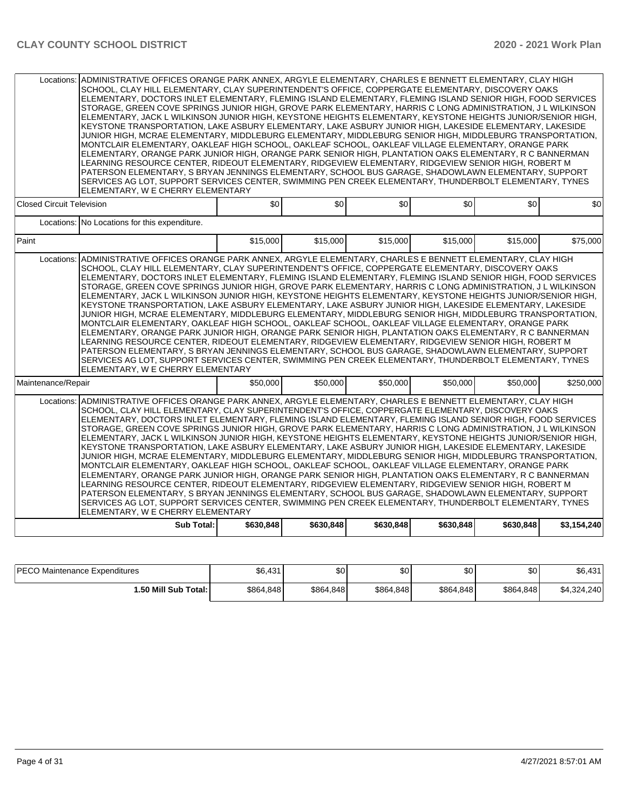|                                  | Locations: ADMINISTRATIVE OFFICES ORANGE PARK ANNEX, ARGYLE ELEMENTARY, CHARLES E BENNETT ELEMENTARY, CLAY HIGH<br>SCHOOL, CLAY HILL ELEMENTARY, CLAY SUPERINTENDENT'S OFFICE, COPPERGATE ELEMENTARY, DISCOVERY OAKS<br>ELEMENTARY, DOCTORS INLET ELEMENTARY, FLEMING ISLAND ELEMENTARY, FLEMING ISLAND SENIOR HIGH, FOOD SERVICES<br>STORAGE, GREEN COVE SPRINGS JUNIOR HIGH, GROVE PARK ELEMENTARY, HARRIS C LONG ADMINISTRATION, J L WILKINSON<br>ELEMENTARY, JACK L WILKINSON JUNIOR HIGH, KEYSTONE HEIGHTS ELEMENTARY, KEYSTONE HEIGHTS JUNIOR/SENIOR HIGH,<br>KEYSTONE TRANSPORTATION. LAKE ASBURY ELEMENTARY. LAKE ASBURY JUNIOR HIGH. LAKESIDE ELEMENTARY. LAKESIDE<br>JUNIOR HIGH, MCRAE ELEMENTARY, MIDDLEBURG ELEMENTARY, MIDDLEBURG SENIOR HIGH, MIDDLEBURG TRANSPORTATION,<br>MONTCLAIR ELEMENTARY, OAKLEAF HIGH SCHOOL, OAKLEAF SCHOOL, OAKLEAF VILLAGE ELEMENTARY, ORANGE PARK<br>ELEMENTARY, ORANGE PARK JUNIOR HIGH, ORANGE PARK SENIOR HIGH, PLANTATION OAKS ELEMENTARY, R C BANNERMAN<br>LEARNING RESOURCE CENTER, RIDEOUT ELEMENTARY, RIDGEVIEW ELEMENTARY, RIDGEVIEW SENIOR HIGH, ROBERT M<br>PATERSON ELEMENTARY, S BRYAN JENNINGS ELEMENTARY, SCHOOL BUS GARAGE, SHADOWLAWN ELEMENTARY, SUPPORT<br>SERVICES AG LOT, SUPPORT SERVICES CENTER, SWIMMING PEN CREEK ELEMENTARY, THUNDERBOLT ELEMENTARY, TYNES<br>ELEMENTARY, W E CHERRY ELEMENTARY |           |           |           |           |           |             |
|----------------------------------|-----------------------------------------------------------------------------------------------------------------------------------------------------------------------------------------------------------------------------------------------------------------------------------------------------------------------------------------------------------------------------------------------------------------------------------------------------------------------------------------------------------------------------------------------------------------------------------------------------------------------------------------------------------------------------------------------------------------------------------------------------------------------------------------------------------------------------------------------------------------------------------------------------------------------------------------------------------------------------------------------------------------------------------------------------------------------------------------------------------------------------------------------------------------------------------------------------------------------------------------------------------------------------------------------------------------------------------------------------------------------|-----------|-----------|-----------|-----------|-----------|-------------|
| <b>Closed Circuit Television</b> |                                                                                                                                                                                                                                                                                                                                                                                                                                                                                                                                                                                                                                                                                                                                                                                                                                                                                                                                                                                                                                                                                                                                                                                                                                                                                                                                                                       | \$0       | \$0       | \$0       | \$0       | \$0       | \$0         |
|                                  | Locations: No Locations for this expenditure.                                                                                                                                                                                                                                                                                                                                                                                                                                                                                                                                                                                                                                                                                                                                                                                                                                                                                                                                                                                                                                                                                                                                                                                                                                                                                                                         |           |           |           |           |           |             |
| Paint                            |                                                                                                                                                                                                                                                                                                                                                                                                                                                                                                                                                                                                                                                                                                                                                                                                                                                                                                                                                                                                                                                                                                                                                                                                                                                                                                                                                                       | \$15,000  | \$15,000  | \$15,000  | \$15,000  | \$15,000  | \$75,000    |
| Locations:                       | ADMINISTRATIVE OFFICES ORANGE PARK ANNEX, ARGYLE ELEMENTARY, CHARLES E BENNETT ELEMENTARY, CLAY HIGH<br>SCHOOL, CLAY HILL ELEMENTARY, CLAY SUPERINTENDENT'S OFFICE, COPPERGATE ELEMENTARY, DISCOVERY OAKS<br>ELEMENTARY, DOCTORS INLET ELEMENTARY, FLEMING ISLAND ELEMENTARY, FLEMING ISLAND SENIOR HIGH, FOOD SERVICES<br>STORAGE, GREEN COVE SPRINGS JUNIOR HIGH, GROVE PARK ELEMENTARY, HARRIS C LONG ADMINISTRATION, J L WILKINSON<br>ELEMENTARY, JACK L WILKINSON JUNIOR HIGH, KEYSTONE HEIGHTS ELEMENTARY, KEYSTONE HEIGHTS JUNIOR/SENIOR HIGH,<br>KEYSTONE TRANSPORTATION, LAKE ASBURY ELEMENTARY, LAKE ASBURY JUNIOR HIGH, LAKESIDE ELEMENTARY, LAKESIDE<br>JUNIOR HIGH, MCRAE ELEMENTARY, MIDDLEBURG ELEMENTARY, MIDDLEBURG SENIOR HIGH, MIDDLEBURG TRANSPORTATION,<br>MONTCLAIR ELEMENTARY, OAKLEAF HIGH SCHOOL, OAKLEAF SCHOOL, OAKLEAF VILLAGE ELEMENTARY, ORANGE PARK<br>ELEMENTARY, ORANGE PARK JUNIOR HIGH, ORANGE PARK SENIOR HIGH, PLANTATION OAKS ELEMENTARY, R C BANNERMAN<br>LEARNING RESOURCE CENTER, RIDEOUT ELEMENTARY, RIDGEVIEW ELEMENTARY, RIDGEVIEW SENIOR HIGH, ROBERT M<br>PATERSON ELEMENTARY, S BRYAN JENNINGS ELEMENTARY, SCHOOL BUS GARAGE, SHADOWLAWN ELEMENTARY, SUPPORT<br>SERVICES AG LOT, SUPPORT SERVICES CENTER, SWIMMING PEN CREEK ELEMENTARY, THUNDERBOLT ELEMENTARY, TYNES<br>ELEMENTARY, W E CHERRY ELEMENTARY            |           |           |           |           |           |             |
| Maintenance/Repair               |                                                                                                                                                                                                                                                                                                                                                                                                                                                                                                                                                                                                                                                                                                                                                                                                                                                                                                                                                                                                                                                                                                                                                                                                                                                                                                                                                                       | \$50,000  | \$50,000  | \$50,000  | \$50,000  | \$50,000  | \$250.000   |
| Locations:                       | ADMINISTRATIVE OFFICES ORANGE PARK ANNEX, ARGYLE ELEMENTARY, CHARLES E BENNETT ELEMENTARY, CLAY HIGH<br>SCHOOL, CLAY HILL ELEMENTARY, CLAY SUPERINTENDENT'S OFFICE, COPPERGATE ELEMENTARY, DISCOVERY OAKS<br>ELEMENTARY, DOCTORS INLET ELEMENTARY, FLEMING ISLAND ELEMENTARY, FLEMING ISLAND SENIOR HIGH, FOOD SERVICES<br>STORAGE, GREEN COVE SPRINGS JUNIOR HIGH, GROVE PARK ELEMENTARY, HARRIS C LONG ADMINISTRATION, J L WILKINSON<br>ELEMENTARY, JACK L WILKINSON JUNIOR HIGH, KEYSTONE HEIGHTS ELEMENTARY, KEYSTONE HEIGHTS JUNIOR/SENIOR HIGH,<br>KEYSTONE TRANSPORTATION, LAKE ASBURY ELEMENTARY, LAKE ASBURY JUNIOR HIGH, LAKESIDE ELEMENTARY, LAKESIDE<br>JUNIOR HIGH, MCRAE ELEMENTARY, MIDDLEBURG ELEMENTARY, MIDDLEBURG SENIOR HIGH, MIDDLEBURG TRANSPORTATION,<br>MONTCLAIR ELEMENTARY, OAKLEAF HIGH SCHOOL, OAKLEAF SCHOOL, OAKLEAF VILLAGE ELEMENTARY, ORANGE PARK<br>ELEMENTARY, ORANGE PARK JUNIOR HIGH, ORANGE PARK SENIOR HIGH, PLANTATION OAKS ELEMENTARY, R C BANNERMAN<br>LEARNING RESOURCE CENTER, RIDEOUT ELEMENTARY, RIDGEVIEW ELEMENTARY, RIDGEVIEW SENIOR HIGH, ROBERT M<br>PATERSON ELEMENTARY, S BRYAN JENNINGS ELEMENTARY, SCHOOL BUS GARAGE, SHADOWLAWN ELEMENTARY, SUPPORT<br>SERVICES AG LOT, SUPPORT SERVICES CENTER, SWIMMING PEN CREEK ELEMENTARY, THUNDERBOLT ELEMENTARY, TYNES<br>ELEMENTARY, W E CHERRY ELEMENTARY            |           |           |           |           |           |             |
|                                  | <b>Sub Total:</b>                                                                                                                                                                                                                                                                                                                                                                                                                                                                                                                                                                                                                                                                                                                                                                                                                                                                                                                                                                                                                                                                                                                                                                                                                                                                                                                                                     | \$630,848 | \$630,848 | \$630,848 | \$630,848 | \$630,848 | \$3,154,240 |

| <b>IPECO Maintenance Expenditures</b> | \$6,431   | ሶስ<br>JU  | \$0       | ሶሳ<br>υu  | ا 30      | \$6,431     |
|---------------------------------------|-----------|-----------|-----------|-----------|-----------|-------------|
| 1.50 Mill Sub Total: I                | \$864,848 | \$864,848 | \$864,848 | \$864,848 | \$864,848 | \$4,324,240 |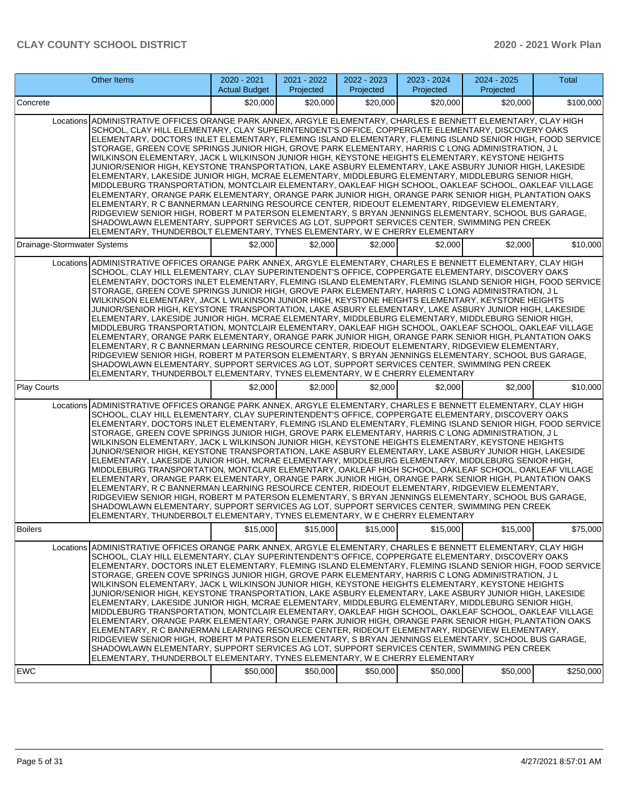|                                                                                                                                                                                                                                                                                                                                                                                                                                                                                                                                                                                                                                                                                                                                                                                                                                                                                                                                                                                                                                                                                                                                                                                                                                                                                                                                                                     | <b>Other Items</b>                                                                                                                                                                                                                                                                                                                                                                                                                                                                                                                                                                                                                                                                                                                                                                                                                                                                                                                                                                                                                                                                                                                                                                                                                                                                                                                                                  | 2020 - 2021<br><b>Actual Budget</b> | 2021 - 2022<br>Projected | 2022 - 2023<br>Projected | 2023 - 2024<br>Projected | 2024 - 2025<br>Projected | <b>Total</b> |  |  |
|---------------------------------------------------------------------------------------------------------------------------------------------------------------------------------------------------------------------------------------------------------------------------------------------------------------------------------------------------------------------------------------------------------------------------------------------------------------------------------------------------------------------------------------------------------------------------------------------------------------------------------------------------------------------------------------------------------------------------------------------------------------------------------------------------------------------------------------------------------------------------------------------------------------------------------------------------------------------------------------------------------------------------------------------------------------------------------------------------------------------------------------------------------------------------------------------------------------------------------------------------------------------------------------------------------------------------------------------------------------------|---------------------------------------------------------------------------------------------------------------------------------------------------------------------------------------------------------------------------------------------------------------------------------------------------------------------------------------------------------------------------------------------------------------------------------------------------------------------------------------------------------------------------------------------------------------------------------------------------------------------------------------------------------------------------------------------------------------------------------------------------------------------------------------------------------------------------------------------------------------------------------------------------------------------------------------------------------------------------------------------------------------------------------------------------------------------------------------------------------------------------------------------------------------------------------------------------------------------------------------------------------------------------------------------------------------------------------------------------------------------|-------------------------------------|--------------------------|--------------------------|--------------------------|--------------------------|--------------|--|--|
| Concrete                                                                                                                                                                                                                                                                                                                                                                                                                                                                                                                                                                                                                                                                                                                                                                                                                                                                                                                                                                                                                                                                                                                                                                                                                                                                                                                                                            |                                                                                                                                                                                                                                                                                                                                                                                                                                                                                                                                                                                                                                                                                                                                                                                                                                                                                                                                                                                                                                                                                                                                                                                                                                                                                                                                                                     | \$20,000                            | \$20,000                 | \$20,000                 | \$20,000                 | \$20,000                 | \$100,000    |  |  |
| Locations ADMINISTRATIVE OFFICES ORANGE PARK ANNEX, ARGYLE ELEMENTARY, CHARLES E BENNETT ELEMENTARY, CLAY HIGH<br>SCHOOL, CLAY HILL ELEMENTARY, CLAY SUPERINTENDENT'S OFFICE, COPPERGATE ELEMENTARY, DISCOVERY OAKS<br>ELEMENTARY, DOCTORS INLET ELEMENTARY, FLEMING ISLAND ELEMENTARY, FLEMING ISLAND SENIOR HIGH, FOOD SERVICE<br>STORAGE, GREEN COVE SPRINGS JUNIOR HIGH, GROVE PARK ELEMENTARY, HARRIS C LONG ADMINISTRATION, J L<br>WILKINSON ELEMENTARY, JACK L WILKINSON JUNIOR HIGH, KEYSTONE HEIGHTS ELEMENTARY, KEYSTONE HEIGHTS<br>JUNIOR/SENIOR HIGH, KEYSTONE TRANSPORTATION, LAKE ASBURY ELEMENTARY, LAKE ASBURY JUNIOR HIGH, LAKESIDE<br>ELEMENTARY, LAKESIDE JUNIOR HIGH, MCRAE ELEMENTARY, MIDDLEBURG ELEMENTARY, MIDDLEBURG SENIOR HIGH,<br>MIDDLEBURG TRANSPORTATION, MONTCLAIR ELEMENTARY, OAKLEAF HIGH SCHOOL, OAKLEAF SCHOOL, OAKLEAF VILLAGE<br>ELEMENTARY, ORANGE PARK ELEMENTARY, ORANGE PARK JUNIOR HIGH, ORANGE PARK SENIOR HIGH, PLANTATION OAKS<br>ELEMENTARY, R C BANNERMAN LEARNING RESOURCE CENTER, RIDEOUT ELEMENTARY, RIDGEVIEW ELEMENTARY,<br>RIDGEVIEW SENIOR HIGH, ROBERT M PATERSON ELEMENTARY, S BRYAN JENNINGS ELEMENTARY, SCHOOL BUS GARAGE,<br>SHADOWLAWN ELEMENTARY, SUPPORT SERVICES AG LOT, SUPPORT SERVICES CENTER, SWIMMING PEN CREEK<br>ELEMENTARY, THUNDERBOLT ELEMENTARY, TYNES ELEMENTARY, W E CHERRY ELEMENTARY |                                                                                                                                                                                                                                                                                                                                                                                                                                                                                                                                                                                                                                                                                                                                                                                                                                                                                                                                                                                                                                                                                                                                                                                                                                                                                                                                                                     |                                     |                          |                          |                          |                          |              |  |  |
| Drainage-Stormwater Systems                                                                                                                                                                                                                                                                                                                                                                                                                                                                                                                                                                                                                                                                                                                                                                                                                                                                                                                                                                                                                                                                                                                                                                                                                                                                                                                                         |                                                                                                                                                                                                                                                                                                                                                                                                                                                                                                                                                                                                                                                                                                                                                                                                                                                                                                                                                                                                                                                                                                                                                                                                                                                                                                                                                                     | \$2,000                             | \$2,000                  | \$2,000                  | \$2,000                  | \$2,000                  | \$10,000     |  |  |
|                                                                                                                                                                                                                                                                                                                                                                                                                                                                                                                                                                                                                                                                                                                                                                                                                                                                                                                                                                                                                                                                                                                                                                                                                                                                                                                                                                     | Locations ADMINISTRATIVE OFFICES ORANGE PARK ANNEX, ARGYLE ELEMENTARY, CHARLES E BENNETT ELEMENTARY, CLAY HIGH<br>SCHOOL, CLAY HILL ELEMENTARY, CLAY SUPERINTENDENT'S OFFICE, COPPERGATE ELEMENTARY, DISCOVERY OAKS<br>ELEMENTARY, DOCTORS INLET ELEMENTARY, FLEMING ISLAND ELEMENTARY, FLEMING ISLAND SENIOR HIGH, FOOD SERVICE<br>STORAGE, GREEN COVE SPRINGS JUNIOR HIGH, GROVE PARK ELEMENTARY, HARRIS C LONG ADMINISTRATION, J L<br>WILKINSON ELEMENTARY, JACK L WILKINSON JUNIOR HIGH, KEYSTONE HEIGHTS ELEMENTARY, KEYSTONE HEIGHTS<br>JUNIOR/SENIOR HIGH, KEYSTONE TRANSPORTATION, LAKE ASBURY ELEMENTARY, LAKE ASBURY JUNIOR HIGH, LAKESIDE<br>ELEMENTARY, LAKESIDE JUNIOR HIGH, MCRAE ELEMENTARY, MIDDLEBURG ELEMENTARY, MIDDLEBURG SENIOR HIGH,<br>MIDDLEBURG TRANSPORTATION, MONTCLAIR ELEMENTARY, OAKLEAF HIGH SCHOOL, OAKLEAF SCHOOL, OAKLEAF VILLAGE<br>ELEMENTARY, ORANGE PARK ELEMENTARY, ORANGE PARK JUNIOR HIGH, ORANGE PARK SENIOR HIGH, PLANTATION OAKS<br>ELEMENTARY, R C BANNERMAN LEARNING RESOURCE CENTER, RIDEOUT ELEMENTARY, RIDGEVIEW ELEMENTARY,<br>RIDGEVIEW SENIOR HIGH, ROBERT M PATERSON ELEMENTARY, S BRYAN JENNINGS ELEMENTARY, SCHOOL BUS GARAGE,<br>SHADOWLAWN ELEMENTARY, SUPPORT SERVICES AG LOT, SUPPORT SERVICES CENTER, SWIMMING PEN CREEK<br>ELEMENTARY, THUNDERBOLT ELEMENTARY, TYNES ELEMENTARY, W E CHERRY ELEMENTARY |                                     |                          |                          |                          |                          |              |  |  |
| Play Courts                                                                                                                                                                                                                                                                                                                                                                                                                                                                                                                                                                                                                                                                                                                                                                                                                                                                                                                                                                                                                                                                                                                                                                                                                                                                                                                                                         |                                                                                                                                                                                                                                                                                                                                                                                                                                                                                                                                                                                                                                                                                                                                                                                                                                                                                                                                                                                                                                                                                                                                                                                                                                                                                                                                                                     | \$2,000                             | \$2,000                  | \$2,000                  | \$2,000                  | \$2,000                  | \$10,000     |  |  |
|                                                                                                                                                                                                                                                                                                                                                                                                                                                                                                                                                                                                                                                                                                                                                                                                                                                                                                                                                                                                                                                                                                                                                                                                                                                                                                                                                                     | Locations ADMINISTRATIVE OFFICES ORANGE PARK ANNEX, ARGYLE ELEMENTARY, CHARLES E BENNETT ELEMENTARY, CLAY HIGH<br>SCHOOL, CLAY HILL ELEMENTARY, CLAY SUPERINTENDENT'S OFFICE, COPPERGATE ELEMENTARY, DISCOVERY OAKS<br>ELEMENTARY, DOCTORS INLET ELEMENTARY, FLEMING ISLAND ELEMENTARY, FLEMING ISLAND SENIOR HIGH, FOOD SERVICE<br>STORAGE, GREEN COVE SPRINGS JUNIOR HIGH, GROVE PARK ELEMENTARY, HARRIS C LONG ADMINISTRATION, J L<br>WILKINSON ELEMENTARY, JACK L WILKINSON JUNIOR HIGH, KEYSTONE HEIGHTS ELEMENTARY, KEYSTONE HEIGHTS<br>JUNIOR/SENIOR HIGH, KEYSTONE TRANSPORTATION, LAKE ASBURY ELEMENTARY, LAKE ASBURY JUNIOR HIGH, LAKESIDE<br>ELEMENTARY, LAKESIDE JUNIOR HIGH, MCRAE ELEMENTARY, MIDDLEBURG ELEMENTARY, MIDDLEBURG SENIOR HIGH,<br>MIDDLEBURG TRANSPORTATION, MONTCLAIR ELEMENTARY, OAKLEAF HIGH SCHOOL, OAKLEAF SCHOOL, OAKLEAF VILLAGE<br>ELEMENTARY, ORANGE PARK ELEMENTARY, ORANGE PARK JUNIOR HIGH, ORANGE PARK SENIOR HIGH, PLANTATION OAKS<br>ELEMENTARY, R C BANNERMAN LEARNING RESOURCE CENTER, RIDEOUT ELEMENTARY, RIDGEVIEW ELEMENTARY,<br>RIDGEVIEW SENIOR HIGH, ROBERT M PATERSON ELEMENTARY, S BRYAN JENNINGS ELEMENTARY, SCHOOL BUS GARAGE,<br>SHADOWLAWN ELEMENTARY, SUPPORT SERVICES AG LOT, SUPPORT SERVICES CENTER, SWIMMING PEN CREEK<br>ELEMENTARY, THUNDERBOLT ELEMENTARY, TYNES ELEMENTARY, W E CHERRY ELEMENTARY |                                     |                          |                          |                          |                          |              |  |  |
| Boilers                                                                                                                                                                                                                                                                                                                                                                                                                                                                                                                                                                                                                                                                                                                                                                                                                                                                                                                                                                                                                                                                                                                                                                                                                                                                                                                                                             |                                                                                                                                                                                                                                                                                                                                                                                                                                                                                                                                                                                                                                                                                                                                                                                                                                                                                                                                                                                                                                                                                                                                                                                                                                                                                                                                                                     | \$15,000                            | \$15,000                 | \$15,000                 | \$15,000                 | \$15,000                 | \$75,000     |  |  |
|                                                                                                                                                                                                                                                                                                                                                                                                                                                                                                                                                                                                                                                                                                                                                                                                                                                                                                                                                                                                                                                                                                                                                                                                                                                                                                                                                                     | Locations ADMINISTRATIVE OFFICES ORANGE PARK ANNEX, ARGYLE ELEMENTARY, CHARLES E BENNETT ELEMENTARY, CLAY HIGH<br>SCHOOL, CLAY HILL ELEMENTARY, CLAY SUPERINTENDENT'S OFFICE, COPPERGATE ELEMENTARY, DISCOVERY OAKS<br>ELEMENTARY, DOCTORS INLET ELEMENTARY, FLEMING ISLAND ELEMENTARY, FLEMING ISLAND SENIOR HIGH, FOOD SERVICE<br>STORAGE, GREEN COVE SPRINGS JUNIOR HIGH, GROVE PARK ELEMENTARY, HARRIS C LONG ADMINISTRATION, J L<br>WILKINSON ELEMENTARY, JACK L WILKINSON JUNIOR HIGH, KEYSTONE HEIGHTS ELEMENTARY, KEYSTONE HEIGHTS<br>JUNIOR/SENIOR HIGH, KEYSTONE TRANSPORTATION, LAKE ASBURY ELEMENTARY, LAKE ASBURY JUNIOR HIGH, LAKESIDE<br>ELEMENTARY, LAKESIDE JUNIOR HIGH, MCRAE ELEMENTARY, MIDDLEBURG ELEMENTARY, MIDDLEBURG SENIOR HIGH,<br>MIDDLEBURG TRANSPORTATION, MONTCLAIR ELEMENTARY, OAKLEAF HIGH SCHOOL, OAKLEAF SCHOOL, OAKLEAF VILLAGE<br>ELEMENTARY, ORANGE PARK ELEMENTARY, ORANGE PARK JUNIOR HIGH, ORANGE PARK SENIOR HIGH, PLANTATION OAKS<br>ELEMENTARY, R C BANNERMAN LEARNING RESOURCE CENTER, RIDEOUT ELEMENTARY, RIDGEVIEW ELEMENTARY,<br>RIDGEVIEW SENIOR HIGH, ROBERT M PATERSON ELEMENTARY, S BRYAN JENNINGS ELEMENTARY, SCHOOL BUS GARAGE,<br>SHADOWLAWN ELEMENTARY, SUPPORT SERVICES AG LOT, SUPPORT SERVICES CENTER, SWIMMING PEN CREEK<br>ELEMENTARY, THUNDERBOLT ELEMENTARY, TYNES ELEMENTARY, W E CHERRY ELEMENTARY |                                     |                          |                          |                          |                          |              |  |  |
| <b>EWC</b>                                                                                                                                                                                                                                                                                                                                                                                                                                                                                                                                                                                                                                                                                                                                                                                                                                                                                                                                                                                                                                                                                                                                                                                                                                                                                                                                                          |                                                                                                                                                                                                                                                                                                                                                                                                                                                                                                                                                                                                                                                                                                                                                                                                                                                                                                                                                                                                                                                                                                                                                                                                                                                                                                                                                                     | \$50,000                            | \$50,000                 | \$50,000                 | \$50,000                 | \$50,000                 | \$250,000    |  |  |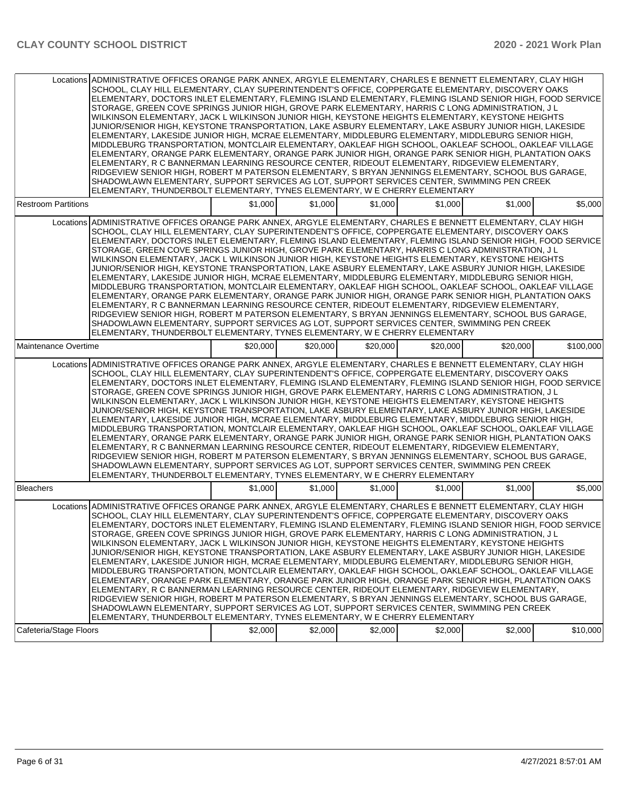| Locations ADMINISTRATIVE OFFICES ORANGE PARK ANNEX, ARGYLE ELEMENTARY, CHARLES E BENNETT ELEMENTARY, CLAY HIGH<br>SCHOOL, CLAY HILL ELEMENTARY, CLAY SUPERINTENDENT'S OFFICE, COPPERGATE ELEMENTARY, DISCOVERY OAKS<br>ELEMENTARY, DOCTORS INLET ELEMENTARY, FLEMING ISLAND ELEMENTARY, FLEMING ISLAND SENIOR HIGH, FOOD SERVICE<br>STORAGE, GREEN COVE SPRINGS JUNIOR HIGH, GROVE PARK ELEMENTARY, HARRIS C LONG ADMINISTRATION, J L<br>WILKINSON ELEMENTARY, JACK L WILKINSON JUNIOR HIGH, KEYSTONE HEIGHTS ELEMENTARY, KEYSTONE HEIGHTS<br>JUNIOR/SENIOR HIGH. KEYSTONE TRANSPORTATION. LAKE ASBURY ELEMENTARY. LAKE ASBURY JUNIOR HIGH. LAKESIDE<br>ELEMENTARY, LAKESIDE JUNIOR HIGH, MCRAE ELEMENTARY, MIDDLEBURG ELEMENTARY, MIDDLEBURG SENIOR HIGH,<br>MIDDLEBURG TRANSPORTATION, MONTCLAIR ELEMENTARY, OAKLEAF HIGH SCHOOL, OAKLEAF SCHOOL, OAKLEAF VILLAGE<br>ELEMENTARY, ORANGE PARK ELEMENTARY, ORANGE PARK JUNIOR HIGH, ORANGE PARK SENIOR HIGH, PLANTATION OAKS<br>ELEMENTARY, R C BANNERMAN LEARNING RESOURCE CENTER, RIDEOUT ELEMENTARY, RIDGEVIEW ELEMENTARY,<br>RIDGEVIEW SENIOR HIGH, ROBERT M PATERSON ELEMENTARY, S BRYAN JENNINGS ELEMENTARY, SCHOOL BUS GARAGE,<br>SHADOWLAWN ELEMENTARY, SUPPORT SERVICES AG LOT, SUPPORT SERVICES CENTER, SWIMMING PEN CREEK<br>ELEMENTARY, THUNDERBOLT ELEMENTARY, TYNES ELEMENTARY, W E CHERRY ELEMENTARY |          |          |          |          |          |           |
|---------------------------------------------------------------------------------------------------------------------------------------------------------------------------------------------------------------------------------------------------------------------------------------------------------------------------------------------------------------------------------------------------------------------------------------------------------------------------------------------------------------------------------------------------------------------------------------------------------------------------------------------------------------------------------------------------------------------------------------------------------------------------------------------------------------------------------------------------------------------------------------------------------------------------------------------------------------------------------------------------------------------------------------------------------------------------------------------------------------------------------------------------------------------------------------------------------------------------------------------------------------------------------------------------------------------------------------------------------------------|----------|----------|----------|----------|----------|-----------|
| <b>Restroom Partitions</b>                                                                                                                                                                                                                                                                                                                                                                                                                                                                                                                                                                                                                                                                                                                                                                                                                                                                                                                                                                                                                                                                                                                                                                                                                                                                                                                                          | \$1.000  | \$1,000  | \$1,000  | \$1,000  | \$1,000  | \$5,000   |
| Locations ADMINISTRATIVE OFFICES ORANGE PARK ANNEX. ARGYLE ELEMENTARY. CHARLES E BENNETT ELEMENTARY. CLAY HIGH<br>SCHOOL, CLAY HILL ELEMENTARY, CLAY SUPERINTENDENT'S OFFICE, COPPERGATE ELEMENTARY, DISCOVERY OAKS<br>ELEMENTARY, DOCTORS INLET ELEMENTARY, FLEMING ISLAND ELEMENTARY, FLEMING ISLAND SENIOR HIGH, FOOD SERVICE<br>STORAGE, GREEN COVE SPRINGS JUNIOR HIGH, GROVE PARK ELEMENTARY, HARRIS CLONG ADMINISTRATION, JL<br>WILKINSON ELEMENTARY, JACK L WILKINSON JUNIOR HIGH, KEYSTONE HEIGHTS ELEMENTARY, KEYSTONE HEIGHTS<br>JUNIOR/SENIOR HIGH, KEYSTONE TRANSPORTATION, LAKE ASBURY ELEMENTARY, LAKE ASBURY JUNIOR HIGH, LAKESIDE<br>ELEMENTARY, LAKESIDE JUNIOR HIGH, MCRAE ELEMENTARY, MIDDLEBURG ELEMENTARY, MIDDLEBURG SENIOR HIGH,<br>MIDDLEBURG TRANSPORTATION, MONTCLAIR ELEMENTARY, OAKLEAF HIGH SCHOOL, OAKLEAF SCHOOL, OAKLEAF VILLAGE<br>ELEMENTARY, ORANGE PARK ELEMENTARY, ORANGE PARK JUNIOR HIGH, ORANGE PARK SENIOR HIGH, PLANTATION OAKS<br>ELEMENTARY, R C BANNERMAN LEARNING RESOURCE CENTER, RIDEOUT ELEMENTARY, RIDGEVIEW ELEMENTARY,<br>RIDGEVIEW SENIOR HIGH, ROBERT M PATERSON ELEMENTARY, S BRYAN JENNINGS ELEMENTARY, SCHOOL BUS GARAGE,<br>SHADOWLAWN ELEMENTARY, SUPPORT SERVICES AG LOT, SUPPORT SERVICES CENTER, SWIMMING PEN CREEK<br>ELEMENTARY, THUNDERBOLT ELEMENTARY, TYNES ELEMENTARY, W E CHERRY ELEMENTARY   |          |          |          |          |          |           |
| Maintenance Overtime                                                                                                                                                                                                                                                                                                                                                                                                                                                                                                                                                                                                                                                                                                                                                                                                                                                                                                                                                                                                                                                                                                                                                                                                                                                                                                                                                | \$20,000 | \$20,000 | \$20,000 | \$20,000 | \$20,000 | \$100,000 |
| Locations ADMINISTRATIVE OFFICES ORANGE PARK ANNEX, ARGYLE ELEMENTARY, CHARLES E BENNETT ELEMENTARY, CLAY HIGH<br>SCHOOL, CLAY HILL ELEMENTARY, CLAY SUPERINTENDENT'S OFFICE, COPPERGATE ELEMENTARY, DISCOVERY OAKS<br>ELEMENTARY, DOCTORS INLET ELEMENTARY, FLEMING ISLAND ELEMENTARY, FLEMING ISLAND SENIOR HIGH, FOOD SERVICE<br>STORAGE, GREEN COVE SPRINGS JUNIOR HIGH, GROVE PARK ELEMENTARY, HARRIS C LONG ADMINISTRATION, J L<br>WILKINSON ELEMENTARY, JACK L WILKINSON JUNIOR HIGH, KEYSTONE HEIGHTS ELEMENTARY, KEYSTONE HEIGHTS<br>JUNIOR/SENIOR HIGH, KEYSTONE TRANSPORTATION, LAKE ASBURY ELEMENTARY, LAKE ASBURY JUNIOR HIGH, LAKESIDE<br>ELEMENTARY, LAKESIDE JUNIOR HIGH, MCRAE ELEMENTARY, MIDDLEBURG ELEMENTARY, MIDDLEBURG SENIOR HIGH,<br>MIDDLEBURG TRANSPORTATION, MONTCLAIR ELEMENTARY, OAKLEAF HIGH SCHOOL, OAKLEAF SCHOOL, OAKLEAF VILLAGE<br>ELEMENTARY, ORANGE PARK ELEMENTARY, ORANGE PARK JUNIOR HIGH, ORANGE PARK SENIOR HIGH, PLANTATION OAKS<br>ELEMENTARY, R C BANNERMAN LEARNING RESOURCE CENTER, RIDEOUT ELEMENTARY, RIDGEVIEW ELEMENTARY,<br>RIDGEVIEW SENIOR HIGH, ROBERT M PATERSON ELEMENTARY, S BRYAN JENNINGS ELEMENTARY, SCHOOL BUS GARAGE,<br>SHADOWLAWN ELEMENTARY, SUPPORT SERVICES AG LOT, SUPPORT SERVICES CENTER, SWIMMING PEN CREEK<br>ELEMENTARY, THUNDERBOLT ELEMENTARY, TYNES ELEMENTARY, W E CHERRY ELEMENTARY |          |          |          |          |          |           |
| <b>Bleachers</b>                                                                                                                                                                                                                                                                                                                                                                                                                                                                                                                                                                                                                                                                                                                                                                                                                                                                                                                                                                                                                                                                                                                                                                                                                                                                                                                                                    | \$1,000  | \$1.000  | \$1,000  | \$1,000  | \$1.000  | \$5,000   |
| Locations ADMINISTRATIVE OFFICES ORANGE PARK ANNEX, ARGYLE ELEMENTARY, CHARLES E BENNETT ELEMENTARY, CLAY HIGH<br>SCHOOL, CLAY HILL ELEMENTARY, CLAY SUPERINTENDENT'S OFFICE, COPPERGATE ELEMENTARY, DISCOVERY OAKS<br>ELEMENTARY, DOCTORS INLET ELEMENTARY, FLEMING ISLAND ELEMENTARY, FLEMING ISLAND SENIOR HIGH, FOOD SERVICE<br>STORAGE, GREEN COVE SPRINGS JUNIOR HIGH, GROVE PARK ELEMENTARY, HARRIS C LONG ADMINISTRATION, J L<br>WILKINSON ELEMENTARY, JACK L WILKINSON JUNIOR HIGH, KEYSTONE HEIGHTS ELEMENTARY, KEYSTONE HEIGHTS<br>JUNIOR/SENIOR HIGH, KEYSTONE TRANSPORTATION, LAKE ASBURY ELEMENTARY, LAKE ASBURY JUNIOR HIGH, LAKESIDE<br>ELEMENTARY, LAKESIDE JUNIOR HIGH, MCRAE ELEMENTARY, MIDDLEBURG ELEMENTARY, MIDDLEBURG SENIOR HIGH,<br>MIDDLEBURG TRANSPORTATION, MONTCLAIR ELEMENTARY, OAKLEAF HIGH SCHOOL, OAKLEAF SCHOOL, OAKLEAF VILLAGE<br>ELEMENTARY, ORANGE PARK ELEMENTARY, ORANGE PARK JUNIOR HIGH, ORANGE PARK SENIOR HIGH, PLANTATION OAKS<br>ELEMENTARY, R C BANNERMAN LEARNING RESOURCE CENTER, RIDEOUT ELEMENTARY, RIDGEVIEW ELEMENTARY,<br>RIDGEVIEW SENIOR HIGH, ROBERT M PATERSON ELEMENTARY, S BRYAN JENNINGS ELEMENTARY, SCHOOL BUS GARAGE,<br>SHADOWLAWN ELEMENTARY, SUPPORT SERVICES AG LOT, SUPPORT SERVICES CENTER, SWIMMING PEN CREEK<br>ELEMENTARY, THUNDERBOLT ELEMENTARY, TYNES ELEMENTARY, W E CHERRY ELEMENTARY |          |          |          |          |          |           |
| Cafeteria/Stage Floors                                                                                                                                                                                                                                                                                                                                                                                                                                                                                                                                                                                                                                                                                                                                                                                                                                                                                                                                                                                                                                                                                                                                                                                                                                                                                                                                              | \$2,000  | \$2,000  | \$2,000  | \$2,000  | \$2,000  | \$10,000  |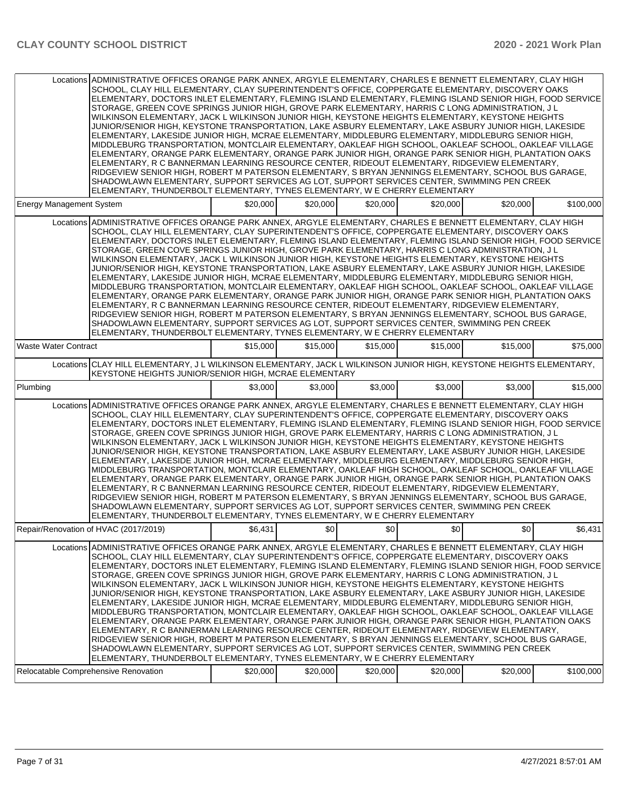|                                       | Locations ADMINISTRATIVE OFFICES ORANGE PARK ANNEX, ARGYLE ELEMENTARY, CHARLES E BENNETT ELEMENTARY, CLAY HIGH<br>SCHOOL, CLAY HILL ELEMENTARY, CLAY SUPERINTENDENT'S OFFICE, COPPERGATE ELEMENTARY, DISCOVERY OAKS<br>ELEMENTARY, DOCTORS INLET ELEMENTARY, FLEMING ISLAND ELEMENTARY, FLEMING ISLAND SENIOR HIGH, FOOD SERVICE<br>STORAGE, GREEN COVE SPRINGS JUNIOR HIGH, GROVE PARK ELEMENTARY, HARRIS C LONG ADMINISTRATION, J L<br>WILKINSON ELEMENTARY, JACK L WILKINSON JUNIOR HIGH, KEYSTONE HEIGHTS ELEMENTARY, KEYSTONE HEIGHTS<br>JUNIOR/SENIOR HIGH, KEYSTONE TRANSPORTATION, LAKE ASBURY ELEMENTARY, LAKE ASBURY JUNIOR HIGH, LAKESIDE<br>ELEMENTARY, LAKESIDE JUNIOR HIGH, MCRAE ELEMENTARY, MIDDLEBURG ELEMENTARY, MIDDLEBURG SENIOR HIGH,<br>MIDDLEBURG TRANSPORTATION, MONTCLAIR ELEMENTARY, OAKLEAF HIGH SCHOOL, OAKLEAF SCHOOL, OAKLEAF VILLAGE<br>ELEMENTARY, ORANGE PARK ELEMENTARY, ORANGE PARK JUNIOR HIGH, ORANGE PARK SENIOR HIGH, PLANTATION OAKS<br>ELEMENTARY, R C BANNERMAN LEARNING RESOURCE CENTER, RIDEOUT ELEMENTARY, RIDGEVIEW ELEMENTARY,<br>RIDGEVIEW SENIOR HIGH, ROBERT M PATERSON ELEMENTARY, S BRYAN JENNINGS ELEMENTARY, SCHOOL BUS GARAGE,<br>SHADOWLAWN ELEMENTARY, SUPPORT SERVICES AG LOT, SUPPORT SERVICES CENTER, SWIMMING PEN CREEK<br>IELEMENTARY. THUNDERBOLT ELEMENTARY. TYNES ELEMENTARY. W E CHERRY ELEMENTARY |          |          |          |          |          |           |
|---------------------------------------|----------------------------------------------------------------------------------------------------------------------------------------------------------------------------------------------------------------------------------------------------------------------------------------------------------------------------------------------------------------------------------------------------------------------------------------------------------------------------------------------------------------------------------------------------------------------------------------------------------------------------------------------------------------------------------------------------------------------------------------------------------------------------------------------------------------------------------------------------------------------------------------------------------------------------------------------------------------------------------------------------------------------------------------------------------------------------------------------------------------------------------------------------------------------------------------------------------------------------------------------------------------------------------------------------------------------------------------------------------------------|----------|----------|----------|----------|----------|-----------|
| <b>Energy Management System</b>       |                                                                                                                                                                                                                                                                                                                                                                                                                                                                                                                                                                                                                                                                                                                                                                                                                                                                                                                                                                                                                                                                                                                                                                                                                                                                                                                                                                      | \$20,000 | \$20,000 | \$20,000 | \$20,000 | \$20,000 | \$100.000 |
|                                       | Locations ADMINISTRATIVE OFFICES ORANGE PARK ANNEX, ARGYLE ELEMENTARY, CHARLES E BENNETT ELEMENTARY, CLAY HIGH<br>SCHOOL, CLAY HILL ELEMENTARY, CLAY SUPERINTENDENT'S OFFICE, COPPERGATE ELEMENTARY, DISCOVERY OAKS<br>ELEMENTARY, DOCTORS INLET ELEMENTARY, FLEMING ISLAND ELEMENTARY, FLEMING ISLAND SENIOR HIGH, FOOD SERVICE<br>STORAGE, GREEN COVE SPRINGS JUNIOR HIGH, GROVE PARK ELEMENTARY, HARRIS C LONG ADMINISTRATION, J L<br>WILKINSON ELEMENTARY, JACK L WILKINSON JUNIOR HIGH, KEYSTONE HEIGHTS ELEMENTARY, KEYSTONE HEIGHTS<br>JUNIOR/SENIOR HIGH, KEYSTONE TRANSPORTATION, LAKE ASBURY ELEMENTARY, LAKE ASBURY JUNIOR HIGH, LAKESIDE<br>ELEMENTARY, LAKESIDE JUNIOR HIGH, MCRAE ELEMENTARY, MIDDLEBURG ELEMENTARY, MIDDLEBURG SENIOR HIGH,<br>MIDDLEBURG TRANSPORTATION, MONTCLAIR ELEMENTARY, OAKLEAF HIGH SCHOOL, OAKLEAF SCHOOL, OAKLEAF VILLAGE<br>ELEMENTARY, ORANGE PARK ELEMENTARY, ORANGE PARK JUNIOR HIGH, ORANGE PARK SENIOR HIGH, PLANTATION OAKS<br>ELEMENTARY, R C BANNERMAN LEARNING RESOURCE CENTER, RIDEOUT ELEMENTARY, RIDGEVIEW ELEMENTARY,<br>RIDGEVIEW SENIOR HIGH. ROBERT M PATERSON ELEMENTARY. S BRYAN JENNINGS ELEMENTARY. SCHOOL BUS GARAGE.<br>SHADOWLAWN ELEMENTARY, SUPPORT SERVICES AG LOT, SUPPORT SERVICES CENTER, SWIMMING PEN CREEK<br>ELEMENTARY, THUNDERBOLT ELEMENTARY, TYNES ELEMENTARY, W E CHERRY ELEMENTARY  |          |          |          |          |          |           |
| <b>Waste Water Contract</b>           |                                                                                                                                                                                                                                                                                                                                                                                                                                                                                                                                                                                                                                                                                                                                                                                                                                                                                                                                                                                                                                                                                                                                                                                                                                                                                                                                                                      | \$15,000 | \$15,000 | \$15,000 | \$15,000 | \$15,000 | \$75,000  |
|                                       | Locations CLAY HILL ELEMENTARY, J L WILKINSON ELEMENTARY, JACK L WILKINSON JUNIOR HIGH, KEYSTONE HEIGHTS ELEMENTARY,<br>KEYSTONE HEIGHTS JUNIOR/SENIOR HIGH, MCRAE ELEMENTARY                                                                                                                                                                                                                                                                                                                                                                                                                                                                                                                                                                                                                                                                                                                                                                                                                                                                                                                                                                                                                                                                                                                                                                                        |          |          |          |          |          |           |
| Plumbing                              |                                                                                                                                                                                                                                                                                                                                                                                                                                                                                                                                                                                                                                                                                                                                                                                                                                                                                                                                                                                                                                                                                                                                                                                                                                                                                                                                                                      | \$3,000  | \$3,000  | \$3,000  | \$3,000  | \$3,000  | \$15,000  |
|                                       | Locations ADMINISTRATIVE OFFICES ORANGE PARK ANNEX, ARGYLE ELEMENTARY, CHARLES E BENNETT ELEMENTARY, CLAY HIGH<br>SCHOOL, CLAY HILL ELEMENTARY, CLAY SUPERINTENDENT'S OFFICE, COPPERGATE ELEMENTARY, DISCOVERY OAKS<br>ELEMENTARY, DOCTORS INLET ELEMENTARY, FLEMING ISLAND ELEMENTARY, FLEMING ISLAND SENIOR HIGH, FOOD SERVICE<br>STORAGE, GREEN COVE SPRINGS JUNIOR HIGH, GROVE PARK ELEMENTARY, HARRIS C LONG ADMINISTRATION, J L<br>WILKINSON ELEMENTARY, JACK L WILKINSON JUNIOR HIGH, KEYSTONE HEIGHTS ELEMENTARY, KEYSTONE HEIGHTS<br>JUNIOR/SENIOR HIGH, KEYSTONE TRANSPORTATION, LAKE ASBURY ELEMENTARY, LAKE ASBURY JUNIOR HIGH, LAKESIDE<br>ELEMENTARY, LAKESIDE JUNIOR HIGH, MCRAE ELEMENTARY, MIDDLEBURG ELEMENTARY, MIDDLEBURG SENIOR HIGH,<br>MIDDLEBURG TRANSPORTATION, MONTCLAIR ELEMENTARY, OAKLEAF HIGH SCHOOL, OAKLEAF SCHOOL, OAKLEAF VILLAGE<br>ELEMENTARY, ORANGE PARK ELEMENTARY, ORANGE PARK JUNIOR HIGH, ORANGE PARK SENIOR HIGH, PLANTATION OAKS<br>ELEMENTARY, R C BANNERMAN LEARNING RESOURCE CENTER, RIDEOUT ELEMENTARY, RIDGEVIEW ELEMENTARY,<br>RIDGEVIEW SENIOR HIGH, ROBERT M PATERSON ELEMENTARY, S BRYAN JENNINGS ELEMENTARY, SCHOOL BUS GARAGE,<br>SHADOWLAWN ELEMENTARY, SUPPORT SERVICES AG LOT, SUPPORT SERVICES CENTER, SWIMMING PEN CREEK<br>ELEMENTARY, THUNDERBOLT ELEMENTARY, TYNES ELEMENTARY, W E CHERRY ELEMENTARY  |          |          |          |          |          |           |
| Repair/Renovation of HVAC (2017/2019) |                                                                                                                                                                                                                                                                                                                                                                                                                                                                                                                                                                                                                                                                                                                                                                                                                                                                                                                                                                                                                                                                                                                                                                                                                                                                                                                                                                      | \$6,431  | \$٥Ι     | \$0      | \$0      | \$0      | \$6,431   |
|                                       | Locations ADMINISTRATIVE OFFICES ORANGE PARK ANNEX, ARGYLE ELEMENTARY, CHARLES E BENNETT ELEMENTARY, CLAY HIGH<br>SCHOOL, CLAY HILL ELEMENTARY, CLAY SUPERINTENDENT'S OFFICE, COPPERGATE ELEMENTARY, DISCOVERY OAKS<br>IELEMENTARY. DOCTORS INLET ELEMENTARY. FLEMING ISLAND ELEMENTARY. FLEMING ISLAND SENIOR HIGH. FOOD SERVICE<br>STORAGE, GREEN COVE SPRINGS JUNIOR HIGH, GROVE PARK ELEMENTARY, HARRIS C LONG ADMINISTRATION, J L<br>WILKINSON ELEMENTARY, JACK L WILKINSON JUNIOR HIGH, KEYSTONE HEIGHTS ELEMENTARY, KEYSTONE HEIGHTS<br>JUNIOR/SENIOR HIGH, KEYSTONE TRANSPORTATION, LAKE ASBURY ELEMENTARY, LAKE ASBURY JUNIOR HIGH, LAKESIDE<br>ELEMENTARY, LAKESIDE JUNIOR HIGH, MCRAE ELEMENTARY, MIDDLEBURG ELEMENTARY, MIDDLEBURG SENIOR HIGH,<br>MIDDLEBURG TRANSPORTATION, MONTCLAIR ELEMENTARY, OAKLEAF HIGH SCHOOL, OAKLEAF SCHOOL, OAKLEAF VILLAGE<br>ELEMENTARY, ORANGE PARK ELEMENTARY, ORANGE PARK JUNIOR HIGH, ORANGE PARK SENIOR HIGH, PLANTATION OAKS<br>ELEMENTARY, R C BANNERMAN LEARNING RESOURCE CENTER, RIDEOUT ELEMENTARY, RIDGEVIEW ELEMENTARY,<br>RIDGEVIEW SENIOR HIGH. ROBERT M PATERSON ELEMENTARY. S BRYAN JENNINGS ELEMENTARY. SCHOOL BUS GARAGE.<br>SHADOWLAWN ELEMENTARY, SUPPORT SERVICES AG LOT, SUPPORT SERVICES CENTER, SWIMMING PEN CREEK<br>ELEMENTARY, THUNDERBOLT ELEMENTARY, TYNES ELEMENTARY, W E CHERRY ELEMENTARY |          |          |          |          |          |           |
| Relocatable Comprehensive Renovation  |                                                                                                                                                                                                                                                                                                                                                                                                                                                                                                                                                                                                                                                                                                                                                                                                                                                                                                                                                                                                                                                                                                                                                                                                                                                                                                                                                                      | \$20,000 | \$20,000 | \$20,000 | \$20,000 | \$20,000 | \$100,000 |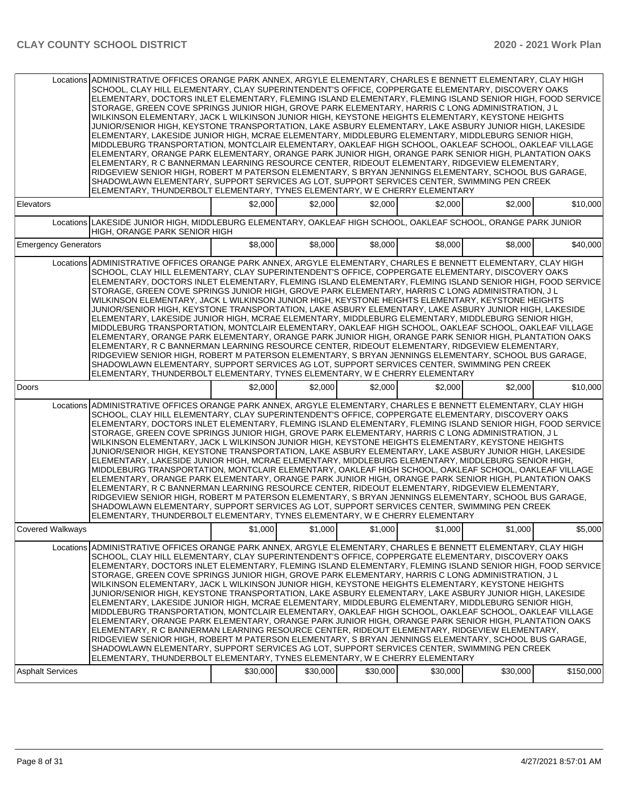| Locations ADMINISTRATIVE OFFICES ORANGE PARK ANNEX, ARGYLE ELEMENTARY, CHARLES E BENNETT ELEMENTARY, CLAY HIGH<br>SCHOOL, CLAY HILL ELEMENTARY, CLAY SUPERINTENDENT'S OFFICE, COPPERGATE ELEMENTARY, DISCOVERY OAKS<br>ELEMENTARY, DOCTORS INLET ELEMENTARY, FLEMING ISLAND ELEMENTARY, FLEMING ISLAND SENIOR HIGH, FOOD SERVICE<br>STORAGE, GREEN COVE SPRINGS JUNIOR HIGH, GROVE PARK ELEMENTARY, HARRIS C LONG ADMINISTRATION, J L<br>WILKINSON ELEMENTARY, JACK L WILKINSON JUNIOR HIGH, KEYSTONE HEIGHTS ELEMENTARY, KEYSTONE HEIGHTS<br>JUNIOR/SENIOR HIGH, KEYSTONE TRANSPORTATION, LAKE ASBURY ELEMENTARY, LAKE ASBURY JUNIOR HIGH, LAKESIDE<br>ELEMENTARY, LAKESIDE JUNIOR HIGH, MCRAE ELEMENTARY, MIDDLEBURG ELEMENTARY, MIDDLEBURG SENIOR HIGH,<br>MIDDLEBURG TRANSPORTATION, MONTCLAIR ELEMENTARY, OAKLEAF HIGH SCHOOL, OAKLEAF SCHOOL, OAKLEAF VILLAGE<br>ELEMENTARY, ORANGE PARK ELEMENTARY, ORANGE PARK JUNIOR HIGH, ORANGE PARK SENIOR HIGH, PLANTATION OAKS<br>ELEMENTARY, R C BANNERMAN LEARNING RESOURCE CENTER, RIDEOUT ELEMENTARY, RIDGEVIEW ELEMENTARY,<br>RIDGEVIEW SENIOR HIGH, ROBERT M PATERSON ELEMENTARY, S BRYAN JENNINGS ELEMENTARY, SCHOOL BUS GARAGE,<br>SHADOWLAWN ELEMENTARY, SUPPORT SERVICES AG LOT, SUPPORT SERVICES CENTER, SWIMMING PEN CREEK<br>ELEMENTARY, THUNDERBOLT ELEMENTARY, TYNES ELEMENTARY, W E CHERRY ELEMENTARY |          |          |          |          |          |           |
|---------------------------------------------------------------------------------------------------------------------------------------------------------------------------------------------------------------------------------------------------------------------------------------------------------------------------------------------------------------------------------------------------------------------------------------------------------------------------------------------------------------------------------------------------------------------------------------------------------------------------------------------------------------------------------------------------------------------------------------------------------------------------------------------------------------------------------------------------------------------------------------------------------------------------------------------------------------------------------------------------------------------------------------------------------------------------------------------------------------------------------------------------------------------------------------------------------------------------------------------------------------------------------------------------------------------------------------------------------------------|----------|----------|----------|----------|----------|-----------|
| Elevators                                                                                                                                                                                                                                                                                                                                                                                                                                                                                                                                                                                                                                                                                                                                                                                                                                                                                                                                                                                                                                                                                                                                                                                                                                                                                                                                                           | \$2,000  | \$2,000  | \$2,000  | \$2,000  | \$2,000  | \$10,000  |
| Locations LAKESIDE JUNIOR HIGH, MIDDLEBURG ELEMENTARY, OAKLEAF HIGH SCHOOL, OAKLEAF SCHOOL, ORANGE PARK JUNIOR<br>HIGH, ORANGE PARK SENIOR HIGH                                                                                                                                                                                                                                                                                                                                                                                                                                                                                                                                                                                                                                                                                                                                                                                                                                                                                                                                                                                                                                                                                                                                                                                                                     |          |          |          |          |          |           |
| <b>Emergency Generators</b>                                                                                                                                                                                                                                                                                                                                                                                                                                                                                                                                                                                                                                                                                                                                                                                                                                                                                                                                                                                                                                                                                                                                                                                                                                                                                                                                         | \$8,000  | \$8,000  | \$8,000  | \$8,000  | \$8,000  | \$40,000  |
| Locations ADMINISTRATIVE OFFICES ORANGE PARK ANNEX, ARGYLE ELEMENTARY, CHARLES E BENNETT ELEMENTARY, CLAY HIGH<br>SCHOOL, CLAY HILL ELEMENTARY, CLAY SUPERINTENDENT'S OFFICE, COPPERGATE ELEMENTARY, DISCOVERY OAKS<br>ELEMENTARY, DOCTORS INLET ELEMENTARY, FLEMING ISLAND ELEMENTARY, FLEMING ISLAND SENIOR HIGH, FOOD SERVICE<br>STORAGE, GREEN COVE SPRINGS JUNIOR HIGH, GROVE PARK ELEMENTARY, HARRIS C LONG ADMINISTRATION, J L<br>WILKINSON ELEMENTARY, JACK L WILKINSON JUNIOR HIGH, KEYSTONE HEIGHTS ELEMENTARY, KEYSTONE HEIGHTS<br>JUNIOR/SENIOR HIGH. KEYSTONE TRANSPORTATION. LAKE ASBURY ELEMENTARY. LAKE ASBURY JUNIOR HIGH. LAKESIDE<br>ELEMENTARY, LAKESIDE JUNIOR HIGH, MCRAE ELEMENTARY, MIDDLEBURG ELEMENTARY, MIDDLEBURG SENIOR HIGH,<br>MIDDLEBURG TRANSPORTATION, MONTCLAIR ELEMENTARY, OAKLEAF HIGH SCHOOL, OAKLEAF SCHOOL, OAKLEAF VILLAGE<br>ELEMENTARY, ORANGE PARK ELEMENTARY, ORANGE PARK JUNIOR HIGH, ORANGE PARK SENIOR HIGH, PLANTATION OAKS<br>ELEMENTARY, R C BANNERMAN LEARNING RESOURCE CENTER, RIDEOUT ELEMENTARY, RIDGEVIEW ELEMENTARY,<br>RIDGEVIEW SENIOR HIGH, ROBERT M PATERSON ELEMENTARY, S BRYAN JENNINGS ELEMENTARY, SCHOOL BUS GARAGE,<br>SHADOWLAWN ELEMENTARY, SUPPORT SERVICES AG LOT, SUPPORT SERVICES CENTER, SWIMMING PEN CREEK<br>ELEMENTARY, THUNDERBOLT ELEMENTARY, TYNES ELEMENTARY, W E CHERRY ELEMENTARY |          |          |          |          |          |           |
| Doors                                                                                                                                                                                                                                                                                                                                                                                                                                                                                                                                                                                                                                                                                                                                                                                                                                                                                                                                                                                                                                                                                                                                                                                                                                                                                                                                                               | \$2,000  | \$2,000  | \$2,000  | \$2,000  | \$2,000  | \$10,000  |
| Locations ADMINISTRATIVE OFFICES ORANGE PARK ANNEX, ARGYLE ELEMENTARY, CHARLES E BENNETT ELEMENTARY, CLAY HIGH<br>SCHOOL, CLAY HILL ELEMENTARY, CLAY SUPERINTENDENT'S OFFICE, COPPERGATE ELEMENTARY, DISCOVERY OAKS<br>ELEMENTARY, DOCTORS INLET ELEMENTARY, FLEMING ISLAND ELEMENTARY, FLEMING ISLAND SENIOR HIGH, FOOD SERVICE<br>STORAGE, GREEN COVE SPRINGS JUNIOR HIGH, GROVE PARK ELEMENTARY, HARRIS C LONG ADMINISTRATION, J L<br>WILKINSON ELEMENTARY, JACK L WILKINSON JUNIOR HIGH, KEYSTONE HEIGHTS ELEMENTARY, KEYSTONE HEIGHTS<br>JUNIOR/SENIOR HIGH, KEYSTONE TRANSPORTATION, LAKE ASBURY ELEMENTARY, LAKE ASBURY JUNIOR HIGH, LAKESIDE<br>ELEMENTARY, LAKESIDE JUNIOR HIGH, MCRAE ELEMENTARY, MIDDLEBURG ELEMENTARY, MIDDLEBURG SENIOR HIGH,<br>MIDDLEBURG TRANSPORTATION, MONTCLAIR ELEMENTARY, OAKLEAF HIGH SCHOOL, OAKLEAF SCHOOL, OAKLEAF VILLAGE<br>ELEMENTARY, ORANGE PARK ELEMENTARY, ORANGE PARK JUNIOR HIGH, ORANGE PARK SENIOR HIGH, PLANTATION OAKS<br>ELEMENTARY, R C BANNERMAN LEARNING RESOURCE CENTER, RIDEOUT ELEMENTARY, RIDGEVIEW ELEMENTARY,<br>RIDGEVIEW SENIOR HIGH, ROBERT M PATERSON ELEMENTARY, S BRYAN JENNINGS ELEMENTARY, SCHOOL BUS GARAGE,<br>SHADOWLAWN ELEMENTARY, SUPPORT SERVICES AG LOT, SUPPORT SERVICES CENTER, SWIMMING PEN CREEK<br>ELEMENTARY, THUNDERBOLT ELEMENTARY, TYNES ELEMENTARY, W E CHERRY ELEMENTARY |          |          |          |          |          |           |
| <b>Covered Walkways</b>                                                                                                                                                                                                                                                                                                                                                                                                                                                                                                                                                                                                                                                                                                                                                                                                                                                                                                                                                                                                                                                                                                                                                                                                                                                                                                                                             | \$1,000  | \$1,000  | \$1,000  | \$1,000  | \$1,000  | \$5,000   |
| Locations ADMINISTRATIVE OFFICES ORANGE PARK ANNEX. ARGYLE ELEMENTARY. CHARLES E BENNETT ELEMENTARY. CLAY HIGH<br>SCHOOL, CLAY HILL ELEMENTARY, CLAY SUPERINTENDENT'S OFFICE, COPPERGATE ELEMENTARY, DISCOVERY OAKS<br>ELEMENTARY, DOCTORS INLET ELEMENTARY, FLEMING ISLAND ELEMENTARY, FLEMING ISLAND SENIOR HIGH, FOOD SERVICE<br>STORAGE, GREEN COVE SPRINGS JUNIOR HIGH, GROVE PARK ELEMENTARY, HARRIS C LONG ADMINISTRATION, J L<br>WILKINSON ELEMENTARY, JACK L WILKINSON JUNIOR HIGH, KEYSTONE HEIGHTS ELEMENTARY, KEYSTONE HEIGHTS<br>JUNIOR/SENIOR HIGH, KEYSTONE TRANSPORTATION, LAKE ASBURY ELEMENTARY, LAKE ASBURY JUNIOR HIGH, LAKESIDE<br>ELEMENTARY, LAKESIDE JUNIOR HIGH, MCRAE ELEMENTARY, MIDDLEBURG ELEMENTARY, MIDDLEBURG SENIOR HIGH,<br>MIDDLEBURG TRANSPORTATION, MONTCLAIR ELEMENTARY, OAKLEAF HIGH SCHOOL, OAKLEAF SCHOOL, OAKLEAF VILLAGE<br>ELEMENTARY, ORANGE PARK ELEMENTARY, ORANGE PARK JUNIOR HIGH, ORANGE PARK SENIOR HIGH, PLANTATION OAKS<br>ELEMENTARY, R C BANNERMAN LEARNING RESOURCE CENTER, RIDEOUT ELEMENTARY, RIDGEVIEW ELEMENTARY,<br>RIDGEVIEW SENIOR HIGH, ROBERT M PATERSON ELEMENTARY, S BRYAN JENNINGS ELEMENTARY, SCHOOL BUS GARAGE,<br>SHADOWLAWN ELEMENTARY, SUPPORT SERVICES AG LOT, SUPPORT SERVICES CENTER, SWIMMING PEN CREEK<br>ELEMENTARY, THUNDERBOLT ELEMENTARY, TYNES ELEMENTARY, W E CHERRY ELEMENTARY |          |          |          |          |          |           |
| <b>Asphalt Services</b>                                                                                                                                                                                                                                                                                                                                                                                                                                                                                                                                                                                                                                                                                                                                                                                                                                                                                                                                                                                                                                                                                                                                                                                                                                                                                                                                             | \$30,000 | \$30,000 | \$30,000 | \$30,000 | \$30,000 | \$150,000 |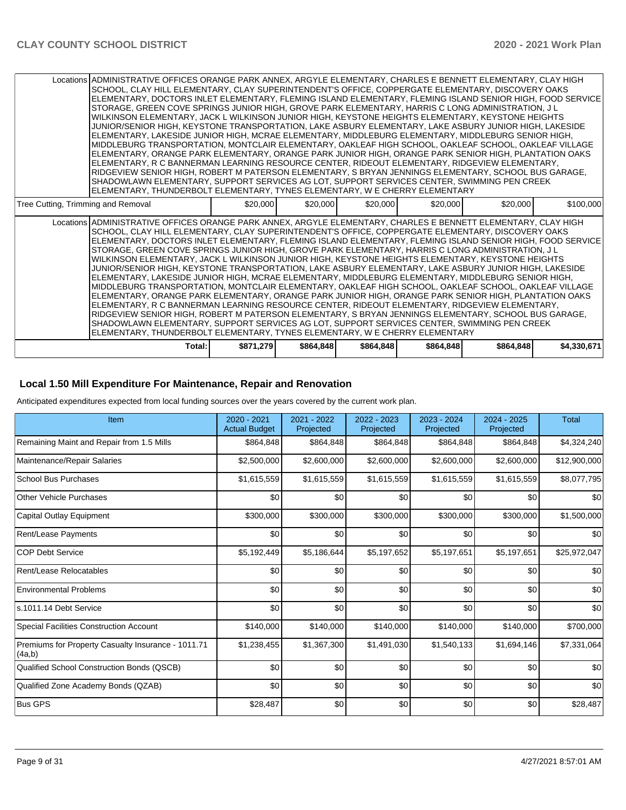|                                    | RIDGEVIEW SENIOR HIGH, ROBERT M PATERSON ELEMENTARY, S BRYAN JENNINGS ELEMENTARY, SCHOOL BUS GARAGE,<br>SHADOWLAWN ELEMENTARY, SUPPORT SERVICES AG LOT, SUPPORT SERVICES CENTER, SWIMMING PEN CREEK<br>ELEMENTARY, THUNDERBOLT ELEMENTARY, TYNES ELEMENTARY, W E CHERRY ELEMENTARY |          |          |          |          |                                                                                                                |           |
|------------------------------------|------------------------------------------------------------------------------------------------------------------------------------------------------------------------------------------------------------------------------------------------------------------------------------|----------|----------|----------|----------|----------------------------------------------------------------------------------------------------------------|-----------|
|                                    |                                                                                                                                                                                                                                                                                    |          |          |          |          |                                                                                                                |           |
|                                    |                                                                                                                                                                                                                                                                                    |          |          |          |          |                                                                                                                |           |
|                                    |                                                                                                                                                                                                                                                                                    |          |          |          |          |                                                                                                                |           |
|                                    | ELEMENTARY, R C BANNERMAN LEARNING RESOURCE CENTER, RIDEOUT ELEMENTARY, RIDGEVIEW ELEMENTARY,                                                                                                                                                                                      |          |          |          |          |                                                                                                                |           |
|                                    | MIDDLEBURG TRANSPORTATION, MONTCLAIR ELEMENTARY, OAKLEAF HIGH SCHOOL, OAKLEAF SCHOOL, OAKLEAF VILLAGE<br>ELEMENTARY, ORANGE PARK ELEMENTARY, ORANGE PARK JUNIOR HIGH, ORANGE PARK SENIOR HIGH, PLANTATION OAKS                                                                     |          |          |          |          |                                                                                                                |           |
|                                    | ELEMENTARY, LAKESIDE JUNIOR HIGH, MCRAE ELEMENTARY, MIDDLEBURG ELEMENTARY, MIDDLEBURG SENIOR HIGH,                                                                                                                                                                                 |          |          |          |          |                                                                                                                |           |
|                                    | JUNIOR/SENIOR HIGH, KEYSTONE TRANSPORTATION, LAKE ASBURY ELEMENTARY, LAKE ASBURY JUNIOR HIGH, LAKESIDE                                                                                                                                                                             |          |          |          |          |                                                                                                                |           |
|                                    | WILKINSON ELEMENTARY, JACK L WILKINSON JUNIOR HIGH, KEYSTONE HEIGHTS ELEMENTARY, KEYSTONE HEIGHTS                                                                                                                                                                                  |          |          |          |          |                                                                                                                |           |
|                                    | STORAGE, GREEN COVE SPRINGS JUNIOR HIGH, GROVE PARK ELEMENTARY, HARRIS C LONG ADMINISTRATION, J L                                                                                                                                                                                  |          |          |          |          |                                                                                                                |           |
|                                    | ELEMENTARY, DOCTORS INLET ELEMENTARY, FLEMING ISLAND ELEMENTARY, FLEMING ISLAND SENIOR HIGH, FOOD SERVICE.                                                                                                                                                                         |          |          |          |          |                                                                                                                |           |
|                                    | Locations ADMINISTRATIVE OFFICES ORANGE PARK ANNEX, ARGYLE ELEMENTARY, CHARLES E BENNETT ELEMENTARY, CLAY HIGH<br>SCHOOL, CLAY HILL ELEMENTARY, CLAY SUPERINTENDENT'S OFFICE, COPPERGATE ELEMENTARY, DISCOVERY OAKS                                                                |          |          |          |          |                                                                                                                |           |
|                                    |                                                                                                                                                                                                                                                                                    |          |          |          |          |                                                                                                                |           |
| Tree Cutting, Trimming and Removal |                                                                                                                                                                                                                                                                                    | \$20,000 | \$20,000 | \$20,000 | \$20,000 | \$20,000                                                                                                       | \$100,000 |
|                                    | ELEMENTARY, THUNDERBOLT ELEMENTARY, TYNES ELEMENTARY, W E CHERRY ELEMENTARY                                                                                                                                                                                                        |          |          |          |          |                                                                                                                |           |
|                                    | SHADOWLAWN ELEMENTARY, SUPPORT SERVICES AG LOT, SUPPORT SERVICES CENTER, SWIMMING PEN CREEK                                                                                                                                                                                        |          |          |          |          |                                                                                                                |           |
|                                    | IRIDGEVIEW SENIOR HIGH. ROBERT M PATERSON ELEMENTARY. S BRYAN JENNINGS ELEMENTARY. SCHOOL BUS GARAGE.                                                                                                                                                                              |          |          |          |          |                                                                                                                |           |
|                                    | ELEMENTARY, R C BANNERMAN LEARNING RESOURCE CENTER, RIDEOUT ELEMENTARY, RIDGEVIEW ELEMENTARY,                                                                                                                                                                                      |          |          |          |          |                                                                                                                |           |
|                                    | ELEMENTARY, ORANGE PARK ELEMENTARY, ORANGE PARK JUNIOR HIGH, ORANGE PARK SENIOR HIGH, PLANTATION OAKS                                                                                                                                                                              |          |          |          |          |                                                                                                                |           |
|                                    | ELEMENTARY, LAKESIDE JUNIOR HIGH, MCRAE ELEMENTARY, MIDDLEBURG ELEMENTARY, MIDDLEBURG SENIOR HIGH,<br>MIDDLEBURG TRANSPORTATION, MONTCLAIR ELEMENTARY, OAKLEAF HIGH SCHOOL, OAKLEAF SCHOOL, OAKLEAF VILLAGE                                                                        |          |          |          |          |                                                                                                                |           |
|                                    | JUNIOR/SENIOR HIGH, KEYSTONE TRANSPORTATION, LAKE ASBURY ELEMENTARY, LAKE ASBURY JUNIOR HIGH, LAKESIDE                                                                                                                                                                             |          |          |          |          |                                                                                                                |           |
|                                    | WILKINSON ELEMENTARY, JACK L WILKINSON JUNIOR HIGH, KEYSTONE HEIGHTS ELEMENTARY, KEYSTONE HEIGHTS                                                                                                                                                                                  |          |          |          |          |                                                                                                                |           |
|                                    | STORAGE, GREEN COVE SPRINGS JUNIOR HIGH, GROVE PARK ELEMENTARY, HARRIS C LONG ADMINISTRATION, J L                                                                                                                                                                                  |          |          |          |          |                                                                                                                |           |
|                                    | ELEMENTARY, DOCTORS INLET ELEMENTARY, FLEMING ISLAND ELEMENTARY, FLEMING ISLAND SENIOR HIGH, FOOD SERVICE.                                                                                                                                                                         |          |          |          |          |                                                                                                                |           |
|                                    | SCHOOL, CLAY HILL ELEMENTARY, CLAY SUPERINTENDENT'S OFFICE, COPPERGATE ELEMENTARY, DISCOVERY OAKS                                                                                                                                                                                  |          |          |          |          |                                                                                                                |           |
|                                    |                                                                                                                                                                                                                                                                                    |          |          |          |          | Locations ADMINISTRATIVE OFFICES ORANGE PARK ANNEX, ARGYLE ELEMENTARY, CHARLES E BENNETT ELEMENTARY, CLAY HIGH |           |

#### **Local 1.50 Mill Expenditure For Maintenance, Repair and Renovation**

Anticipated expenditures expected from local funding sources over the years covered by the current work plan.

| Item                                                         | 2020 - 2021<br><b>Actual Budget</b> | 2021 - 2022<br>Projected | 2022 - 2023<br>Projected | 2023 - 2024<br>Projected | 2024 - 2025<br>Projected | <b>Total</b> |
|--------------------------------------------------------------|-------------------------------------|--------------------------|--------------------------|--------------------------|--------------------------|--------------|
| Remaining Maint and Repair from 1.5 Mills                    | \$864,848                           | \$864,848                | \$864,848                | \$864,848                | \$864,848                | \$4,324,240  |
| Maintenance/Repair Salaries                                  | \$2,500,000                         | \$2,600,000              | \$2,600,000              | \$2,600,000              | \$2,600,000              | \$12,900,000 |
| <b>School Bus Purchases</b>                                  | \$1,615,559                         | \$1,615,559              | \$1,615,559              | \$1,615,559              | \$1,615,559              | \$8,077,795  |
| <b>Other Vehicle Purchases</b>                               | \$0                                 | \$0                      | \$0                      | \$0                      | \$0                      | \$0          |
| Capital Outlay Equipment                                     | \$300,000                           | \$300,000                | \$300,000                | \$300,000                | \$300,000                | \$1,500,000  |
| Rent/Lease Payments                                          | \$0                                 | \$0                      | \$0                      | \$0                      | \$0                      | \$0          |
| <b>COP Debt Service</b>                                      | \$5,192,449                         | \$5,186,644              | \$5,197,652              | \$5,197,651              | \$5,197,651              | \$25,972,047 |
| Rent/Lease Relocatables                                      | \$0                                 | \$0                      | \$0                      | \$0                      | \$0                      | \$0          |
| <b>Environmental Problems</b>                                | \$0                                 | \$0                      | \$0                      | \$0                      | \$0                      | \$0          |
| s.1011.14 Debt Service                                       | \$0                                 | \$0                      | \$0                      | \$0                      | \$0                      | \$0          |
| <b>Special Facilities Construction Account</b>               | \$140,000                           | \$140,000                | \$140,000                | \$140,000                | \$140,000                | \$700,000    |
| Premiums for Property Casualty Insurance - 1011.71<br>(4a,b) | \$1,238,455                         | \$1,367,300              | \$1,491,030              | \$1,540,133              | \$1,694,146              | \$7,331,064  |
| Qualified School Construction Bonds (QSCB)                   | \$0                                 | \$0                      | \$0                      | \$0                      | \$0                      | \$0          |
| Qualified Zone Academy Bonds (QZAB)                          | \$0                                 | \$0                      | \$0                      | \$0                      | \$0                      | \$0          |
| <b>Bus GPS</b>                                               | \$28,487                            | \$0                      | \$0                      | \$0                      | \$0                      | \$28,487     |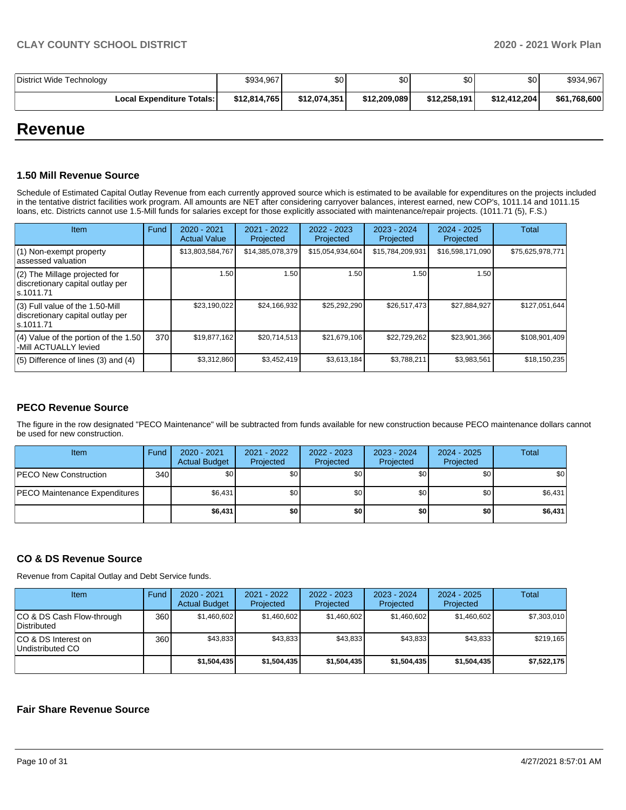| District Wide Technology    | \$934,967    | \$0          | \$0          | \$0          | \$0          | \$934,967    |
|-----------------------------|--------------|--------------|--------------|--------------|--------------|--------------|
| Local Expenditure Totals: I | \$12,814,765 | \$12,074,351 | \$12,209,089 | \$12,258,191 | \$12,412,204 | \$61,768,600 |

## **Revenue**

#### **1.50 Mill Revenue Source**

Schedule of Estimated Capital Outlay Revenue from each currently approved source which is estimated to be available for expenditures on the projects included in the tentative district facilities work program. All amounts are NET after considering carryover balances, interest earned, new COP's, 1011.14 and 1011.15 loans, etc. Districts cannot use 1.5-Mill funds for salaries except for those explicitly associated with maintenance/repair projects. (1011.71 (5), F.S.)

| <b>Item</b>                                                                         | Fund | $2020 - 2021$<br><b>Actual Value</b> | $2021 - 2022$<br>Projected | $2022 - 2023$<br>Projected | $2023 - 2024$<br>Projected | $2024 - 2025$<br>Projected | Total            |
|-------------------------------------------------------------------------------------|------|--------------------------------------|----------------------------|----------------------------|----------------------------|----------------------------|------------------|
| (1) Non-exempt property<br>lassessed valuation                                      |      | \$13,803,584,767                     | \$14,385,078,379           | \$15,054,934,604           | \$15,784,209,931           | \$16,598,171,090           | \$75,625,978,771 |
| $(2)$ The Millage projected for<br>discretionary capital outlay per<br>ls.1011.71   |      | 1.50                                 | 1.50                       | 1.50                       | 1.50                       | 1.50                       |                  |
| $(3)$ Full value of the 1.50-Mill<br>discretionary capital outlay per<br>ls.1011.71 |      | \$23,190,022                         | \$24,166,932               | \$25,292,290               | \$26,517,473               | \$27,884,927               | \$127,051,644    |
| (4) Value of the portion of the 1.50<br>-Mill ACTUALLY levied                       | 370  | \$19,877,162                         | \$20.714.513               | \$21,679,106               | \$22,729,262               | \$23,901,366               | \$108,901,409    |
| $(5)$ Difference of lines $(3)$ and $(4)$                                           |      | \$3,312,860                          | \$3,452,419                | \$3,613,184                | \$3,788,211                | \$3,983,561                | \$18,150,235     |

#### **PECO Revenue Source**

The figure in the row designated "PECO Maintenance" will be subtracted from funds available for new construction because PECO maintenance dollars cannot be used for new construction.

| <b>Item</b>                          | Fund         | 2020 - 2021<br><b>Actual Budget</b> | 2021 - 2022<br>Projected | 2022 - 2023<br>Projected | 2023 - 2024<br>Projected | 2024 - 2025<br>Projected | Total   |
|--------------------------------------|--------------|-------------------------------------|--------------------------|--------------------------|--------------------------|--------------------------|---------|
| <b>IPECO New Construction</b>        | 340 <b>I</b> | \$0 <sub>1</sub>                    | \$0 <sub>1</sub>         | \$0                      | \$0 <sub>1</sub>         | \$0                      | \$0     |
| <b>PECO Maintenance Expenditures</b> |              | \$6,431                             | \$0                      | \$0                      | \$0 <sub>1</sub>         | \$0                      | \$6,431 |
|                                      |              | \$6,431                             | \$0                      | \$0                      | \$0                      | \$0                      | \$6,431 |

#### **CO & DS Revenue Source**

Revenue from Capital Outlay and Debt Service funds.

| Item                                      | Fund | $2020 - 2021$<br><b>Actual Budget</b> | 2021 - 2022<br>Projected | $2022 - 2023$<br>Projected | $2023 - 2024$<br>Projected | $2024 - 2025$<br>Projected | Total       |
|-------------------------------------------|------|---------------------------------------|--------------------------|----------------------------|----------------------------|----------------------------|-------------|
| ICO & DS Cash Flow-through<br>Distributed | 360  | \$1.460.602                           | \$1,460,602              | \$1.460.602                | \$1.460.602                | \$1,460,602                | \$7,303,010 |
| ICO & DS Interest on<br>Undistributed CO  | 360  | \$43.833                              | \$43.833                 | \$43.833                   | \$43.833                   | \$43.833                   | \$219.165   |
|                                           |      | \$1,504,435                           | \$1,504,435              | \$1.504.435                | \$1.504.435                | \$1,504,435                | \$7,522,175 |

#### **Fair Share Revenue Source**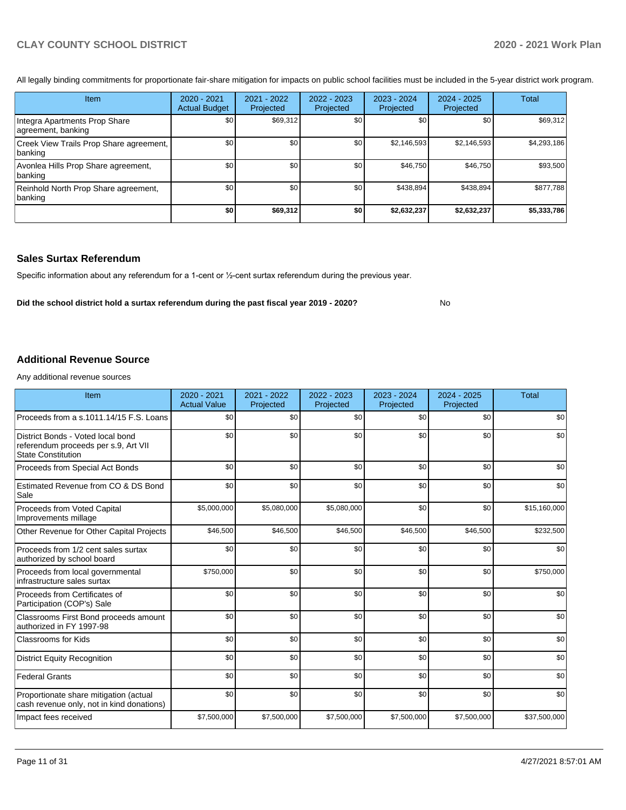No

All legally binding commitments for proportionate fair-share mitigation for impacts on public school facilities must be included in the 5-year district work program.

| <b>Item</b>                                         | $2020 - 2021$<br><b>Actual Budget</b> | 2021 - 2022<br>Projected | 2022 - 2023<br>Projected | $2023 - 2024$<br>Projected | $2024 - 2025$<br>Projected | Total       |
|-----------------------------------------------------|---------------------------------------|--------------------------|--------------------------|----------------------------|----------------------------|-------------|
| Integra Apartments Prop Share<br>agreement, banking | \$0                                   | \$69,312                 | \$0                      | \$0                        | \$0                        | \$69,312    |
| Creek View Trails Prop Share agreement,<br>banking  | \$0                                   | \$0                      | \$0                      | \$2,146,593                | \$2,146,593                | \$4,293,186 |
| Avonlea Hills Prop Share agreement,<br> banking     | \$0                                   | \$0                      | \$0                      | \$46,750                   | \$46,750                   | \$93,500    |
| Reinhold North Prop Share agreement,<br> banking    | \$0                                   | \$0                      | \$0                      | \$438,894                  | \$438,894                  | \$877,788   |
|                                                     | \$0                                   | \$69,312                 | \$0                      | \$2,632,237                | \$2,632,237                | \$5,333,786 |

#### **Sales Surtax Referendum**

Specific information about any referendum for a 1-cent or ½-cent surtax referendum during the previous year.

**Did the school district hold a surtax referendum during the past fiscal year 2019 - 2020?**

**Additional Revenue Source**

Any additional revenue sources

| Item                                                                                                   | $2020 - 2021$<br><b>Actual Value</b> | $2021 - 2022$<br>Projected | 2022 - 2023<br>Projected | 2023 - 2024<br>Projected | $2024 - 2025$<br>Projected | <b>Total</b> |
|--------------------------------------------------------------------------------------------------------|--------------------------------------|----------------------------|--------------------------|--------------------------|----------------------------|--------------|
| Proceeds from a s.1011.14/15 F.S. Loans                                                                | \$0                                  | \$0                        | \$0                      | \$0                      | \$0                        | \$0          |
| District Bonds - Voted local bond<br>referendum proceeds per s.9, Art VII<br><b>State Constitution</b> | \$0                                  | \$0                        | \$0                      | \$0                      | \$0                        | \$0          |
| Proceeds from Special Act Bonds                                                                        | \$0                                  | \$0                        | \$0                      | \$0                      | \$0                        | \$0          |
| Estimated Revenue from CO & DS Bond<br>Sale                                                            | \$0                                  | \$0                        | \$0                      | \$0                      | \$0                        | \$0          |
| Proceeds from Voted Capital<br>Improvements millage                                                    | \$5,000,000                          | \$5,080,000                | \$5,080,000              | \$0                      | \$0                        | \$15,160,000 |
| Other Revenue for Other Capital Projects                                                               | \$46,500                             | \$46,500                   | \$46,500                 | \$46,500                 | \$46,500                   | \$232,500    |
| Proceeds from 1/2 cent sales surtax<br>authorized by school board                                      | \$0                                  | \$0                        | \$0                      | \$0                      | \$0                        | \$0          |
| Proceeds from local governmental<br>infrastructure sales surtax                                        | \$750,000                            | \$0                        | \$0                      | \$0                      | \$0                        | \$750,000    |
| Proceeds from Certificates of<br>Participation (COP's) Sale                                            | \$0                                  | \$0                        | \$0                      | \$0                      | \$0                        | \$0          |
| Classrooms First Bond proceeds amount<br>authorized in FY 1997-98                                      | \$0                                  | \$0                        | \$0                      | \$0                      | \$0                        | \$0          |
| Classrooms for Kids                                                                                    | \$0                                  | \$0                        | \$0                      | \$0                      | \$0                        | \$0          |
| <b>District Equity Recognition</b>                                                                     | \$0                                  | \$0                        | \$0                      | \$0                      | \$0                        | \$0          |
| Federal Grants                                                                                         | \$0                                  | \$0                        | \$0                      | \$0                      | \$0                        | \$0          |
| Proportionate share mitigation (actual<br>cash revenue only, not in kind donations)                    | \$0                                  | \$0                        | \$0                      | \$0                      | \$0                        | \$0          |
| Impact fees received                                                                                   | \$7,500,000                          | \$7,500,000                | \$7,500,000              | \$7,500,000              | \$7,500,000                | \$37,500,000 |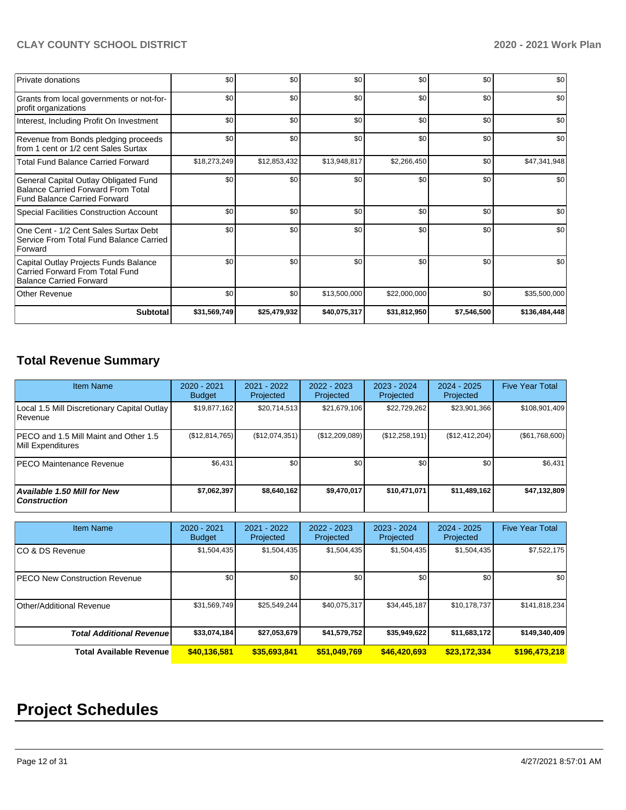| <b>Private donations</b>                                                                                                  | \$0          | \$0 <sub>1</sub> | \$0          | \$0          | \$0         | \$0           |
|---------------------------------------------------------------------------------------------------------------------------|--------------|------------------|--------------|--------------|-------------|---------------|
| Grants from local governments or not-for-<br>profit organizations                                                         | \$0          | \$0              | \$0          | \$0          | \$0         | \$0           |
| Interest, Including Profit On Investment                                                                                  | \$0          | \$0              | \$0          | \$0          | \$0         | \$0           |
| Revenue from Bonds pledging proceeds<br>from 1 cent or 1/2 cent Sales Surtax                                              | \$0          | \$0              | \$0          | \$0          | \$0         | \$0           |
| <b>Total Fund Balance Carried Forward</b>                                                                                 | \$18,273,249 | \$12,853,432     | \$13,948,817 | \$2,266,450  | \$0         | \$47,341,948  |
| General Capital Outlay Obligated Fund<br><b>Balance Carried Forward From Total</b><br><b>Fund Balance Carried Forward</b> | \$0          | \$0              | \$0          | \$0          | \$0         | \$0           |
| Special Facilities Construction Account                                                                                   | \$0          | \$0              | \$0          | \$0          | \$0         | \$0           |
| One Cent - 1/2 Cent Sales Surtax Debt<br>Service From Total Fund Balance Carried<br>Forward                               | \$0          | \$0              | \$0          | \$0          | \$0         | \$0           |
| Capital Outlay Projects Funds Balance<br>Carried Forward From Total Fund<br><b>Balance Carried Forward</b>                | \$0          | \$0              | \$0          | \$0          | \$0         | \$0           |
| <b>Other Revenue</b>                                                                                                      | \$0          | \$0 <sub>1</sub> | \$13,500,000 | \$22,000,000 | \$0         | \$35,500,000  |
| <b>Subtotal</b>                                                                                                           | \$31,569,749 | \$25,479,932     | \$40,075,317 | \$31,812,950 | \$7,546,500 | \$136,484,448 |

## **Total Revenue Summary**

| <b>Item Name</b>                                              | $2020 - 2021$<br><b>Budget</b> | 2021 - 2022<br>Projected | 2022 - 2023<br>Projected | 2023 - 2024<br>Projected | 2024 - 2025<br>Projected | <b>Five Year Total</b> |
|---------------------------------------------------------------|--------------------------------|--------------------------|--------------------------|--------------------------|--------------------------|------------------------|
| Local 1.5 Mill Discretionary Capital Outlay<br><b>Revenue</b> | \$19,877,162                   | \$20,714,513             | \$21,679,106             | \$22,729,262             | \$23,901,366             | \$108,901,409          |
| PECO and 1.5 Mill Maint and Other 1.5<br>Mill Expenditures    | (\$12,814,765)                 | (\$12,074,351)           | (\$12,209,089)           | (S12, 258, 191)          | (\$12,412,204)           | (\$61,768,600)         |
| <b>IPECO Maintenance Revenue</b>                              | \$6,431                        | \$0                      | \$0                      | \$0                      | \$0                      | \$6,431                |
| Available 1.50 Mill for New<br>  Construction                 | \$7,062,397                    | \$8,640,162              | \$9.470.017              | \$10,471,071             | \$11,489,162             | \$47,132,809           |

| <b>Item Name</b>                      | 2020 - 2021<br><b>Budget</b> | $2021 - 2022$<br>Projected | $2022 - 2023$<br>Projected | $2023 - 2024$<br>Projected | $2024 - 2025$<br>Projected | <b>Five Year Total</b> |
|---------------------------------------|------------------------------|----------------------------|----------------------------|----------------------------|----------------------------|------------------------|
| ICO & DS Revenue                      | \$1,504,435                  | \$1,504,435                | \$1,504,435                | \$1,504,435                | \$1,504,435                | \$7,522,175            |
| <b>IPECO New Construction Revenue</b> | \$0                          | \$0                        | \$0                        | \$0                        | \$0                        | \$0                    |
| Other/Additional Revenue              | \$31,569,749                 | \$25,549,244               | \$40,075,317               | \$34,445,187               | \$10,178,737               | \$141,818,234          |
| <b>Total Additional Revenue</b>       | \$33,074,184                 | \$27,053,679               | \$41,579,752               | \$35,949,622               | \$11,683,172               | \$149,340,409          |
| <b>Total Available Revenue</b>        | \$40,136,581                 | \$35,693,841               | \$51,049,769               | \$46,420,693               | \$23,172,334               | \$196,473,218          |

# **Project Schedules**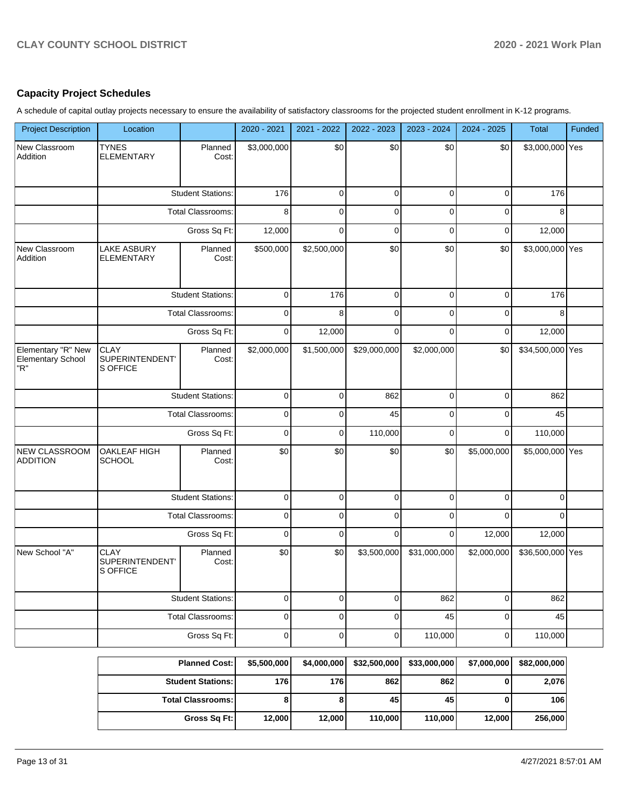## **Capacity Project Schedules**

A schedule of capital outlay projects necessary to ensure the availability of satisfactory classrooms for the projected student enrollment in K-12 programs.

| <b>Project Description</b>                     | Location                                                                                                                  |                          | 2020 - 2021 | 2021 - 2022 | 2022 - 2023         | 2023 - 2024  | 2024 - 2025 | Total            | Funded |
|------------------------------------------------|---------------------------------------------------------------------------------------------------------------------------|--------------------------|-------------|-------------|---------------------|--------------|-------------|------------------|--------|
| New Classroom<br>Addition                      | <b>TYNES</b><br><b>ELEMENTARY</b>                                                                                         | Planned<br>Cost:         | \$3,000,000 | \$0         | \$0                 | \$0          | \$0         | \$3,000,000 Yes  |        |
|                                                |                                                                                                                           | <b>Student Stations:</b> | 176         | $\mathbf 0$ | $\mathbf 0$         | $\mathbf 0$  | $\mathbf 0$ | 176              |        |
|                                                |                                                                                                                           | <b>Total Classrooms:</b> | 8           | $\Omega$    | $\mathbf 0$         | $\Omega$     | $\mathbf 0$ | 8                |        |
|                                                |                                                                                                                           | Gross Sq Ft:             | 12,000      | $\mathbf 0$ | $\mathbf 0$         | $\mathbf 0$  | $\mathbf 0$ | 12,000           |        |
| New Classroom<br>Addition                      | <b>LAKE ASBURY</b><br><b>ELEMENTARY</b>                                                                                   | Planned<br>Cost:         | \$500,000   | \$2,500,000 | \$0                 | \$0          | \$0         | \$3,000,000 Yes  |        |
|                                                | <b>CLAY</b><br>SUPERINTENDENT'<br>S OFFICE<br>OAKLEAF HIGH<br><b>SCHOOL</b><br><b>CLAY</b><br>SUPERINTENDENT'<br>S OFFICE | <b>Student Stations:</b> | $\mathbf 0$ | 176         | $\mathbf 0$         | $\mathbf 0$  | $\mathbf 0$ | 176              |        |
|                                                |                                                                                                                           | Total Classrooms:        | $\mathbf 0$ | 8           | $\mathbf 0$         | $\mathbf 0$  | $\mathbf 0$ | 8                |        |
|                                                |                                                                                                                           | Gross Sq Ft:             | $\mathbf 0$ | 12,000      | $\mathbf 0$         | $\Omega$     | $\mathbf 0$ | 12,000           |        |
| Elementary "R" New<br>Elementary School<br>'R" |                                                                                                                           | Planned<br>Cost:         | \$2,000,000 | \$1,500,000 | \$29,000,000        | \$2,000,000  | \$0         | \$34,500,000 Yes |        |
|                                                | <b>Student Stations:</b>                                                                                                  |                          | $\mathbf 0$ | $\mathbf 0$ | 862                 | $\mathbf 0$  | $\mathbf 0$ | 862              |        |
|                                                |                                                                                                                           | <b>Total Classrooms:</b> | $\mathbf 0$ | $\mathbf 0$ | 45                  | $\mathbf 0$  | $\mathbf 0$ | 45               |        |
|                                                | Gross Sq Ft:                                                                                                              |                          | $\mathbf 0$ | $\mathbf 0$ | 110,000             | $\mathbf 0$  | $\mathbf 0$ | 110,000          |        |
| NEW CLASSROOM<br><b>ADDITION</b>               |                                                                                                                           | Planned<br>Cost:         | \$0         | \$0         | \$0                 | \$0          | \$5,000,000 | \$5,000,000 Yes  |        |
|                                                |                                                                                                                           | <b>Student Stations:</b> | $\mathbf 0$ | $\mathbf 0$ | $\mathbf 0$         | $\mathbf 0$  | $\mathbf 0$ | $\mathbf 0$      |        |
|                                                |                                                                                                                           | Total Classrooms:        | $\mathbf 0$ | $\mathbf 0$ | $\mathbf 0$         | $\mathbf 0$  | $\Omega$    | $\mathbf 0$      |        |
|                                                |                                                                                                                           | Gross Sq Ft:             | $\mathbf 0$ | $\mathbf 0$ | $\mathbf 0$         | $\mathbf 0$  | 12,000      | 12,000           |        |
| New School "A"                                 |                                                                                                                           | Planned<br>Cost:         | \$0         | \$0         | \$3,500,000         | \$31,000,000 | \$2,000,000 | \$36,500,000 Yes |        |
|                                                |                                                                                                                           | <b>Student Stations:</b> | $\pmb{0}$   | $\pmb{0}$   | $\pmb{0}$           | 862          | $\pmb{0}$   | 862              |        |
|                                                |                                                                                                                           | <b>Total Classrooms:</b> | $\pmb{0}$   | $\pmb{0}$   | $\pmb{0}$           | 45           | $\pmb{0}$   | 45               |        |
|                                                |                                                                                                                           | Gross Sq Ft:             | $\mathsf 0$ | $\mathbf 0$ | $\mathsf{O}\xspace$ | 110,000      | $\pmb{0}$   | 110,000          |        |
|                                                |                                                                                                                           | <b>Planned Cost:</b>     | \$5,500,000 | \$4,000,000 | \$32,500,000        | \$33,000,000 | \$7,000,000 | \$82,000,000     |        |
|                                                |                                                                                                                           | <b>Student Stations:</b> | 176         | 176         | 862                 | 862          | $\pmb{0}$   | 2,076            |        |
|                                                |                                                                                                                           | <b>Total Classrooms:</b> | 8           | 8           | 45                  | 45           | $\pmb{0}$   | 106              |        |
|                                                |                                                                                                                           | Gross Sq Ft:             | 12,000      | 12,000      | 110,000             | 110,000      | 12,000      | 256,000          |        |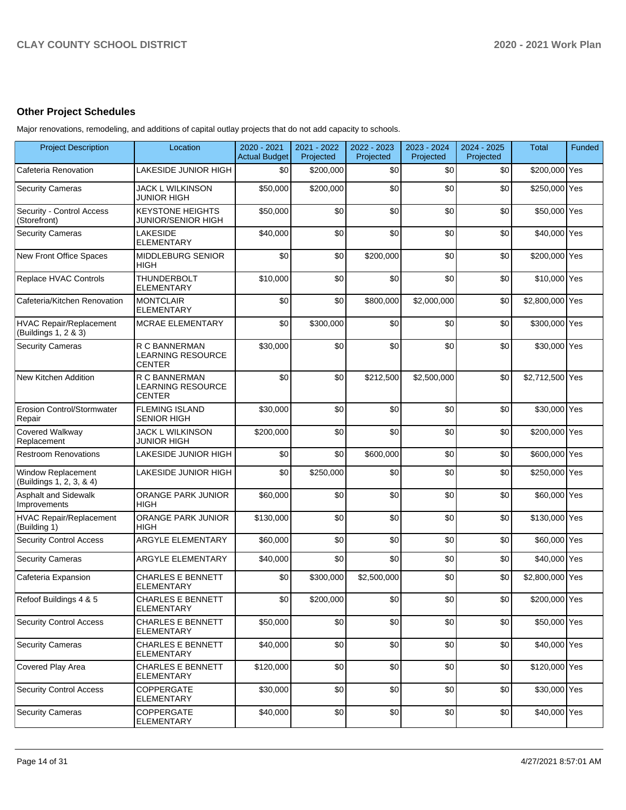## **Other Project Schedules**

Major renovations, remodeling, and additions of capital outlay projects that do not add capacity to schools.

| <b>Project Description</b>                             | Location                                                   | 2020 - 2021<br><b>Actual Budget</b> | 2021 - 2022<br>Projected | 2022 - 2023<br>Projected | 2023 - 2024<br>Projected | 2024 - 2025<br>Projected | Total           | Funded |
|--------------------------------------------------------|------------------------------------------------------------|-------------------------------------|--------------------------|--------------------------|--------------------------|--------------------------|-----------------|--------|
| Cafeteria Renovation                                   | LAKESIDE JUNIOR HIGH                                       | \$0                                 | \$200,000                | \$0                      | \$0                      | \$0                      | \$200,000 Yes   |        |
| <b>Security Cameras</b>                                | <b>JACK L WILKINSON</b><br><b>JUNIOR HIGH</b>              | \$50,000                            | \$200,000                | \$0                      | \$0                      | \$0                      | \$250,000 Yes   |        |
| Security - Control Access<br>(Storefront)              | <b>KEYSTONE HEIGHTS</b><br>JUNIOR/SENIOR HIGH              | \$50,000                            | \$0                      | \$0                      | \$0                      | \$0                      | \$50,000 Yes    |        |
| <b>Security Cameras</b>                                | <b>LAKESIDE</b><br><b>ELEMENTARY</b>                       | \$40,000                            | \$0                      | \$0                      | \$0                      | \$0                      | \$40,000 Yes    |        |
| New Front Office Spaces                                | <b>MIDDLEBURG SENIOR</b><br><b>HIGH</b>                    | \$0                                 | \$0                      | \$200.000                | \$0                      | \$0                      | \$200,000 Yes   |        |
| Replace HVAC Controls                                  | <b>THUNDERBOLT</b><br><b>ELEMENTARY</b>                    | \$10,000                            | \$0                      | \$0                      | \$0                      | \$0                      | \$10,000 Yes    |        |
| Cafeteria/Kitchen Renovation                           | <b>MONTCLAIR</b><br><b>ELEMENTARY</b>                      | \$0                                 | \$0                      | \$800,000                | \$2,000,000              | \$0                      | \$2,800,000 Yes |        |
| <b>HVAC Repair/Replacement</b><br>(Buildings 1, 2 & 3) | <b>MCRAE ELEMENTARY</b>                                    | \$0                                 | \$300,000                | \$0                      | \$0                      | \$0                      | \$300,000 Yes   |        |
| <b>Security Cameras</b>                                | R C BANNERMAN<br>LEARNING RESOURCE<br><b>CENTER</b>        | \$30,000                            | \$0                      | \$0                      | \$0                      | \$0                      | \$30,000 Yes    |        |
| New Kitchen Addition                                   | R C BANNERMAN<br><b>LEARNING RESOURCE</b><br><b>CENTER</b> | \$0                                 | \$0                      | \$212,500                | \$2,500,000              | \$0                      | \$2,712,500 Yes |        |
| <b>Erosion Control/Stormwater</b><br>Repair            | <b>FLEMING ISLAND</b><br><b>SENIOR HIGH</b>                | \$30,000                            | \$0                      | \$0                      | \$0                      | \$0                      | \$30,000 Yes    |        |
| Covered Walkway<br>Replacement                         | JACK L WILKINSON<br>JUNIOR HIGH                            | \$200,000                           | \$0                      | \$0                      | \$0                      | \$0                      | \$200,000 Yes   |        |
| <b>Restroom Renovations</b>                            | LAKESIDE JUNIOR HIGH                                       | \$0                                 | \$0                      | \$600,000                | \$0                      | \$0                      | \$600,000 Yes   |        |
| Window Replacement<br>(Buildings 1, 2, 3, & 4)         | LAKESIDE JUNIOR HIGH                                       | \$0                                 | \$250,000                | \$0                      | \$0                      | \$0                      | \$250,000 Yes   |        |
| Asphalt and Sidewalk<br>Improvements                   | ORANGE PARK JUNIOR<br><b>HIGH</b>                          | \$60,000                            | \$0                      | \$0                      | \$0                      | \$0                      | \$60,000 Yes    |        |
| <b>HVAC Repair/Replacement</b><br>(Building 1)         | <b>ORANGE PARK JUNIOR</b><br><b>HIGH</b>                   | \$130,000                           | \$0                      | \$0                      | \$0                      | \$0                      | \$130,000 Yes   |        |
| <b>Security Control Access</b>                         | ARGYLE ELEMENTARY                                          | \$60,000                            | \$0                      | \$0                      | \$0                      | \$0                      | \$60,000 Yes    |        |
| <b>Security Cameras</b>                                | ARGYLE ELEMENTARY                                          | \$40,000                            | \$0                      | \$0                      | \$0                      | \$0                      | \$40,000 Yes    |        |
| Cafeteria Expansion                                    | <b>CHARLES E BENNETT</b><br><b>ELEMENTARY</b>              | \$0                                 | \$300,000                | \$2,500,000              | \$0                      | \$0                      | \$2,800,000 Yes |        |
| Refoof Buildings 4 & 5                                 | CHARLES E BENNETT<br><b>ELEMENTARY</b>                     | \$0                                 | \$200,000                | \$0                      | $\$0$                    | \$0                      | \$200,000 Yes   |        |
| <b>Security Control Access</b>                         | <b>CHARLES E BENNETT</b><br><b>ELEMENTARY</b>              | \$50,000                            | \$0                      | \$0                      | \$0                      | \$0                      | \$50,000 Yes    |        |
| <b>Security Cameras</b>                                | <b>CHARLES E BENNETT</b><br><b>ELEMENTARY</b>              | \$40,000                            | \$0                      | \$0                      | \$0                      | \$0                      | \$40,000 Yes    |        |
| Covered Play Area                                      | <b>CHARLES E BENNETT</b><br><b>ELEMENTARY</b>              | \$120,000                           | \$0                      | \$0                      | \$0                      | \$0                      | \$120,000 Yes   |        |
| <b>Security Control Access</b>                         | COPPERGATE<br><b>ELEMENTARY</b>                            | \$30,000                            | \$0                      | \$0                      | \$0                      | \$0                      | \$30,000 Yes    |        |
| <b>Security Cameras</b>                                | COPPERGATE<br><b>ELEMENTARY</b>                            | \$40,000                            | \$0                      | \$0                      | \$0                      | \$0                      | \$40,000 Yes    |        |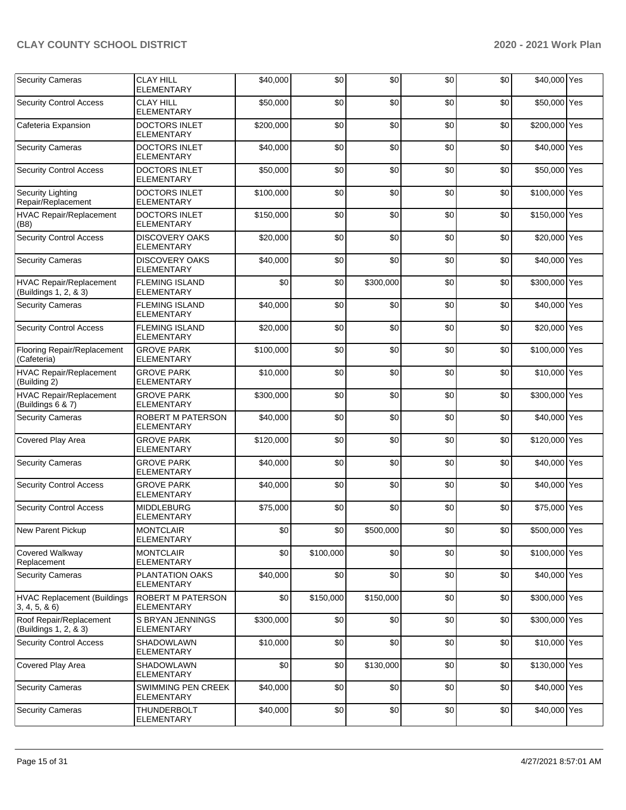| <b>Security Cameras</b>                             | <b>CLAY HILL</b><br><b>ELEMENTARY</b>         | \$40,000  | \$0       | \$0       | \$0 | \$0 | \$40,000 Yes  |  |
|-----------------------------------------------------|-----------------------------------------------|-----------|-----------|-----------|-----|-----|---------------|--|
| <b>Security Control Access</b>                      | <b>CLAY HILL</b><br><b>ELEMENTARY</b>         | \$50,000  | \$0       | \$0       | \$0 | \$0 | \$50,000 Yes  |  |
| Cafeteria Expansion                                 | <b>DOCTORS INLET</b><br><b>ELEMENTARY</b>     | \$200.000 | \$0       | \$0       | \$0 | \$0 | \$200,000 Yes |  |
| <b>Security Cameras</b>                             | <b>DOCTORS INLET</b><br>ELEMENTARY            | \$40.000  | \$0       | \$0       | \$0 | \$0 | \$40,000 Yes  |  |
| <b>Security Control Access</b>                      | <b>DOCTORS INLET</b><br>ELEMENTARY            | \$50,000  | \$0       | \$0       | \$0 | \$0 | \$50,000 Yes  |  |
| <b>Security Lighting</b><br>Repair/Replacement      | <b>DOCTORS INLET</b><br><b>ELEMENTARY</b>     | \$100,000 | \$0       | \$0       | \$0 | \$0 | \$100,000 Yes |  |
| <b>HVAC Repair/Replacement</b><br>(B8)              | <b>DOCTORS INLET</b><br><b>ELEMENTARY</b>     | \$150.000 | \$0       | \$0       | \$0 | \$0 | \$150,000 Yes |  |
| <b>Security Control Access</b>                      | <b>DISCOVERY OAKS</b><br><b>ELEMENTARY</b>    | \$20,000  | \$0       | \$0       | \$0 | \$0 | \$20,000 Yes  |  |
| <b>Security Cameras</b>                             | <b>DISCOVERY OAKS</b><br><b>ELEMENTARY</b>    | \$40,000  | \$0       | \$0       | \$0 | \$0 | \$40,000 Yes  |  |
| HVAC Repair/Replacement<br>(Buildings 1, 2, & 3)    | <b>FLEMING ISLAND</b><br><b>ELEMENTARY</b>    | \$0       | \$0       | \$300,000 | \$0 | \$0 | \$300,000 Yes |  |
| <b>Security Cameras</b>                             | <b>FLEMING ISLAND</b><br><b>ELEMENTARY</b>    | \$40,000  | \$0       | \$0       | \$0 | \$0 | \$40,000 Yes  |  |
| <b>Security Control Access</b>                      | <b>FLEMING ISLAND</b><br><b>ELEMENTARY</b>    | \$20,000  | \$0       | \$0       | \$0 | \$0 | \$20,000 Yes  |  |
| Flooring Repair/Replacement<br>(Cafeteria)          | <b>GROVE PARK</b><br><b>ELEMENTARY</b>        | \$100,000 | \$0       | \$0       | \$0 | \$0 | \$100,000 Yes |  |
| <b>HVAC Repair/Replacement</b><br>(Building 2)      | <b>GROVE PARK</b><br><b>ELEMENTARY</b>        | \$10,000  | \$0       | \$0       | \$0 | \$0 | \$10,000 Yes  |  |
| <b>HVAC Repair/Replacement</b><br>(Buildings 6 & 7) | <b>GROVE PARK</b><br><b>ELEMENTARY</b>        | \$300,000 | \$0       | \$0       | \$0 | \$0 | \$300,000 Yes |  |
| <b>Security Cameras</b>                             | <b>ROBERT M PATERSON</b><br><b>ELEMENTARY</b> | \$40,000  | \$0       | \$0       | \$0 | \$0 | \$40,000 Yes  |  |
| Covered Play Area                                   | <b>GROVE PARK</b><br><b>ELEMENTARY</b>        | \$120,000 | \$0       | \$0       | \$0 | \$0 | \$120,000 Yes |  |
| <b>Security Cameras</b>                             | <b>GROVE PARK</b><br>ELEMENTARY               | \$40,000  | \$0       | \$0       | \$0 | \$0 | \$40,000 Yes  |  |
| <b>Security Control Access</b>                      | <b>GROVE PARK</b><br><b>ELEMENTARY</b>        | \$40,000  | \$0       | \$0       | \$0 | \$0 | \$40,000 Yes  |  |
| <b>Security Control Access</b>                      | <b>MIDDLEBURG</b><br><b>ELEMENTARY</b>        | \$75,000  | \$0       | \$0       | \$0 | \$0 | \$75,000 Yes  |  |
| New Parent Pickup                                   | <b>MONTCLAIR</b><br><b>ELEMENTARY</b>         | \$0       | \$0       | \$500,000 | \$0 | \$0 | \$500,000 Yes |  |
| Covered Walkway<br>Replacement                      | <b>MONTCLAIR</b><br>ELEMENTARY                | \$0       | \$100,000 | \$0       | \$0 | \$0 | \$100,000 Yes |  |
| <b>Security Cameras</b>                             | PLANTATION OAKS<br><b>ELEMENTARY</b>          | \$40,000  | \$0       | \$0       | \$0 | \$0 | \$40,000 Yes  |  |
| HVAC Replacement (Buildings<br>3, 4, 5, 8, 6        | <b>ROBERT M PATERSON</b><br><b>ELEMENTARY</b> | \$0       | \$150,000 | \$150,000 | \$0 | \$0 | \$300,000 Yes |  |
| Roof Repair/Replacement<br>(Buildings 1, 2, & 3)    | S BRYAN JENNINGS<br><b>ELEMENTARY</b>         | \$300,000 | \$0       | \$0       | \$0 | \$0 | \$300,000 Yes |  |
| <b>Security Control Access</b>                      | SHADOWLAWN<br>ELEMENTARY                      | \$10,000  | \$0       | \$0       | \$0 | \$0 | \$10,000 Yes  |  |
| Covered Play Area                                   | <b>SHADOWLAWN</b><br>ELEMENTARY               | \$0       | \$0       | \$130,000 | \$0 | \$0 | \$130,000 Yes |  |
| <b>Security Cameras</b>                             | SWIMMING PEN CREEK<br><b>ELEMENTARY</b>       | \$40,000  | \$0       | \$0       | \$0 | \$0 | \$40,000 Yes  |  |
| <b>Security Cameras</b>                             | <b>THUNDERBOLT</b><br>ELEMENTARY              | \$40,000  | \$0       | \$0       | \$0 | \$0 | \$40,000 Yes  |  |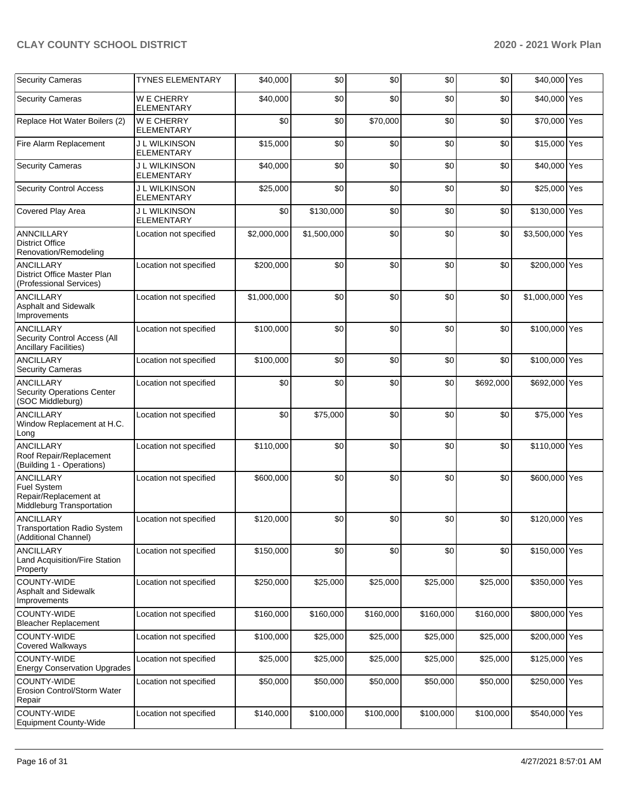| <b>Security Cameras</b>                                                                      | <b>TYNES ELEMENTARY</b>                   | \$40,000    | \$0         | \$0       | \$0       | \$0       | \$40,000 Yes    |  |
|----------------------------------------------------------------------------------------------|-------------------------------------------|-------------|-------------|-----------|-----------|-----------|-----------------|--|
| <b>Security Cameras</b>                                                                      | <b>WE CHERRY</b><br><b>ELEMENTARY</b>     | \$40,000    | \$0         | \$0       | \$0       | \$0       | \$40,000 Yes    |  |
| Replace Hot Water Boilers (2)                                                                | <b>WE CHERRY</b><br><b>ELEMENTARY</b>     | \$0         | \$0         | \$70,000  | \$0       | \$0       | \$70,000 Yes    |  |
| Fire Alarm Replacement                                                                       | J L WILKINSON<br><b>ELEMENTARY</b>        | \$15,000    | \$0         | \$0       | \$0       | \$0       | \$15,000 Yes    |  |
| <b>Security Cameras</b>                                                                      | J L WILKINSON<br><b>ELEMENTARY</b>        | \$40,000    | \$0         | \$0       | \$0       | \$0       | \$40,000 Yes    |  |
| <b>Security Control Access</b>                                                               | <b>J L WILKINSON</b><br><b>ELEMENTARY</b> | \$25,000    | \$0         | \$0       | \$0       | \$0       | \$25,000 Yes    |  |
| Covered Play Area                                                                            | <b>J L WILKINSON</b><br><b>ELEMENTARY</b> | \$0         | \$130,000   | \$0       | \$0       | \$0       | \$130,000 Yes   |  |
| <b>ANNCILLARY</b><br><b>District Office</b><br>Renovation/Remodeling                         | Location not specified                    | \$2,000,000 | \$1,500,000 | \$0       | \$0       | \$0       | \$3,500,000 Yes |  |
| <b>ANCILLARY</b><br>District Office Master Plan<br>(Professional Services)                   | Location not specified                    | \$200,000   | \$0         | \$0       | \$0       | \$0       | \$200,000 Yes   |  |
| <b>ANCILLARY</b><br>Asphalt and Sidewalk<br>Improvements                                     | Location not specified                    | \$1,000,000 | \$0         | \$0       | \$0       | \$0       | \$1,000,000 Yes |  |
| <b>ANCILLARY</b><br>Security Control Access (All<br>Ancillary Facilities)                    | Location not specified                    | \$100,000   | \$0         | \$0       | \$0       | \$0       | \$100,000 Yes   |  |
| <b>ANCILLARY</b><br><b>Security Cameras</b>                                                  | Location not specified                    | \$100,000   | \$0         | \$0       | \$0       | \$0       | \$100,000 Yes   |  |
| <b>ANCILLARY</b><br><b>Security Operations Center</b><br>(SOC Middleburg)                    | Location not specified                    | \$0         | \$0         | \$0       | \$0       | \$692,000 | \$692,000 Yes   |  |
| <b>ANCILLARY</b><br>Window Replacement at H.C.<br>Long                                       | Location not specified                    | \$0         | \$75,000    | \$0       | \$0       | \$0       | \$75,000 Yes    |  |
| <b>ANCILLARY</b><br>Roof Repair/Replacement<br>(Building 1 - Operations)                     | Location not specified                    | \$110,000   | \$0         | \$0       | \$0       | \$0       | \$110,000 Yes   |  |
| <b>ANCILLARY</b><br><b>Fuel System</b><br>Repair/Replacement at<br>Middleburg Transportation | Location not specified                    | \$600,000   | \$0         | \$0       | \$0       | \$0       | \$600,000 Yes   |  |
| <b>ANCILLARY</b><br><b>Transportation Radio System</b><br>(Additional Channel)               | Location not specified                    | \$120,000   | \$0         | \$0       | \$0       | \$0       | \$120,000 Yes   |  |
| <b>ANCILLARY</b><br>Land Acquisition/Fire Station<br>Property                                | Location not specified                    | \$150,000   | \$0         | \$0       | \$0       | \$0       | \$150,000 Yes   |  |
| COUNTY-WIDE<br>Asphalt and Sidewalk<br>Improvements                                          | Location not specified                    | \$250,000   | \$25,000    | \$25,000  | \$25,000  | \$25,000  | \$350,000 Yes   |  |
| COUNTY-WIDE<br><b>Bleacher Replacement</b>                                                   | Location not specified                    | \$160,000   | \$160,000   | \$160,000 | \$160,000 | \$160,000 | \$800,000 Yes   |  |
| COUNTY-WIDE<br>Covered Walkways                                                              | Location not specified                    | \$100,000   | \$25,000    | \$25,000  | \$25,000  | \$25,000  | \$200,000 Yes   |  |
| COUNTY-WIDE<br><b>Energy Conservation Upgrades</b>                                           | Location not specified                    | \$25,000    | \$25,000    | \$25,000  | \$25,000  | \$25,000  | \$125,000 Yes   |  |
| COUNTY-WIDE<br>Erosion Control/Storm Water<br>Repair                                         | Location not specified                    | \$50,000    | \$50,000    | \$50,000  | \$50,000  | \$50,000  | \$250,000 Yes   |  |
| COUNTY-WIDE<br><b>Equipment County-Wide</b>                                                  | Location not specified                    | \$140,000   | \$100,000   | \$100,000 | \$100,000 | \$100,000 | \$540,000 Yes   |  |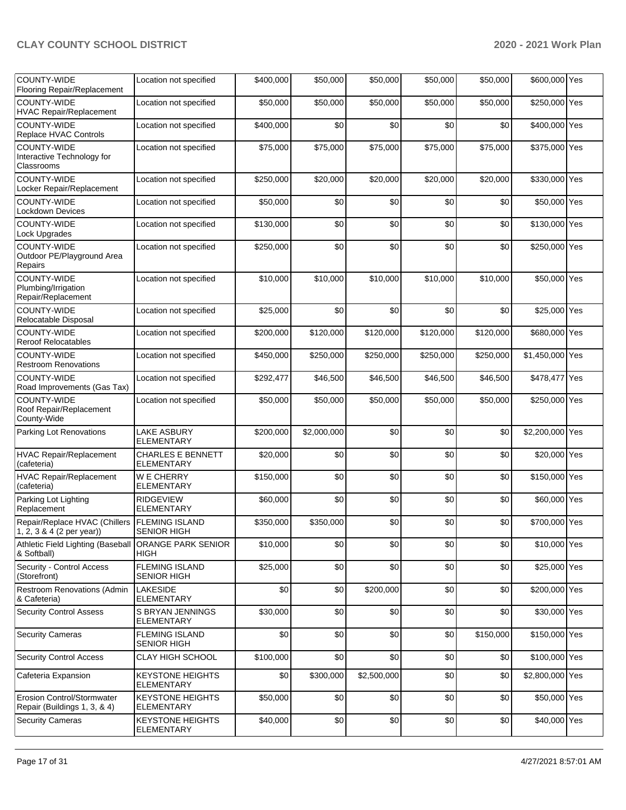| COUNTY-WIDE<br>Flooring Repair/Replacement                        | Location not specified                        | \$400,000 | \$50,000    | \$50,000    | \$50,000  | \$50,000  | \$600,000 Yes   |  |
|-------------------------------------------------------------------|-----------------------------------------------|-----------|-------------|-------------|-----------|-----------|-----------------|--|
| COUNTY-WIDE<br>HVAC Repair/Replacement                            | Location not specified                        | \$50,000  | \$50,000    | \$50,000    | \$50,000  | \$50,000  | \$250,000 Yes   |  |
| <b>COUNTY-WIDE</b><br>Replace HVAC Controls                       | Location not specified                        | \$400,000 | \$0         | \$0         | \$0       | \$0       | \$400,000 Yes   |  |
| COUNTY-WIDE<br>Interactive Technology for<br>Classrooms           | Location not specified                        | \$75,000  | \$75,000    | \$75,000    | \$75,000  | \$75,000  | \$375,000 Yes   |  |
| COUNTY-WIDE<br>Locker Repair/Replacement                          | Location not specified                        | \$250,000 | \$20,000    | \$20,000    | \$20,000  | \$20,000  | \$330,000 Yes   |  |
| <b>COUNTY-WIDE</b><br><b>Lockdown Devices</b>                     | Location not specified                        | \$50,000  | \$0         | \$0         | \$0       | \$0       | \$50,000 Yes    |  |
| COUNTY-WIDE<br>Lock Upgrades                                      | Location not specified                        | \$130,000 | \$0         | \$0         | \$0       | \$0       | \$130,000 Yes   |  |
| <b>COUNTY-WIDE</b><br>Outdoor PE/Playground Area<br>Repairs       | Location not specified                        | \$250,000 | \$0         | \$0         | \$0       | \$0       | \$250,000 Yes   |  |
| <b>COUNTY-WIDE</b><br>Plumbing/Irrigation<br>Repair/Replacement   | Location not specified                        | \$10,000  | \$10,000    | \$10,000    | \$10,000  | \$10,000  | \$50,000 Yes    |  |
| <b>COUNTY-WIDE</b><br>Relocatable Disposal                        | Location not specified                        | \$25,000  | \$0         | \$0         | \$0       | \$0       | \$25,000 Yes    |  |
| COUNTY-WIDE<br><b>Reroof Relocatables</b>                         | Location not specified                        | \$200,000 | \$120,000   | \$120,000   | \$120,000 | \$120,000 | \$680,000 Yes   |  |
| COUNTY-WIDE<br><b>Restroom Renovations</b>                        | Location not specified                        | \$450,000 | \$250,000   | \$250,000   | \$250,000 | \$250,000 | \$1,450,000 Yes |  |
| COUNTY-WIDE<br>Road Improvements (Gas Tax)                        | Location not specified                        | \$292,477 | \$46,500    | \$46,500    | \$46,500  | \$46,500  | \$478,477 Yes   |  |
| COUNTY-WIDE<br>Roof Repair/Replacement<br>County-Wide             | Location not specified                        | \$50,000  | \$50,000    | \$50,000    | \$50,000  | \$50,000  | \$250,000 Yes   |  |
| Parking Lot Renovations                                           | LAKE ASBURY<br><b>ELEMENTARY</b>              | \$200,000 | \$2,000,000 | \$0         | \$0       | \$0       | \$2,200,000 Yes |  |
| HVAC Repair/Replacement<br>(cafeteria)                            | <b>CHARLES E BENNETT</b><br><b>ELEMENTARY</b> | \$20,000  | \$0         | \$0         | \$0       | \$0       | \$20,000 Yes    |  |
| HVAC Repair/Replacement<br>(cafeteria)                            | <b>WE CHERRY</b><br><b>ELEMENTARY</b>         | \$150,000 | \$0         | \$0         | \$0       | \$0       | \$150,000 Yes   |  |
| Parking Lot Lighting<br>Replacement                               | <b>RIDGEVIEW</b><br><b>ELEMENTARY</b>         | \$60,000  | \$0         | \$0         | \$0       | \$0       | \$60,000 Yes    |  |
| Repair/Replace HVAC (Chillers<br>1, 2, 3 & 4 (2 per year))        | <b>FLEMING ISLAND</b><br><b>SENIOR HIGH</b>   | \$350,000 | \$350,000   | \$0         | \$0       | \$0       | \$700,000 Yes   |  |
| Athletic Field Lighting (Baseball<br>& Softball)                  | <b>ORANGE PARK SENIOR</b><br><b>HIGH</b>      | \$10,000  | \$0         | \$0         | \$0       | \$0       | \$10,000 Yes    |  |
| Security - Control Access<br>(Storefront)                         | <b>FLEMING ISLAND</b><br>SENIOR HIGH          | \$25,000  | \$0         | \$0         | \$0       | \$0       | \$25,000 Yes    |  |
| Restroom Renovations (Admin<br>& Cafeteria)                       | LAKESIDE<br><b>ELEMENTARY</b>                 | \$0       | \$0         | \$200,000   | \$0       | \$0       | \$200,000 Yes   |  |
| <b>Security Control Assess</b>                                    | S BRYAN JENNINGS<br><b>ELEMENTARY</b>         | \$30,000  | \$0         | \$0         | \$0       | \$0       | \$30,000 Yes    |  |
| <b>Security Cameras</b>                                           | <b>FLEMING ISLAND</b><br><b>SENIOR HIGH</b>   | \$0       | \$0         | \$0         | \$0       | \$150,000 | \$150,000 Yes   |  |
| <b>Security Control Access</b>                                    | CLAY HIGH SCHOOL                              | \$100,000 | \$0         | \$0         | \$0       | \$0       | \$100,000 Yes   |  |
| Cafeteria Expansion                                               | <b>KEYSTONE HEIGHTS</b><br><b>ELEMENTARY</b>  | \$0       | \$300,000   | \$2,500,000 | \$0       | \$0       | \$2,800,000 Yes |  |
| <b>Erosion Control/Stormwater</b><br>Repair (Buildings 1, 3, & 4) | <b>KEYSTONE HEIGHTS</b><br><b>ELEMENTARY</b>  | \$50,000  | \$0         | \$0         | \$0       | \$0       | \$50,000 Yes    |  |
| <b>Security Cameras</b>                                           | <b>KEYSTONE HEIGHTS</b><br><b>ELEMENTARY</b>  | \$40,000  | \$0         | \$0         | \$0       | \$0       | \$40,000 Yes    |  |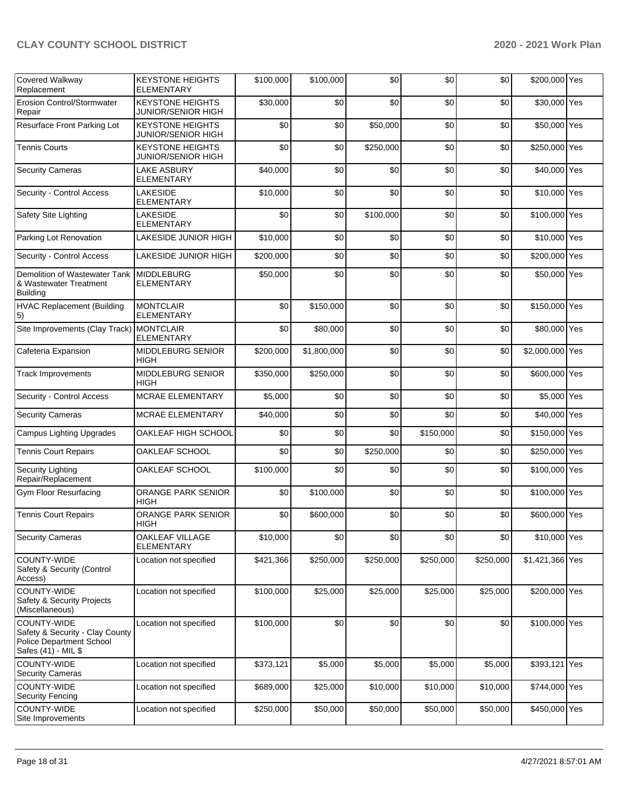| Covered Walkway<br>Replacement                                                                           | <b>KEYSTONE HEIGHTS</b><br><b>ELEMENTARY</b>         | \$100,000 | \$100,000   | \$0       | \$0       | \$0       | \$200,000 Yes   |     |
|----------------------------------------------------------------------------------------------------------|------------------------------------------------------|-----------|-------------|-----------|-----------|-----------|-----------------|-----|
| <b>Erosion Control/Stormwater</b><br>Repair                                                              | <b>KEYSTONE HEIGHTS</b><br>JUNIOR/SENIOR HIGH        | \$30,000  | \$0         | \$0       | \$0       | \$0       | \$30,000 Yes    |     |
| Resurface Front Parking Lot                                                                              | <b>KEYSTONE HEIGHTS</b><br><b>JUNIOR/SENIOR HIGH</b> | \$0       | \$0         | \$50,000  | \$0       | \$0       | \$50,000 Yes    |     |
| <b>Tennis Courts</b>                                                                                     | <b>KEYSTONE HEIGHTS</b><br><b>JUNIOR/SENIOR HIGH</b> | \$0       | \$0         | \$250,000 | \$0       | \$0       | \$250,000 Yes   |     |
| <b>Security Cameras</b>                                                                                  | <b>LAKE ASBURY</b><br><b>ELEMENTARY</b>              | \$40,000  | \$0         | \$0       | \$0       | \$0       | \$40,000 Yes    |     |
| Security - Control Access                                                                                | <b>LAKESIDE</b><br><b>ELEMENTARY</b>                 | \$10,000  | \$0         | \$0       | \$0       | \$0       | \$10,000 Yes    |     |
| Safety Site Lighting                                                                                     | <b>LAKESIDE</b><br><b>ELEMENTARY</b>                 | \$0       | \$0         | \$100,000 | \$0       | \$0       | \$100,000 Yes   |     |
| Parking Lot Renovation                                                                                   | LAKESIDE JUNIOR HIGH                                 | \$10,000  | \$0         | \$0       | \$0       | \$0       | \$10,000 Yes    |     |
| Security - Control Access                                                                                | LAKESIDE JUNIOR HIGH                                 | \$200,000 | \$0         | \$0       | \$0       | \$0       | \$200,000 Yes   |     |
| Demolition of Wastewater Tank   MIDDLEBURG<br>& Wastewater Treatment<br><b>Building</b>                  | <b>ELEMENTARY</b>                                    | \$50,000  | \$0         | \$0       | \$0       | \$0       | \$50,000 Yes    |     |
| <b>HVAC Replacement (Building</b><br>5)                                                                  | <b>MONTCLAIR</b><br><b>ELEMENTARY</b>                | \$0       | \$150,000   | \$0       | \$0       | \$0       | \$150,000 Yes   |     |
| Site Improvements (Clay Track)                                                                           | <b>MONTCLAIR</b><br><b>ELEMENTARY</b>                | \$0       | \$80,000    | \$0       | \$0       | \$0       | \$80,000 Yes    |     |
| Cafeteria Expansion                                                                                      | <b>MIDDLEBURG SENIOR</b><br><b>HIGH</b>              | \$200,000 | \$1,800,000 | \$0       | \$0       | \$0       | \$2,000,000 Yes |     |
| <b>Track Improvements</b>                                                                                | <b>MIDDLEBURG SENIOR</b><br><b>HIGH</b>              | \$350,000 | \$250,000   | \$0       | \$0       | \$0       | \$600,000 Yes   |     |
| Security - Control Access                                                                                | MCRAE ELEMENTARY                                     | \$5,000   | \$0         | \$0       | \$0       | \$0       | \$5,000 Yes     |     |
| <b>Security Cameras</b>                                                                                  | <b>MCRAE ELEMENTARY</b>                              | \$40,000  | \$0         | \$0       | \$0       | \$0       | \$40,000 Yes    |     |
| <b>Campus Lighting Upgrades</b>                                                                          | OAKLEAF HIGH SCHOOL                                  | \$0       | \$0         | \$0       | \$150,000 | \$0       | \$150,000 Yes   |     |
| <b>Tennis Court Repairs</b>                                                                              | OAKLEAF SCHOOL                                       | \$0       | \$0         | \$250,000 | \$0       | \$0       | \$250,000 Yes   |     |
| <b>Security Lighting</b><br>Repair/Replacement                                                           | OAKLEAF SCHOOL                                       | \$100,000 | \$0         | \$0       | \$0       | \$0       | \$100,000 Yes   |     |
| Gym Floor Resurfacing                                                                                    | ORANGE PARK SENIOR<br><b>HIGH</b>                    | \$0       | \$100,000   | \$0       | \$0       | \$0       | \$100,000 Yes   |     |
| <b>Tennis Court Repairs</b>                                                                              | ORANGE PARK SENIOR<br>HIGH                           | \$0       | \$600,000   | \$0       | \$0       | \$0       | \$600,000 Yes   |     |
| <b>Security Cameras</b>                                                                                  | OAKLEAF VILLAGE<br><b>ELEMENTARY</b>                 | \$10,000  | \$0         | \$0       | \$0       | \$0       | \$10,000 Yes    |     |
| COUNTY-WIDE<br>Safety & Security (Control<br>Access)                                                     | Location not specified                               | \$421,366 | \$250,000   | \$250,000 | \$250,000 | \$250,000 | \$1,421,366 Yes |     |
| COUNTY-WIDE<br>Safety & Security Projects<br>(Miscellaneous)                                             | Location not specified                               | \$100,000 | \$25,000    | \$25,000  | \$25,000  | \$25,000  | \$200,000 Yes   |     |
| COUNTY-WIDE<br>Safety & Security - Clay County<br><b>Police Department School</b><br>Safes (41) - MIL \$ | Location not specified                               | \$100,000 | \$0         | \$0       | \$0       | \$0       | \$100,000 Yes   |     |
| COUNTY-WIDE<br><b>Security Cameras</b>                                                                   | Location not specified                               | \$373,121 | \$5,000     | \$5,000   | \$5,000   | \$5,000   | \$393,121       | Yes |
| COUNTY-WIDE<br><b>Security Fencing</b>                                                                   | Location not specified                               | \$689,000 | \$25,000    | \$10,000  | \$10,000  | \$10,000  | \$744,000 Yes   |     |
| COUNTY-WIDE<br>Site Improvements                                                                         | Location not specified                               | \$250,000 | \$50,000    | \$50,000  | \$50,000  | \$50,000  | \$450,000 Yes   |     |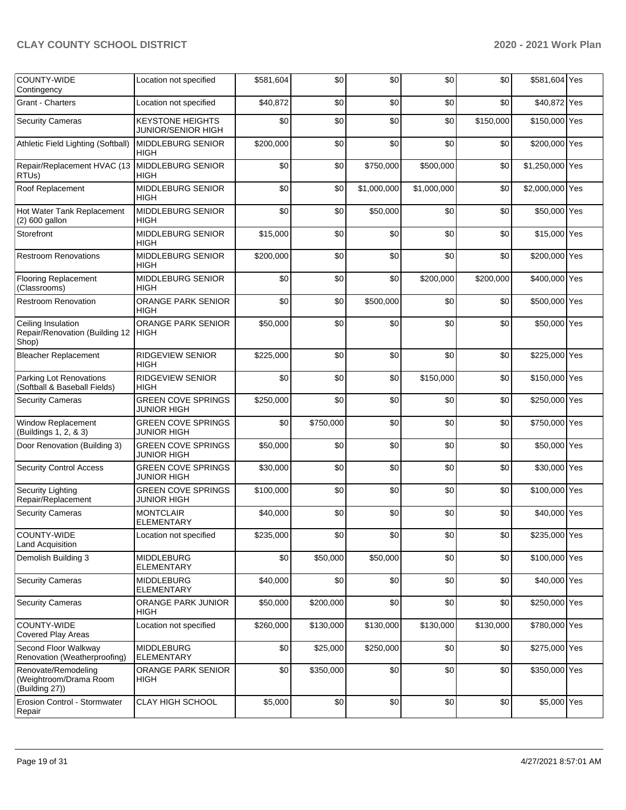| <b>COUNTY-WIDE</b><br>Contingency                               | Location not specified                               | \$581,604 | \$0       | \$0         | \$0         | \$0       | \$581,604 Yes   |  |
|-----------------------------------------------------------------|------------------------------------------------------|-----------|-----------|-------------|-------------|-----------|-----------------|--|
| Grant - Charters                                                | Location not specified                               | \$40,872  | \$0       | \$0         | \$0         | \$0       | \$40,872 Yes    |  |
| <b>Security Cameras</b>                                         | <b>KEYSTONE HEIGHTS</b><br><b>JUNIOR/SENIOR HIGH</b> | \$0       | \$0       | \$0         | \$0         | \$150,000 | \$150,000 Yes   |  |
| Athletic Field Lighting (Softball)                              | <b>MIDDLEBURG SENIOR</b><br><b>HIGH</b>              | \$200,000 | \$0       | \$0         | \$0         | \$0       | \$200,000 Yes   |  |
| Repair/Replacement HVAC (13<br>RTU <sub>s</sub> )               | <b>MIDDLEBURG SENIOR</b><br><b>HIGH</b>              | \$0       | \$0       | \$750,000   | \$500,000   | \$0       | \$1,250,000 Yes |  |
| Roof Replacement                                                | MIDDLEBURG SENIOR<br><b>HIGH</b>                     | \$0       | \$0       | \$1,000,000 | \$1,000,000 | \$0       | \$2,000,000 Yes |  |
| Hot Water Tank Replacement<br>(2) 600 gallon                    | <b>MIDDLEBURG SENIOR</b><br>HIGH                     | \$0       | \$0       | \$50,000    | \$0         | \$0       | \$50,000 Yes    |  |
| Storefront                                                      | MIDDLEBURG SENIOR<br><b>HIGH</b>                     | \$15,000  | \$0       | \$0         | \$0         | \$0       | \$15,000 Yes    |  |
| <b>Restroom Renovations</b>                                     | MIDDLEBURG SENIOR<br><b>HIGH</b>                     | \$200,000 | \$0       | \$0         | \$0         | \$0       | \$200,000 Yes   |  |
| <b>Flooring Replacement</b><br>(Classrooms)                     | MIDDLEBURG SENIOR<br>HIGH                            | \$0       | \$0       | \$0         | \$200,000   | \$200,000 | \$400,000 Yes   |  |
| <b>Restroom Renovation</b>                                      | ORANGE PARK SENIOR<br>HIGH                           | \$0       | \$0       | \$500,000   | \$0         | \$0       | \$500,000 Yes   |  |
| Ceiling Insulation<br>Repair/Renovation (Building 12<br>Shop)   | ORANGE PARK SENIOR<br><b>HIGH</b>                    | \$50,000  | \$0       | \$0         | \$0         | \$0       | \$50,000 Yes    |  |
| <b>Bleacher Replacement</b>                                     | RIDGEVIEW SENIOR<br>HIGH                             | \$225,000 | \$0       | \$0         | \$0         | \$0       | \$225,000 Yes   |  |
| Parking Lot Renovations<br>(Softball & Baseball Fields)         | RIDGEVIEW SENIOR<br><b>HIGH</b>                      | \$0       | \$0       | \$0         | \$150,000   | \$0       | \$150,000 Yes   |  |
| <b>Security Cameras</b>                                         | <b>GREEN COVE SPRINGS</b><br><b>JUNIOR HIGH</b>      | \$250,000 | \$0       | \$0         | \$0         | \$0       | \$250,000 Yes   |  |
| Window Replacement<br>(Buildings 1, 2, & 3)                     | <b>GREEN COVE SPRINGS</b><br><b>JUNIOR HIGH</b>      | \$0       | \$750,000 | \$0         | \$0         | \$0       | \$750,000 Yes   |  |
| Door Renovation (Building 3)                                    | <b>GREEN COVE SPRINGS</b><br><b>JUNIOR HIGH</b>      | \$50,000  | \$0       | \$0         | \$0         | \$0       | \$50,000 Yes    |  |
| <b>Security Control Access</b>                                  | <b>GREEN COVE SPRINGS</b><br><b>JUNIOR HIGH</b>      | \$30,000  | \$0       | \$0         | \$0         | \$0       | \$30,000 Yes    |  |
| <b>Security Lighting</b><br>Repair/Replacement                  | <b>GREEN COVE SPRINGS</b><br><b>JUNIOR HIGH</b>      | \$100,000 | \$0       | \$0         | \$0         | \$0       | \$100,000 Yes   |  |
| <b>Security Cameras</b>                                         | <b>MONTCLAIR</b><br><b>ELEMENTARY</b>                | \$40,000  | \$0       | \$0         | \$0         | \$0       | \$40,000 Yes    |  |
| COUNTY-WIDE<br>Land Acquisition                                 | Location not specified                               | \$235,000 | \$0       | \$0         | \$0         | \$0       | \$235,000 Yes   |  |
| Demolish Building 3                                             | <b>MIDDLEBURG</b><br>ELEMENTARY                      | \$0       | \$50,000  | \$50,000    | \$0         | \$0       | \$100,000 Yes   |  |
| <b>Security Cameras</b>                                         | <b>MIDDLEBURG</b><br><b>ELEMENTARY</b>               | \$40,000  | \$0       | \$0         | \$0         | \$0       | \$40,000 Yes    |  |
| <b>Security Cameras</b>                                         | ORANGE PARK JUNIOR<br>HIGH                           | \$50,000  | \$200,000 | \$0         | \$0         | \$0       | \$250,000 Yes   |  |
| COUNTY-WIDE<br>Covered Play Areas                               | Location not specified                               | \$260,000 | \$130,000 | \$130,000   | \$130,000   | \$130,000 | \$780,000 Yes   |  |
| Second Floor Walkway<br>Renovation (Weatherproofing)            | <b>MIDDLEBURG</b><br><b>ELEMENTARY</b>               | \$0       | \$25,000  | \$250,000   | \$0         | \$0       | \$275,000 Yes   |  |
| Renovate/Remodeling<br>(Weightroom/Drama Room<br>(Building 27)) | ORANGE PARK SENIOR<br><b>HIGH</b>                    | \$0       | \$350,000 | \$0         | \$0         | \$0       | \$350,000 Yes   |  |
| Erosion Control - Stormwater<br>Repair                          | CLAY HIGH SCHOOL                                     | \$5,000   | \$0       | \$0         | \$0         | \$0       | \$5,000 Yes     |  |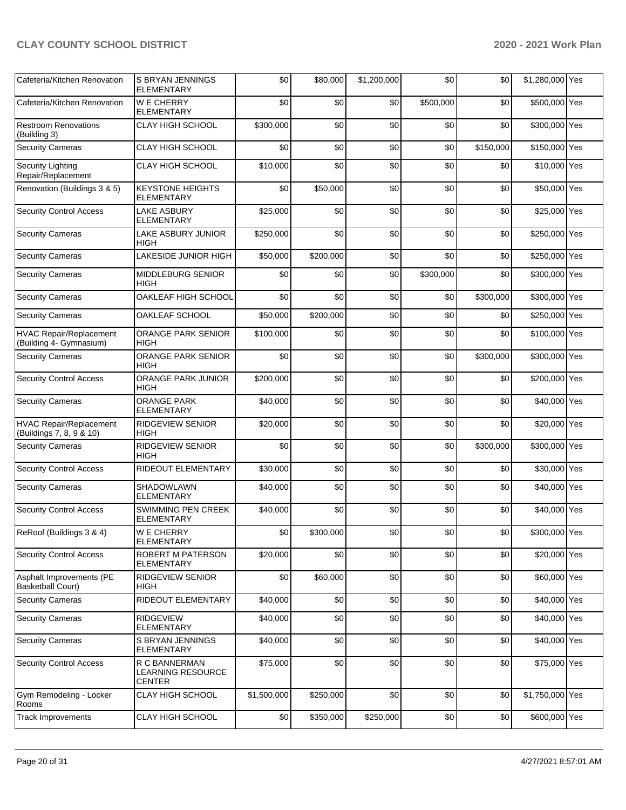| Cafeteria/Kitchen Renovation                               | S BRYAN JENNINGS<br><b>ELEMENTARY</b>               | \$0         | \$80,000  | \$1,200,000 | \$0       | \$0       | \$1,280,000 Yes |  |
|------------------------------------------------------------|-----------------------------------------------------|-------------|-----------|-------------|-----------|-----------|-----------------|--|
| Cafeteria/Kitchen Renovation                               | <b>WE CHERRY</b><br><b>ELEMENTARY</b>               | \$0         | \$0       | \$0         | \$500,000 | \$0       | \$500,000 Yes   |  |
| <b>Restroom Renovations</b><br>(Building 3)                | <b>CLAY HIGH SCHOOL</b>                             | \$300,000   | \$0       | \$0         | \$0       | \$0       | \$300,000 Yes   |  |
| <b>Security Cameras</b>                                    | CLAY HIGH SCHOOL                                    | \$0         | \$0       | \$0         | \$0       | \$150,000 | \$150,000 Yes   |  |
| Security Lighting<br>Repair/Replacement                    | CLAY HIGH SCHOOL                                    | \$10,000    | \$0       | \$0         | \$0       | \$0       | \$10,000 Yes    |  |
| Renovation (Buildings 3 & 5)                               | <b>KEYSTONE HEIGHTS</b><br><b>ELEMENTARY</b>        | \$0         | \$50,000  | \$0         | \$0       | \$0       | \$50,000 Yes    |  |
| <b>Security Control Access</b>                             | <b>LAKE ASBURY</b><br><b>ELEMENTARY</b>             | \$25,000    | \$0       | \$0         | \$0       | \$0       | \$25,000 Yes    |  |
| <b>Security Cameras</b>                                    | LAKE ASBURY JUNIOR<br>HIGH                          | \$250,000   | \$0       | \$0         | \$0       | \$0       | \$250,000 Yes   |  |
| <b>Security Cameras</b>                                    | LAKESIDE JUNIOR HIGH                                | \$50,000    | \$200,000 | \$0         | \$0       | \$0       | \$250,000 Yes   |  |
| <b>Security Cameras</b>                                    | MIDDLEBURG SENIOR<br>HIGH                           | \$0         | \$0       | \$0         | \$300,000 | \$0       | \$300,000 Yes   |  |
| <b>Security Cameras</b>                                    | OAKLEAF HIGH SCHOOL                                 | \$0         | \$0       | \$0         | \$0       | \$300,000 | \$300,000 Yes   |  |
| <b>Security Cameras</b>                                    | OAKLEAF SCHOOL                                      | \$50,000    | \$200,000 | \$0         | \$0       | \$0       | \$250,000 Yes   |  |
| HVAC Repair/Replacement<br>(Building 4- Gymnasium)         | <b>ORANGE PARK SENIOR</b><br>HIGH                   | \$100,000   | \$0       | \$0         | \$0       | \$0       | \$100,000 Yes   |  |
| <b>Security Cameras</b>                                    | ORANGE PARK SENIOR<br><b>HIGH</b>                   | \$0         | \$0       | \$0         | \$0       | \$300,000 | \$300,000 Yes   |  |
| <b>Security Control Access</b>                             | ORANGE PARK JUNIOR<br>HIGH                          | \$200,000   | \$0       | \$0         | \$0       | \$0       | \$200,000 Yes   |  |
| <b>Security Cameras</b>                                    | <b>ORANGE PARK</b><br><b>ELEMENTARY</b>             | \$40,000    | \$0       | \$0         | \$0       | \$0       | \$40,000 Yes    |  |
| <b>HVAC Repair/Replacement</b><br>(Buildings 7, 8, 9 & 10) | RIDGEVIEW SENIOR<br>HIGH                            | \$20,000    | \$0       | \$0         | \$0       | \$0       | \$20,000 Yes    |  |
| <b>Security Cameras</b>                                    | RIDGEVIEW SENIOR<br><b>HIGH</b>                     | \$0         | \$0       | \$0         | \$0       | \$300,000 | \$300,000 Yes   |  |
| <b>Security Control Access</b>                             | RIDEOUT ELEMENTARY                                  | \$30,000    | \$0       | \$0         | \$0       | \$0       | \$30,000 Yes    |  |
| <b>Security Cameras</b>                                    | <b>SHADOWLAWN</b><br><b>ELEMENTARY</b>              | \$40,000    | \$0       | \$0         | \$0       | \$0       | \$40,000 Yes    |  |
| <b>Security Control Access</b>                             | <b>SWIMMING PEN CREEK</b><br>ELEMENTARY             | \$40,000    | \$0       | \$0         | \$0       | \$0       | \$40,000 Yes    |  |
| ReRoof (Buildings 3 & 4)                                   | W E CHERRY<br>ELEMENTARY                            | \$0         | \$300,000 | \$0         | \$0       | \$0       | \$300,000 Yes   |  |
| <b>Security Control Access</b>                             | ROBERT M PATERSON<br><b>ELEMENTARY</b>              | \$20,000    | \$0       | \$0         | \$0       | \$0       | \$20,000 Yes    |  |
| Asphalt Improvements (PE<br><b>Basketball Court)</b>       | <b>RIDGEVIEW SENIOR</b><br>HIGH                     | \$0         | \$60,000  | \$0         | \$0       | \$0       | \$60,000 Yes    |  |
| <b>Security Cameras</b>                                    | RIDEOUT ELEMENTARY                                  | \$40,000    | \$0       | \$0         | \$0       | \$0       | \$40,000 Yes    |  |
| <b>Security Cameras</b>                                    | RIDGEVIEW<br><b>ELEMENTARY</b>                      | \$40,000    | \$0       | \$0         | \$0       | \$0       | \$40,000 Yes    |  |
| <b>Security Cameras</b>                                    | S BRYAN JENNINGS<br>ELEMENTARY                      | \$40,000    | \$0       | \$0         | \$0       | \$0       | \$40,000 Yes    |  |
| <b>Security Control Access</b>                             | R C BANNERMAN<br>LEARNING RESOURCE<br><b>CENTER</b> | \$75,000    | \$0       | \$0         | \$0       | \$0       | \$75,000 Yes    |  |
| Gym Remodeling - Locker<br>Rooms                           | <b>CLAY HIGH SCHOOL</b>                             | \$1,500,000 | \$250,000 | \$0         | \$0       | \$0       | \$1,750,000 Yes |  |
| <b>Track Improvements</b>                                  | <b>CLAY HIGH SCHOOL</b>                             | \$0         | \$350,000 | \$250,000   | \$0       | \$0       | \$600,000 Yes   |  |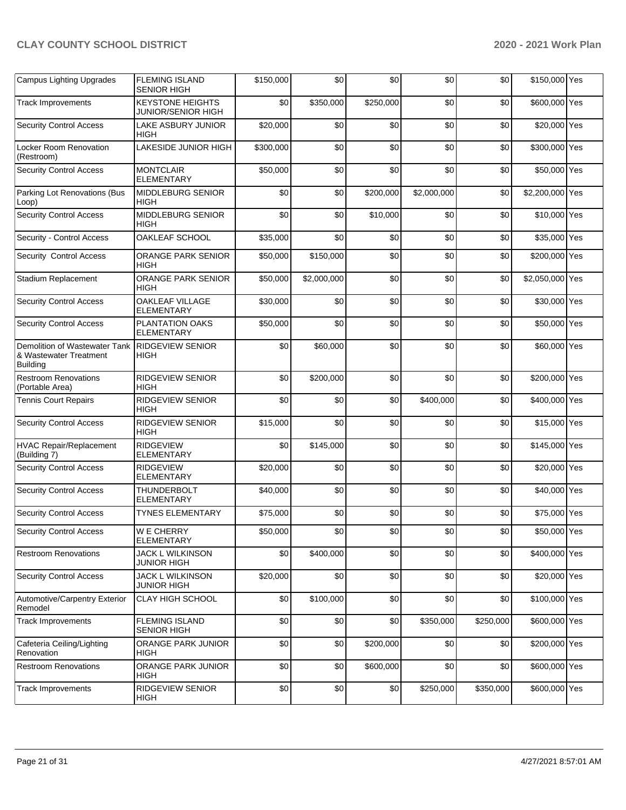| <b>Campus Lighting Upgrades</b>                                            | <b>FLEMING ISLAND</b><br>SENIOR HIGH                 | \$150,000 | \$0         | \$0       | \$0         | \$0       | \$150,000 Yes   |  |
|----------------------------------------------------------------------------|------------------------------------------------------|-----------|-------------|-----------|-------------|-----------|-----------------|--|
| <b>Track Improvements</b>                                                  | <b>KEYSTONE HEIGHTS</b><br><b>JUNIOR/SENIOR HIGH</b> | \$0       | \$350,000   | \$250,000 | \$0         | \$0       | \$600,000 Yes   |  |
| <b>Security Control Access</b>                                             | LAKE ASBURY JUNIOR<br>HIGH                           | \$20,000  | \$0         | \$0       | \$0         | \$0       | \$20,000 Yes    |  |
| Locker Room Renovation<br>(Restroom)                                       | LAKESIDE JUNIOR HIGH                                 | \$300,000 | \$0         | \$0       | \$0         | \$0       | \$300,000 Yes   |  |
| <b>Security Control Access</b>                                             | <b>MONTCLAIR</b><br><b>ELEMENTARY</b>                | \$50,000  | \$0         | \$0       | \$0         | \$0       | \$50,000 Yes    |  |
| Parking Lot Renovations (Bus<br>Loop)                                      | MIDDLEBURG SENIOR<br>HIGH                            | \$0       | \$0         | \$200,000 | \$2,000,000 | \$0       | \$2,200,000 Yes |  |
| <b>Security Control Access</b>                                             | MIDDLEBURG SENIOR<br>HIGH                            | \$0       | \$0         | \$10,000  | \$0         | \$0       | \$10,000 Yes    |  |
| Security - Control Access                                                  | OAKLEAF SCHOOL                                       | \$35,000  | \$0         | \$0       | \$0         | \$0       | \$35,000 Yes    |  |
| Security Control Access                                                    | ORANGE PARK SENIOR<br>HIGH                           | \$50,000  | \$150,000   | \$0       | \$0         | \$0       | \$200,000 Yes   |  |
| Stadium Replacement                                                        | ORANGE PARK SENIOR<br>HIGH                           | \$50,000  | \$2,000,000 | \$0       | \$0         | \$0       | \$2,050,000 Yes |  |
| <b>Security Control Access</b>                                             | OAKLEAF VILLAGE<br><b>ELEMENTARY</b>                 | \$30,000  | \$0         | \$0       | \$0         | \$0       | \$30,000 Yes    |  |
| <b>Security Control Access</b>                                             | PLANTATION OAKS<br><b>ELEMENTARY</b>                 | \$50,000  | \$0         | \$0       | \$0         | \$0       | \$50,000 Yes    |  |
| Demolition of Wastewater Tank<br>& Wastewater Treatment<br><b>Building</b> | RIDGEVIEW SENIOR<br>HIGH                             | \$0       | \$60,000    | \$0       | \$0         | \$0       | \$60,000 Yes    |  |
| <b>Restroom Renovations</b><br>(Portable Area)                             | RIDGEVIEW SENIOR<br>HIGH                             | \$0       | \$200,000   | \$0       | \$0         | \$0       | \$200,000 Yes   |  |
| <b>Tennis Court Repairs</b>                                                | RIDGEVIEW SENIOR<br>HIGH                             | \$0       | \$0         | \$0       | \$400,000   | \$0       | \$400,000 Yes   |  |
| <b>Security Control Access</b>                                             | RIDGEVIEW SENIOR<br><b>HIGH</b>                      | \$15,000  | \$0         | \$0       | \$0         | \$0       | \$15,000 Yes    |  |
| <b>HVAC Repair/Replacement</b><br>(Building 7)                             | <b>RIDGEVIEW</b><br><b>ELEMENTARY</b>                | \$0       | \$145,000   | \$0       | \$0         | \$0       | \$145,000 Yes   |  |
| <b>Security Control Access</b>                                             | <b>RIDGEVIEW</b><br><b>ELEMENTARY</b>                | \$20,000  | \$0         | \$0       | \$0         | \$0       | \$20,000 Yes    |  |
| <b>Security Control Access</b>                                             | <b>THUNDERBOLT</b><br><b>ELEMENTARY</b>              | \$40,000  | \$0         | \$0       | \$0         | \$0       | \$40,000 Yes    |  |
| <b>Security Control Access</b>                                             | <b>TYNES ELEMENTARY</b>                              | \$75,000  | \$0         | \$0       | \$0         | \$0       | \$75,000 Yes    |  |
| <b>Security Control Access</b>                                             | $W$ E CHERRY<br>ELEMENTARY                           | \$50,000  | \$0         | \$0       | \$0         | \$0       | \$50,000 Yes    |  |
| <b>Restroom Renovations</b>                                                | JACK L WILKINSON<br>JUNIOR HIGH                      | \$0       | \$400,000   | \$0       | \$0         | \$0       | \$400,000 Yes   |  |
| <b>Security Control Access</b>                                             | <b>JACK L WILKINSON</b><br><b>JUNIOR HIGH</b>        | \$20,000  | \$0         | \$0       | \$0         | \$0       | \$20,000 Yes    |  |
| Automotive/Carpentry Exterior<br>Remodel                                   | <b>CLAY HIGH SCHOOL</b>                              | \$0       | \$100,000   | \$0       | \$0         | \$0       | \$100,000 Yes   |  |
| <b>Track Improvements</b>                                                  | <b>FLEMING ISLAND</b><br><b>SENIOR HIGH</b>          | \$0       | \$0         | \$0       | \$350,000   | \$250,000 | \$600,000 Yes   |  |
| Cafeteria Ceiling/Lighting<br>Renovation                                   | ORANGE PARK JUNIOR<br>HIGH                           | \$0       | \$0         | \$200,000 | \$0         | \$0       | \$200,000 Yes   |  |
| <b>Restroom Renovations</b>                                                | ORANGE PARK JUNIOR<br>HIGH                           | \$0       | \$0         | \$600,000 | \$0         | \$0       | \$600,000 Yes   |  |
| <b>Track Improvements</b>                                                  | <b>RIDGEVIEW SENIOR</b><br>HIGH                      | \$0       | \$0         | \$0       | \$250,000   | \$350,000 | \$600,000 Yes   |  |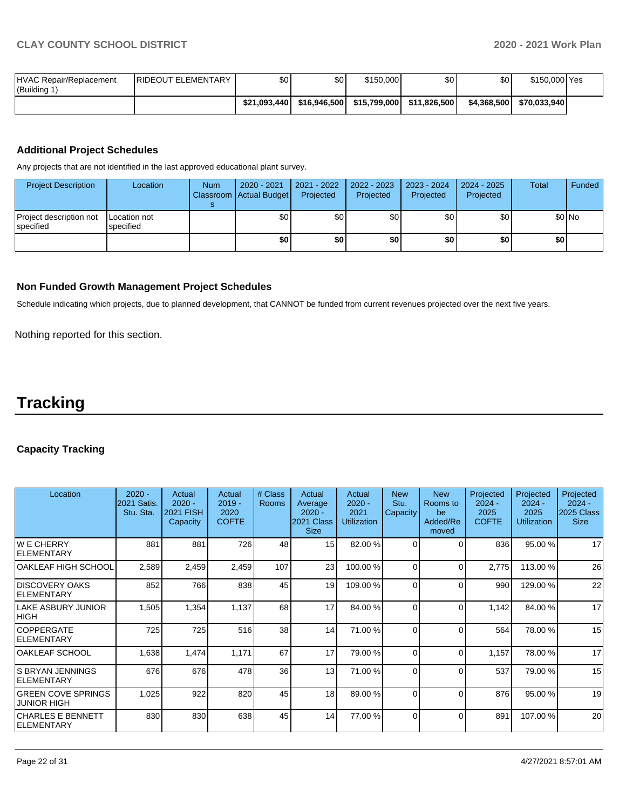| HVAC Repair/Replacement<br>(Building 1) | <b>IRIDEOUT ELEMENTARY</b> | \$0          | \$0 <sub>1</sub> | \$150,000    | \$0          | \$0         | \$150,000 Yes |  |
|-----------------------------------------|----------------------------|--------------|------------------|--------------|--------------|-------------|---------------|--|
|                                         |                            | \$21.093.440 | \$16.946.500     | \$15,799,000 | \$11.826.500 | \$4,368,500 | \$70.033.940  |  |

## **Additional Project Schedules**

Any projects that are not identified in the last approved educational plant survey.

| <b>Project Description</b>                    | Location                  | <b>Num</b> | 2020 - 2021<br><b>Classroom Actual Budget</b> | 2021 - 2022<br>Projected | 2022 - 2023<br>Projected | 2023 - 2024<br>Projected | $2024 - 2025$<br>Projected | <b>Total</b> | Funded |
|-----------------------------------------------|---------------------------|------------|-----------------------------------------------|--------------------------|--------------------------|--------------------------|----------------------------|--------------|--------|
| Project description not<br><b>I</b> specified | Location not<br>specified |            | \$0                                           | \$0                      | \$0                      | \$0 I                    | \$0                        |              | \$0 No |
|                                               |                           |            | \$0                                           | ا \$0                    | \$0                      | \$0 I                    | \$0                        | \$0          |        |

## **Non Funded Growth Management Project Schedules**

Schedule indicating which projects, due to planned development, that CANNOT be funded from current revenues projected over the next five years.

Nothing reported for this section.

## **Tracking**

## **Capacity Tracking**

| Location                                        | $2020 -$<br>2021 Satis.<br>Stu. Sta. | Actual<br>$2020 -$<br><b>2021 FISH</b><br>Capacity | Actual<br>$2019 -$<br>2020<br><b>COFTE</b> | # Class<br>Rooms | Actual<br>Average<br>$2020 -$<br>2021 Class<br><b>Size</b> | Actual<br>$2020 -$<br>2021<br><b>Utilization</b> | <b>New</b><br>Stu.<br>Capacity | <b>New</b><br>Rooms to<br>be<br>Added/Re<br>moved | Projected<br>$2024 -$<br>2025<br><b>COFTE</b> | Projected<br>$2024 -$<br>2025<br><b>Utilization</b> | Projected<br>$2024 -$<br>2025 Class<br><b>Size</b> |
|-------------------------------------------------|--------------------------------------|----------------------------------------------------|--------------------------------------------|------------------|------------------------------------------------------------|--------------------------------------------------|--------------------------------|---------------------------------------------------|-----------------------------------------------|-----------------------------------------------------|----------------------------------------------------|
| <b>WE CHERRY</b><br><b>IELEMENTARY</b>          | 881                                  | 881                                                | 726                                        | 48               | 15 <sup>1</sup>                                            | 82.00 %                                          | $\Omega$                       | $\Omega$                                          | 836                                           | 95.00 %                                             | 17                                                 |
| OAKLEAF HIGH SCHOOL                             | 2,589                                | 2,459                                              | 2,459                                      | 107              | 23                                                         | 100.00 %                                         | $\Omega$                       | $\Omega$                                          | 2,775                                         | 113.00 %                                            | 26                                                 |
| <b>IDISCOVERY OAKS</b><br><b>ELEMENTARY</b>     | 852                                  | 766                                                | 838                                        | 45               | 19                                                         | 109.00 %                                         | $\Omega$                       | $\Omega$                                          | 990                                           | 129.00 %                                            | 22                                                 |
| LAKE ASBURY JUNIOR<br><b>HIGH</b>               | 1,505                                | 1,354                                              | 1,137                                      | 68               | 17                                                         | 84.00 %                                          | $\Omega$                       | $\Omega$                                          | 1,142                                         | 84.00 %                                             | 17                                                 |
| <b>COPPERGATE</b><br><b>IELEMENTARY</b>         | 725                                  | 725                                                | 516                                        | 38               | 14                                                         | 71.00 %                                          | $\Omega$                       | $\Omega$                                          | 564                                           | 78.00 %                                             | 15                                                 |
| <b>OAKLEAF SCHOOL</b>                           | 1,638                                | 1,474                                              | 1,171                                      | 67               | 17                                                         | 79.00 %                                          | $\Omega$                       | $\Omega$                                          | 1,157                                         | 78.00 %                                             | 17                                                 |
| IS BRYAN JENNINGS<br><b>IELEMENTARY</b>         | 676                                  | 676                                                | 478                                        | 36               | 13                                                         | 71.00 %                                          | $\Omega$                       | $\Omega$                                          | 537                                           | 79.00 %                                             | 15                                                 |
| <b>GREEN COVE SPRINGS</b><br><b>JUNIOR HIGH</b> | 1,025                                | 922                                                | 820                                        | 45               | 18                                                         | 89.00 %                                          | $\Omega$                       | 0                                                 | 876                                           | 95.00 %                                             | 19                                                 |
| <b>CHARLES E BENNETT</b><br><b>IELEMENTARY</b>  | 830                                  | 830                                                | 638                                        | 45               | 14                                                         | 77.00 %                                          | $\Omega$                       | 0                                                 | 891                                           | 107.00 %                                            | 20                                                 |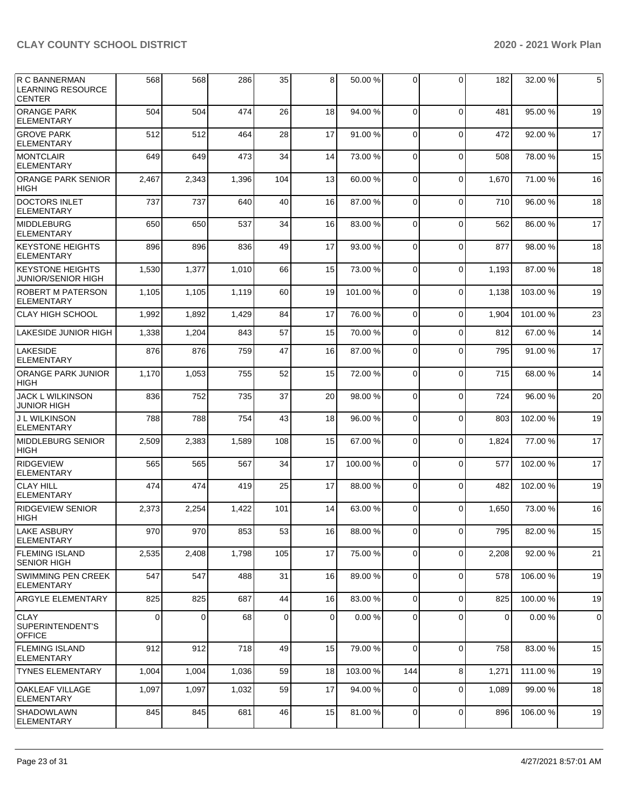| R C BANNERMAN<br><b>LEARNING RESOURCE</b><br><b>CENTER</b> | 568   | 568      | 286   | 35          | 8              | 50.00 %  | $\Omega$    | 0           | 182   | 32.00 %  | 5           |
|------------------------------------------------------------|-------|----------|-------|-------------|----------------|----------|-------------|-------------|-------|----------|-------------|
| <b>ORANGE PARK</b><br><b>ELEMENTARY</b>                    | 504   | 504      | 474   | 26          | 18             | 94.00 %  | $\Omega$    | $\Omega$    | 481   | 95.00 %  | 19          |
| <b>GROVE PARK</b><br><b>ELEMENTARY</b>                     | 512   | 512      | 464   | 28          | 17             | 91.00%   | $\mathbf 0$ | $\Omega$    | 472   | 92.00 %  | 17          |
| <b>MONTCLAIR</b><br><b>ELEMENTARY</b>                      | 649   | 649      | 473   | 34          | 14             | 73.00 %  | $\Omega$    | $\mathbf 0$ | 508   | 78.00 %  | 15          |
| <b>ORANGE PARK SENIOR</b><br><b>HIGH</b>                   | 2,467 | 2,343    | 1,396 | 104         | 13             | 60.00 %  | $\Omega$    | $\mathbf 0$ | 1,670 | 71.00 %  | 16          |
| DOCTORS INLET<br><b>ELEMENTARY</b>                         | 737   | 737      | 640   | 40          | 16             | 87.00 %  | $\mathbf 0$ | $\Omega$    | 710   | 96.00 %  | 18          |
| <b>MIDDLEBURG</b><br><b>ELEMENTARY</b>                     | 650   | 650      | 537   | 34          | 16             | 83.00 %  | $\Omega$    | $\mathbf 0$ | 562   | 86.00 %  | 17          |
| <b>KEYSTONE HEIGHTS</b><br><b>ELEMENTARY</b>               | 896   | 896      | 836   | 49          | 17             | 93.00 %  | $\Omega$    | $\Omega$    | 877   | 98.00 %  | 18          |
| <b>KEYSTONE HEIGHTS</b><br>JUNIOR/SENIOR HIGH              | 1,530 | 1,377    | 1,010 | 66          | 15             | 73.00 %  | $\mathbf 0$ | $\mathbf 0$ | 1,193 | 87.00 %  | 18          |
| <b>ROBERT M PATERSON</b><br><b>ELEMENTARY</b>              | 1,105 | 1,105    | 1,119 | 60          | 19             | 101.00%  | $\Omega$    | $\mathbf 0$ | 1,138 | 103.00%  | 19          |
| <b>CLAY HIGH SCHOOL</b>                                    | 1,992 | 1,892    | 1,429 | 84          | 17             | 76.00%   | $\Omega$    | $\Omega$    | 1,904 | 101.00%  | 23          |
| LAKESIDE JUNIOR HIGH                                       | 1,338 | 1,204    | 843   | 57          | 15             | 70.00 %  | $\Omega$    | $\Omega$    | 812   | 67.00 %  | 14          |
| <b>LAKESIDE</b><br><b>ELEMENTARY</b>                       | 876   | 876      | 759   | 47          | 16             | 87.00 %  | $\Omega$    | $\Omega$    | 795   | 91.00%   | 17          |
| <b>ORANGE PARK JUNIOR</b><br><b>HIGH</b>                   | 1,170 | 1,053    | 755   | 52          | 15             | 72.00 %  | $\mathbf 0$ | $\mathbf 0$ | 715   | 68.00 %  | 14          |
| <b>JACK L WILKINSON</b><br><b>JUNIOR HIGH</b>              | 836   | 752      | 735   | 37          | 20             | 98.00%   | $\Omega$    | $\mathbf 0$ | 724   | 96.00 %  | 20          |
| <b>J L WILKINSON</b><br><b>ELEMENTARY</b>                  | 788   | 788      | 754   | 43          | 18             | 96.00 %  | $\Omega$    | $\Omega$    | 803   | 102.00%  | 19          |
| MIDDLEBURG SENIOR<br>HIGH                                  | 2,509 | 2,383    | 1,589 | 108         | 15             | 67.00 %  | $\mathbf 0$ | $\Omega$    | 1,824 | 77.00 %  | 17          |
| <b>RIDGEVIEW</b><br><b>ELEMENTARY</b>                      | 565   | 565      | 567   | 34          | 17             | 100.00%  | $\Omega$    | $\mathbf 0$ | 577   | 102.00%  | 17          |
| <b>CLAY HILL</b><br><b>ELEMENTARY</b>                      | 474   | 474      | 419   | 25          | 17             | 88.00 %  | $\Omega$    | $\Omega$    | 482   | 102.00%  | 19          |
| <b>RIDGEVIEW SENIOR</b><br><b>HIGH</b>                     | 2,373 | 2,254    | 1,422 | 101         | 14             | 63.00 %  | $\Omega$    | $\Omega$    | 1,650 | 73.00 %  | 16          |
| <b>LAKE ASBURY</b><br><b>ELEMENTARY</b>                    | 970   | 970      | 853   | 53          | 16             | 88.00 %  | $\Omega$    | $\Omega$    | 795   | 82.00 %  | 15          |
| <b>FLEMING ISLAND</b><br><b>SENIOR HIGH</b>                | 2,535 | 2,408    | 1,798 | 105         | 17             | 75.00 %  | 0           | $\mathbf 0$ | 2,208 | 92.00 %  | 21          |
| <b>SWIMMING PEN CREEK</b><br><b>ELEMENTARY</b>             | 547   | 547      | 488   | 31          | 16             | 89.00 %  | $\mathbf 0$ | $\mathbf 0$ | 578   | 106.00 % | 19          |
| ARGYLE ELEMENTARY                                          | 825   | 825      | 687   | 44          | 16             | 83.00 %  | 0           | $\mathbf 0$ | 825   | 100.00%  | 19          |
| <b>CLAY</b><br>SUPERINTENDENT'S<br><b>OFFICE</b>           | 0     | $\Omega$ | 68    | $\mathbf 0$ | $\overline{0}$ | 0.00%    | 0           | $\mathbf 0$ | 0     | 0.00%    | $\mathbf 0$ |
| <b>FLEMING ISLAND</b><br><b>ELEMENTARY</b>                 | 912   | 912      | 718   | 49          | 15             | 79.00 %  | $\mathbf 0$ | $\mathbf 0$ | 758   | 83.00 %  | 15          |
| <b>TYNES ELEMENTARY</b>                                    | 1,004 | 1,004    | 1,036 | 59          | 18             | 103.00 % | 144         | 8           | 1,271 | 111.00 % | 19          |
| OAKLEAF VILLAGE<br><b>ELEMENTARY</b>                       | 1,097 | 1,097    | 1,032 | 59          | 17             | 94.00 %  | 0           | $\mathbf 0$ | 1,089 | 99.00 %  | 18          |
| <b>SHADOWLAWN</b><br>ELEMENTARY                            | 845   | 845      | 681   | 46          | 15             | 81.00%   | 0           | $\mathbf 0$ | 896   | 106.00%  | 19          |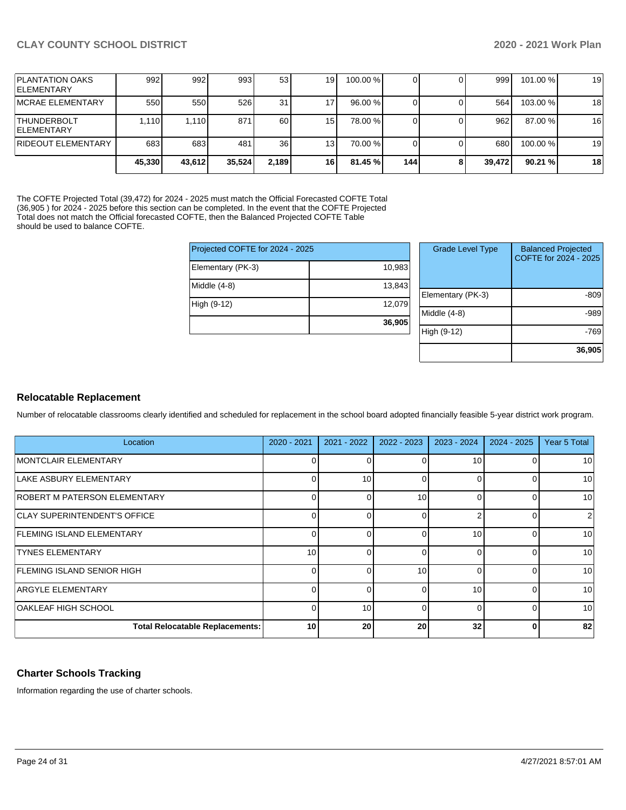| <b>PLANTATION OAKS</b><br><b>IELEMENTARY</b> | 992    | 992    | 993    | 53    | 19 <sub>l</sub> | 100.00 % |     | 999    | 101.00 % | 19 |
|----------------------------------------------|--------|--------|--------|-------|-----------------|----------|-----|--------|----------|----|
| <b>IMCRAE ELEMENTARY</b>                     | 550    | 550    | 526    | 31    |                 | 96.00 %  |     | 564    | 103.00 % | 18 |
| <b>THUNDERBOLT</b><br><b>IELEMENTARY</b>     | 1.110  | 1.110  | 871    | 60    | 15 <sub>l</sub> | 78.00 %  |     | 962    | 87.00 %  | 16 |
| <b>RIDEOUT ELEMENTARY</b>                    | 683    | 683    | 481    | 36    | 13 <sub>1</sub> | 70.00 %  |     | 680    | 100.00 % | 19 |
|                                              | 45,330 | 43.612 | 35,524 | 2.189 | 16              | 81.45 %  | 144 | 39.472 | 90.21%   | 18 |

The COFTE Projected Total (39,472) for 2024 - 2025 must match the Official Forecasted COFTE Total (36,905 ) for 2024 - 2025 before this section can be completed. In the event that the COFTE Projected Total does not match the Official forecasted COFTE, then the Balanced Projected COFTE Table should be used to balance COFTE.

|                   | Projected COFTE for 2024 - 2025 |              |  |  |  |
|-------------------|---------------------------------|--------------|--|--|--|
| Elementary (PK-3) | 10,983                          |              |  |  |  |
| Middle $(4-8)$    | 13,843                          | Elementary ( |  |  |  |
| High (9-12)       | 12,079                          |              |  |  |  |
|                   | 36,905                          | Middle (4-8) |  |  |  |
|                   |                                 | High (9-12)  |  |  |  |

| <b>Grade Level Type</b> | <b>Balanced Projected</b><br>COFTE for 2024 - 2025 |
|-------------------------|----------------------------------------------------|
| Elementary (PK-3)       | -809                                               |
| Middle (4-8)            | -989                                               |
| High (9-12)             | -769                                               |
|                         | 36,905                                             |

### **Relocatable Replacement**

Number of relocatable classrooms clearly identified and scheduled for replacement in the school board adopted financially feasible 5-year district work program.

| Location                               | 2020 - 2021     | $2021 - 2022$ | 2022 - 2023 | $2023 - 2024$ | $2024 - 2025$ | Year 5 Total   |
|----------------------------------------|-----------------|---------------|-------------|---------------|---------------|----------------|
| <b>IMONTCLAIR ELEMENTARY</b>           | 0               |               |             | 10            |               | 10             |
| LAKE ASBURY ELEMENTARY                 | 0               | 10            | $\Omega$    | $\Omega$      |               | 10             |
| <b>ROBERT M PATERSON ELEMENTARY</b>    | 0               |               | 10          |               |               | 10             |
| <b>CLAY SUPERINTENDENT'S OFFICE</b>    | 0               |               |             |               |               | $\overline{2}$ |
| <b>FLEMING ISLAND ELEMENTARY</b>       | 0               |               |             | 10            |               | 10             |
| <b>TYNES ELEMENTARY</b>                | 10 <sup>1</sup> |               | 0           | 0             |               | 10             |
| FLEMING ISLAND SENIOR HIGH             | $\Omega$        |               | 10          | 0             |               | 10             |
| <b>ARGYLE ELEMENTARY</b>               | 0               |               | $\Omega$    | 10            |               | 10             |
| OAKLEAF HIGH SCHOOL                    | 0               | 10            | $\Omega$    | $\Omega$      |               | 10             |
| <b>Total Relocatable Replacements:</b> | 10              | 20            | 20          | 32            |               | 82             |

## **Charter Schools Tracking**

Information regarding the use of charter schools.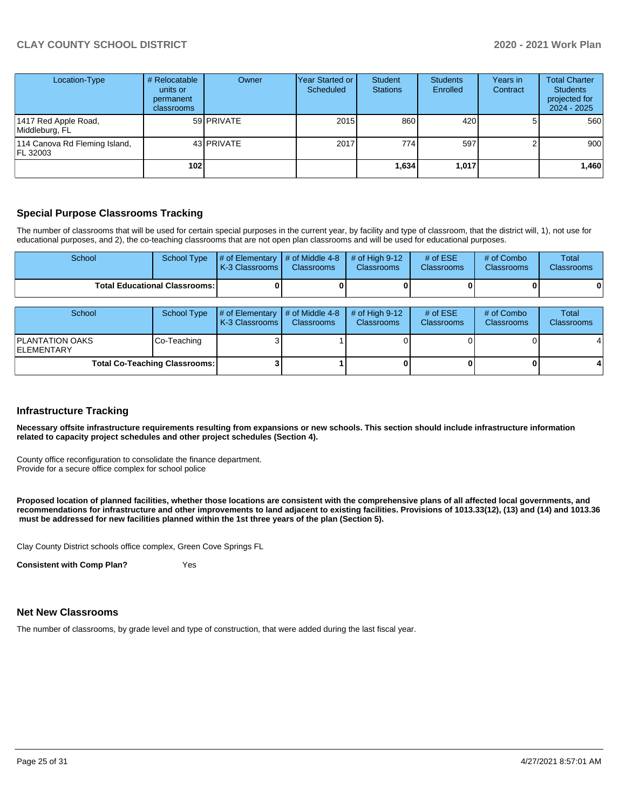| Location-Type                             | # Relocatable<br>units or<br>permanent<br><b>classrooms</b> | Owner      | Year Started or<br>Scheduled | Student<br><b>Stations</b> | <b>Students</b><br>Enrolled | Years in<br>Contract | <b>Total Charter</b><br><b>Students</b><br>projected for<br>2024 - 2025 |
|-------------------------------------------|-------------------------------------------------------------|------------|------------------------------|----------------------------|-----------------------------|----------------------|-------------------------------------------------------------------------|
| 1417 Red Apple Road,<br>Middleburg, FL    |                                                             | 59 PRIVATE | 2015                         | 860                        | 420                         |                      | 560                                                                     |
| 114 Canova Rd Fleming Island,<br>FL 32003 |                                                             | 43 PRIVATE | 2017                         | 774                        | 597                         |                      | 900                                                                     |
|                                           | 102                                                         |            |                              | 1,634                      | 1,017                       |                      | 1,460                                                                   |

## **Special Purpose Classrooms Tracking**

The number of classrooms that will be used for certain special purposes in the current year, by facility and type of classroom, that the district will, 1), not use for educational purposes, and 2), the co-teaching classrooms that are not open plan classrooms and will be used for educational purposes.

| School                                       | School Type        | # of Elementary<br>K-3 Classrooms | # of Middle 4-8<br><b>Classrooms</b> | # of High $9-12$<br><b>Classrooms</b> | # of $ESE$<br>Classrooms        | # of Combo<br><b>Classrooms</b> | Total<br><b>Classrooms</b> |
|----------------------------------------------|--------------------|-----------------------------------|--------------------------------------|---------------------------------------|---------------------------------|---------------------------------|----------------------------|
| <b>Total Educational Classrooms:</b>         |                    |                                   |                                      |                                       |                                 |                                 |                            |
| School                                       | <b>School Type</b> | # of Elementary<br>K-3 Classrooms | # of Middle 4-8<br><b>Classrooms</b> | $#$ of High 9-12<br>Classrooms        | # of $ESE$<br><b>Classrooms</b> | # of Combo<br><b>Classrooms</b> | Total<br><b>Classrooms</b> |
| <b>PLANTATION OAKS</b><br><b>IELEMENTARY</b> | Co-Teaching        |                                   |                                      |                                       |                                 |                                 |                            |
| <b>Total Co-Teaching Classrooms:</b>         |                    |                                   |                                      |                                       |                                 |                                 |                            |

#### **Infrastructure Tracking**

**Necessary offsite infrastructure requirements resulting from expansions or new schools. This section should include infrastructure information related to capacity project schedules and other project schedules (Section 4).** 

County office reconfiguration to consolidate the finance department. Provide for a secure office complex for school police

**Proposed location of planned facilities, whether those locations are consistent with the comprehensive plans of all affected local governments, and recommendations for infrastructure and other improvements to land adjacent to existing facilities. Provisions of 1013.33(12), (13) and (14) and 1013.36** must be addressed for new facilities planned within the 1st three years of the plan (Section 5).

Clay County District schools office complex, Green Cove Springs FL

**Consistent with Comp Plan?** Yes

#### **Net New Classrooms**

The number of classrooms, by grade level and type of construction, that were added during the last fiscal year.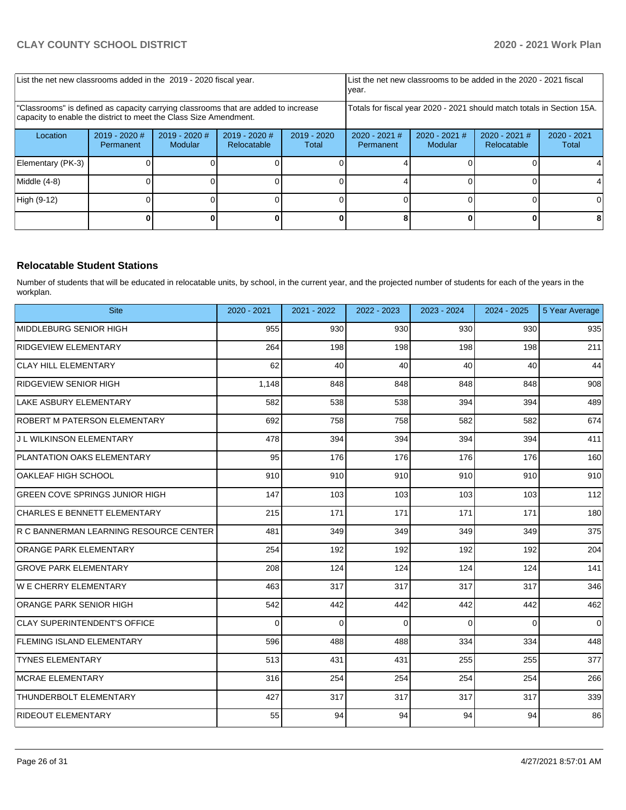|                                                                                                                                                         | List the net new classrooms added in the 2019 - 2020 fiscal year. |                            |                                |                                                                        |                                     | List the net new classrooms to be added in the 2020 - 2021 fiscal<br>year. |                                |                        |
|---------------------------------------------------------------------------------------------------------------------------------------------------------|-------------------------------------------------------------------|----------------------------|--------------------------------|------------------------------------------------------------------------|-------------------------------------|----------------------------------------------------------------------------|--------------------------------|------------------------|
| "Classrooms" is defined as capacity carrying classrooms that are added to increase<br>capacity to enable the district to meet the Class Size Amendment. |                                                                   |                            |                                | Totals for fiscal year 2020 - 2021 should match totals in Section 15A. |                                     |                                                                            |                                |                        |
| Location                                                                                                                                                | $2019 - 2020$ #<br>Permanent                                      | $2019 - 2020$ #<br>Modular | $2019 - 2020$ #<br>Relocatable | $2019 - 2020$<br>Total                                                 | $2020 - 2021$ #<br><b>Permanent</b> | $2020 - 2021$ #<br>Modular                                                 | $2020 - 2021$ #<br>Relocatable | $2020 - 2021$<br>Total |
| Elementary (PK-3)                                                                                                                                       |                                                                   |                            |                                |                                                                        |                                     |                                                                            |                                |                        |
| Middle (4-8)                                                                                                                                            |                                                                   |                            |                                |                                                                        |                                     |                                                                            |                                |                        |
| High (9-12)                                                                                                                                             |                                                                   |                            |                                |                                                                        |                                     |                                                                            |                                | ΩI                     |
|                                                                                                                                                         |                                                                   |                            |                                |                                                                        |                                     |                                                                            |                                |                        |

### **Relocatable Student Stations**

Number of students that will be educated in relocatable units, by school, in the current year, and the projected number of students for each of the years in the workplan.

| <b>Site</b>                            | 2020 - 2021 | 2021 - 2022 | 2022 - 2023 | 2023 - 2024 | $2024 - 2025$ | 5 Year Average |
|----------------------------------------|-------------|-------------|-------------|-------------|---------------|----------------|
| MIDDLEBURG SENIOR HIGH                 | 955         | 930         | 930         | 930         | 930           | 935            |
| RIDGEVIEW ELEMENTARY                   | 264         | 198         | 198         | 198         | 198           | 211            |
| <b>CLAY HILL ELEMENTARY</b>            | 62          | 40          | 40          | 40          | 40            | 44             |
| RIDGEVIEW SENIOR HIGH                  | 1,148       | 848         | 848         | 848         | 848           | 908            |
| LAKE ASBURY ELEMENTARY                 | 582         | 538         | 538         | 394         | 394           | 489            |
| ROBERT M PATERSON ELEMENTARY           | 692         | 758         | 758         | 582         | 582           | 674            |
| U L WILKINSON ELEMENTARY               | 478         | 394         | 394         | 394         | 394           | 411            |
| <b>PLANTATION OAKS ELEMENTARY</b>      | 95          | 176         | 176         | 176         | 176           | 160            |
| OAKLEAF HIGH SCHOOL                    | 910         | 910         | 910         | 910         | 910           | 910            |
| <b>GREEN COVE SPRINGS JUNIOR HIGH</b>  | 147         | 103         | 103         | 103         | 103           | 112            |
| CHARLES E BENNETT ELEMENTARY           | 215         | 171         | 171         | 171         | 171           | 180            |
| R C BANNERMAN LEARNING RESOURCE CENTER | 481         | 349         | 349         | 349         | 349           | 375            |
| ORANGE PARK ELEMENTARY                 | 254         | 192         | 192         | 192         | 192           | 204            |
| <b>GROVE PARK ELEMENTARY</b>           | 208         | 124         | 124         | 124         | 124           | 141            |
| W E CHERRY ELEMENTARY                  | 463         | 317         | 317         | 317         | 317           | 346            |
| ORANGE PARK SENIOR HIGH                | 542         | 442         | 442         | 442         | 442           | 462            |
| <b>CLAY SUPERINTENDENT'S OFFICE</b>    | $\Omega$    | $\Omega$    | $\Omega$    | $\Omega$    | $\Omega$      | $\Omega$       |
| <b>FLEMING ISLAND ELEMENTARY</b>       | 596         | 488         | 488         | 334         | 334           | 448            |
| <b>TYNES ELEMENTARY</b>                | 513         | 431         | 431         | 255         | 255           | 377            |
| MCRAE ELEMENTARY                       | 316         | 254         | 254         | 254         | 254           | 266            |
| <b>THUNDERBOLT ELEMENTARY</b>          | 427         | 317         | 317         | 317         | 317           | 339            |
| <b>RIDEOUT ELEMENTARY</b>              | 55          | 94          | 94          | 94          | 94            | 86             |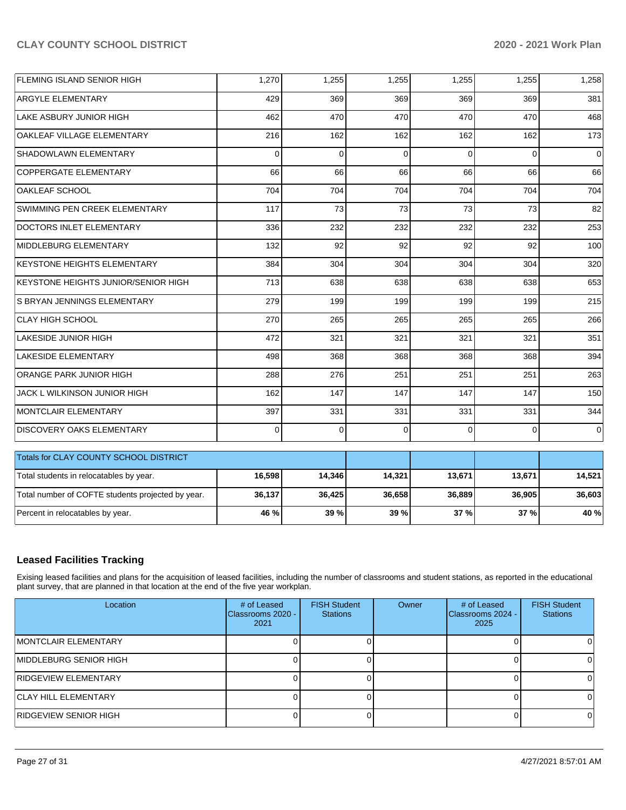| FLEMING ISLAND SENIOR HIGH                        | 1,270  | 1,255       | 1,255    | 1,255    | 1,255    | 1,258       |
|---------------------------------------------------|--------|-------------|----------|----------|----------|-------------|
| <b>ARGYLE ELEMENTARY</b>                          | 429    | 369         | 369      | 369      | 369      | 381         |
| LAKE ASBURY JUNIOR HIGH                           | 462    | 470         | 470      | 470      | 470      | 468         |
| OAKLEAF VILLAGE ELEMENTARY                        | 216    | 162         | 162      | 162      | 162      | 173         |
| SHADOWLAWN ELEMENTARY                             | 0      | 0           | $\Omega$ | $\Omega$ | $\Omega$ | $\mathbf 0$ |
| COPPERGATE ELEMENTARY                             | 66     | 66          | 66       | 66       | 66       | 66          |
| <b>OAKLEAF SCHOOL</b>                             | 704    | 704         | 704      | 704      | 704      | 704         |
| SWIMMING PEN CREEK ELEMENTARY                     | 117    | 73          | 73       | 73       | 73       | 82          |
| DOCTORS INLET ELEMENTARY                          | 336    | 232         | 232      | 232      | 232      | 253         |
| MIDDLEBURG ELEMENTARY                             | 132    | 92          | 92       | 92       | 92       | 100         |
| KEYSTONE HEIGHTS ELEMENTARY                       | 384    | 304         | 304      | 304      | 304      | 320         |
| KEYSTONE HEIGHTS JUNIOR/SENIOR HIGH               | 713    | 638         | 638      | 638      | 638      | 653         |
| <b>S BRYAN JENNINGS ELEMENTARY</b>                | 279    | 199         | 199      | 199      | 199      | 215         |
| <b>CLAY HIGH SCHOOL</b>                           | 270    | 265         | 265      | 265      | 265      | 266         |
| LAKESIDE JUNIOR HIGH                              | 472    | 321         | 321      | 321      | 321      | 351         |
| <b>LAKESIDE ELEMENTARY</b>                        | 498    | 368         | 368      | 368      | 368      | 394         |
| ORANGE PARK JUNIOR HIGH                           | 288    | 276         | 251      | 251      | 251      | 263         |
| JACK L WILKINSON JUNIOR HIGH                      | 162    | 147         | 147      | 147      | 147      | 150         |
| MONTCLAIR ELEMENTARY                              | 397    | 331         | 331      | 331      | 331      | 344         |
| <b>DISCOVERY OAKS ELEMENTARY</b>                  | 0      | $\mathbf 0$ | $\Omega$ | $\Omega$ | $\Omega$ | $\mathbf 0$ |
| Totals for CLAY COUNTY SCHOOL DISTRICT            |        |             |          |          |          |             |
| Total students in relocatables by year.           | 16,598 | 14,346      | 14,321   | 13,671   | 13,671   | 14,521      |
| Total number of COFTE students projected by year. | 36,137 | 36,425      | 36,658   | 36,889   | 36,905   | 36,603      |
| Percent in relocatables by year.                  | 46 %   | 39 %        | 39 %     | 37 %     | 37 %     | 40 %        |

## **Leased Facilities Tracking**

Exising leased facilities and plans for the acquisition of leased facilities, including the number of classrooms and student stations, as reported in the educational plant survey, that are planned in that location at the end of the five year workplan.

| Location                     | # of Leased<br>Classrooms 2020 -<br>2021 | <b>FISH Student</b><br><b>Stations</b> | Owner | # of Leased<br>Classrooms 2024 -<br>2025 | <b>FISH Student</b><br><b>Stations</b> |
|------------------------------|------------------------------------------|----------------------------------------|-------|------------------------------------------|----------------------------------------|
| IMONTCLAIR ELEMENTARY        |                                          |                                        |       |                                          |                                        |
| IMIDDLEBURG SENIOR HIGH      |                                          |                                        |       |                                          |                                        |
| RIDGEVIEW ELEMENTARY         |                                          |                                        |       |                                          |                                        |
| <b>CLAY HILL ELEMENTARY</b>  |                                          |                                        |       |                                          |                                        |
| <b>RIDGEVIEW SENIOR HIGH</b> |                                          |                                        |       |                                          |                                        |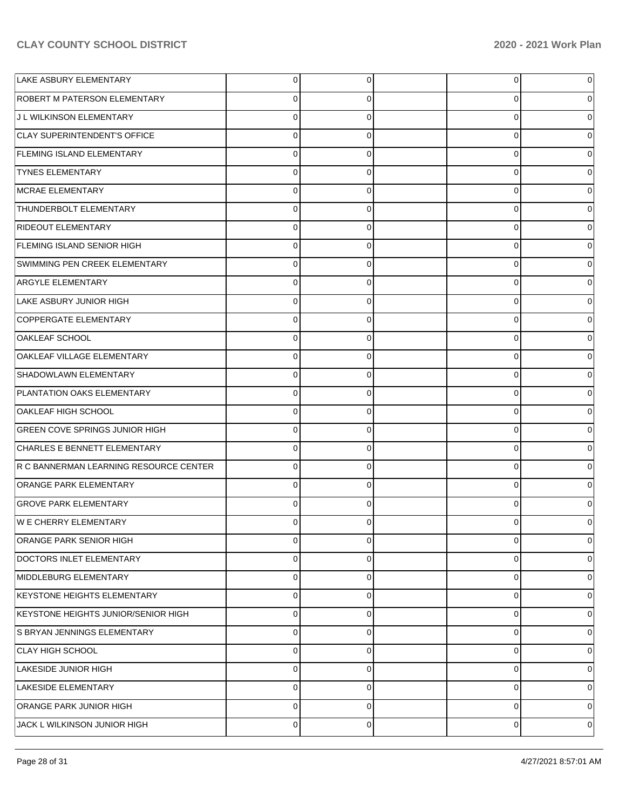| LAKE ASBURY ELEMENTARY                 | 0           | 0           | 0           | 0 |
|----------------------------------------|-------------|-------------|-------------|---|
| <b>ROBERT M PATERSON ELEMENTARY</b>    | 0           | 0           | 0           | 0 |
| J L WILKINSON ELEMENTARY               | $\mathbf 0$ | 0           | $\mathbf 0$ | 0 |
| <b>CLAY SUPERINTENDENT'S OFFICE</b>    | 0           | $\mathbf 0$ | 0           | 0 |
| <b>FLEMING ISLAND ELEMENTARY</b>       | 0           | $\mathbf 0$ | 0           | 0 |
| <b>TYNES ELEMENTARY</b>                | 0           | 0           | 0           | 0 |
| MCRAE ELEMENTARY                       | 0           | 0           | $\mathbf 0$ | 0 |
| <b>THUNDERBOLT ELEMENTARY</b>          | 0           | 0           | 0           | 0 |
| <b>RIDEOUT ELEMENTARY</b>              | 0           | 0           | $\mathbf 0$ | 0 |
| <b>FLEMING ISLAND SENIOR HIGH</b>      | 0           | 0           | 0           | 0 |
| SWIMMING PEN CREEK ELEMENTARY          | 0           | 0           | 0           | 0 |
| <b>ARGYLE ELEMENTARY</b>               | 0           | 0           | 0           | 0 |
| LAKE ASBURY JUNIOR HIGH                | 0           | 0           | 0           | 0 |
| COPPERGATE ELEMENTARY                  | 0           | 0           | 0           | 0 |
| OAKLEAF SCHOOL                         | 0           | 0           | $\mathbf 0$ | 0 |
| OAKLEAF VILLAGE ELEMENTARY             | 0           | 0           | 0           | 0 |
| SHADOWLAWN ELEMENTARY                  | 0           | 0           | 0           | 0 |
| <b>PLANTATION OAKS ELEMENTARY</b>      | 0           | 0           | 0           | 0 |
| OAKLEAF HIGH SCHOOL                    | 0           | 0           | $\Omega$    | 0 |
| <b>GREEN COVE SPRINGS JUNIOR HIGH</b>  | 0           | $\mathbf 0$ | $\mathbf 0$ | 0 |
| CHARLES E BENNETT ELEMENTARY           | 0           | 0           | 0           | 0 |
| R C BANNERMAN LEARNING RESOURCE CENTER | 0           | $\mathbf 0$ | $\mathbf 0$ | 0 |
| <b>ORANGE PARK ELEMENTARY</b>          | 0           | 0           | $\Omega$    | 0 |
| GROVE PARK ELEMENTARY                  | $\Omega$    | 0           | 0           | 0 |
| IW E CHERRY ELEMENTARY                 |             | 0           |             | 0 |
| ORANGE PARK SENIOR HIGH                | $\mathbf 0$ | $\mathbf 0$ | 0           | 0 |
| <b>DOCTORS INLET ELEMENTARY</b>        | 0           | 0           | $\mathbf 0$ | 0 |
| MIDDLEBURG ELEMENTARY                  | 0           | $\mathbf 0$ | $\mathbf 0$ | 0 |
| KEYSTONE HEIGHTS ELEMENTARY            | 0           | $\mathbf 0$ | $\mathbf 0$ | 0 |
| KEYSTONE HEIGHTS JUNIOR/SENIOR HIGH    | 0           | $\mathbf 0$ | $\mathbf 0$ | 0 |
| S BRYAN JENNINGS ELEMENTARY            | 0           | $\mathbf 0$ | $\mathbf 0$ | 0 |
| CLAY HIGH SCHOOL                       | 0           | $\mathbf 0$ | $\mathbf 0$ | 0 |
| LAKESIDE JUNIOR HIGH                   | 0           | $\mathbf 0$ | $\mathbf 0$ | 0 |
| LAKESIDE ELEMENTARY                    | 0           | $\mathbf 0$ | $\mathbf 0$ | 0 |
| <b>ORANGE PARK JUNIOR HIGH</b>         | 0           | $\mathbf 0$ | $\mathbf 0$ | 0 |
| JACK L WILKINSON JUNIOR HIGH           | 0           | 0           | $\mathbf 0$ | 0 |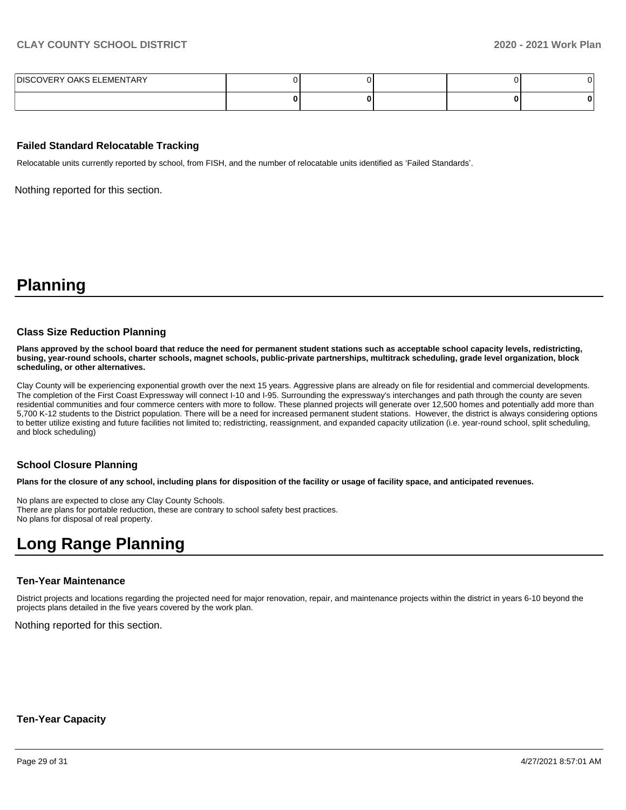| <b>DISCOVERY OAKS ELEMENTARY</b> |  |  |  |
|----------------------------------|--|--|--|
|                                  |  |  |  |

#### **Failed Standard Relocatable Tracking**

Relocatable units currently reported by school, from FISH, and the number of relocatable units identified as 'Failed Standards'.

Nothing reported for this section.

## **Planning**

#### **Class Size Reduction Planning**

**Plans approved by the school board that reduce the need for permanent student stations such as acceptable school capacity levels, redistricting, busing, year-round schools, charter schools, magnet schools, public-private partnerships, multitrack scheduling, grade level organization, block scheduling, or other alternatives.**

Clay County will be experiencing exponential growth over the next 15 years. Aggressive plans are already on file for residential and commercial developments. The completion of the First Coast Expressway will connect I-10 and I-95. Surrounding the expressway's interchanges and path through the county are seven residential communities and four commerce centers with more to follow. These planned projects will generate over 12,500 homes and potentially add more than 5,700 K-12 students to the District population. There will be a need for increased permanent student stations. However, the district is always considering options to better utilize existing and future facilities not limited to; redistricting, reassignment, and expanded capacity utilization (i.e. year-round school, split scheduling, and block scheduling)

#### **School Closure Planning**

**Plans for the closure of any school, including plans for disposition of the facility or usage of facility space, and anticipated revenues.** 

No plans are expected to close any Clay County Schools. There are plans for portable reduction, these are contrary to school safety best practices. No plans for disposal of real property.

## **Long Range Planning**

#### **Ten-Year Maintenance**

District projects and locations regarding the projected need for major renovation, repair, and maintenance projects within the district in years 6-10 beyond the projects plans detailed in the five years covered by the work plan.

Nothing reported for this section.

#### **Ten-Year Capacity**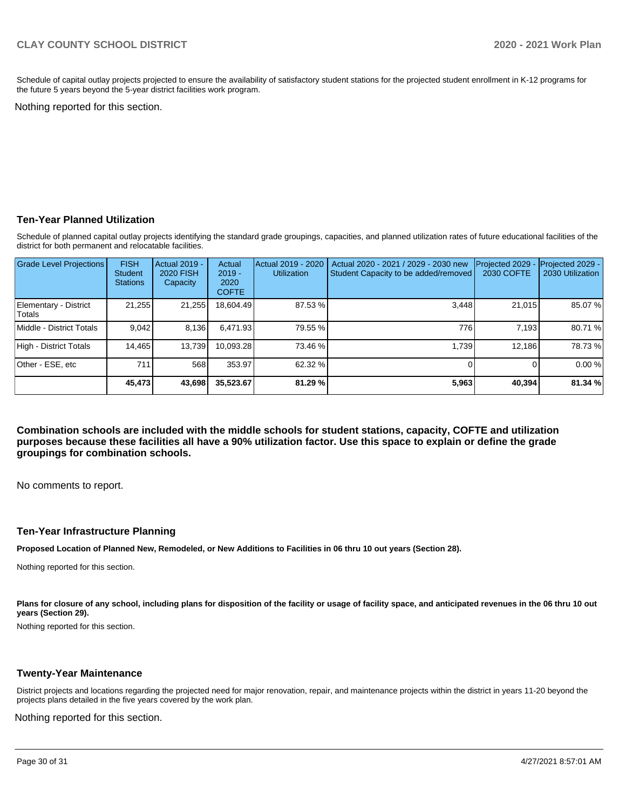Schedule of capital outlay projects projected to ensure the availability of satisfactory student stations for the projected student enrollment in K-12 programs for the future 5 years beyond the 5-year district facilities work program.

Nothing reported for this section.

#### **Ten-Year Planned Utilization**

Schedule of planned capital outlay projects identifying the standard grade groupings, capacities, and planned utilization rates of future educational facilities of the district for both permanent and relocatable facilities.

| <b>Grade Level Projections</b>  | <b>FISH</b><br><b>Student</b><br><b>Stations</b> | <b>Actual 2019 -</b><br><b>2020 FISH</b><br>Capacity | Actual<br>$2019 -$<br>2020<br><b>COFTE</b> | Actual 2019 - 2020<br><b>Utilization</b> | Actual 2020 - 2021 / 2029 - 2030 new<br>Student Capacity to be added/removed | Projected 2029<br>2030 COFTE | Projected 2029 -<br>2030 Utilization |
|---------------------------------|--------------------------------------------------|------------------------------------------------------|--------------------------------------------|------------------------------------------|------------------------------------------------------------------------------|------------------------------|--------------------------------------|
| Elementary - District<br>Totals | 21,255                                           | 21,255                                               | 18.604.49                                  | 87.53 %                                  | 3,448                                                                        | 21,015                       | 85.07 %                              |
| Middle - District Totals        | 9.042                                            | 8.136                                                | 6.471.93                                   | 79.55 %                                  | 776                                                                          | 7.193                        | 80.71 %                              |
| High - District Totals          | 14.465                                           | 13,739                                               | 10.093.28                                  | 73.46 %                                  | 1.739                                                                        | 12.186                       | 78.73%                               |
| Other - ESE, etc                | 711                                              | 568                                                  | 353.97                                     | 62.32 %                                  |                                                                              | ΩI                           | 0.00%                                |
|                                 | 45,473                                           | 43,698                                               | 35,523.67                                  | 81.29 %                                  | 5,963                                                                        | 40,394                       | 81.34 %                              |

**Combination schools are included with the middle schools for student stations, capacity, COFTE and utilization purposes because these facilities all have a 90% utilization factor. Use this space to explain or define the grade groupings for combination schools.** 

No comments to report.

#### **Ten-Year Infrastructure Planning**

**Proposed Location of Planned New, Remodeled, or New Additions to Facilities in 06 thru 10 out years (Section 28).**

Nothing reported for this section.

Plans for closure of any school, including plans for disposition of the facility or usage of facility space, and anticipated revenues in the 06 thru 10 out **years (Section 29).**

Nothing reported for this section.

#### **Twenty-Year Maintenance**

District projects and locations regarding the projected need for major renovation, repair, and maintenance projects within the district in years 11-20 beyond the projects plans detailed in the five years covered by the work plan.

Nothing reported for this section.